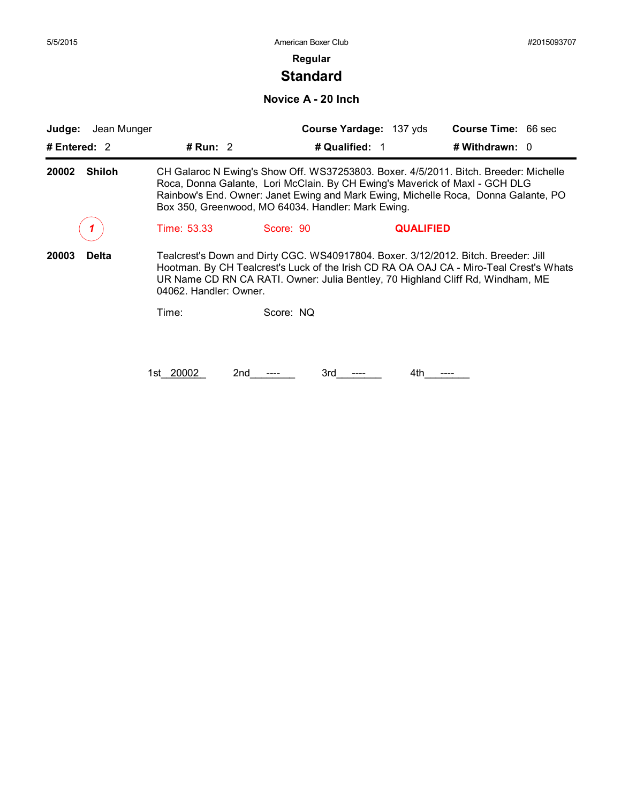## **Standard**

**Novice A - 20 Inch**

| # Entered: $2$<br><b>Shiloh</b><br>20002<br><b>Delta</b><br>20003 | # Run: $2$                                                                                                                                                                                                                                                                                                      | # Qualified: 1 |                  | # Withdrawn: $0$                                                                                                                                                                                                                                               |  |  |
|-------------------------------------------------------------------|-----------------------------------------------------------------------------------------------------------------------------------------------------------------------------------------------------------------------------------------------------------------------------------------------------------------|----------------|------------------|----------------------------------------------------------------------------------------------------------------------------------------------------------------------------------------------------------------------------------------------------------------|--|--|
|                                                                   |                                                                                                                                                                                                                                                                                                                 |                |                  |                                                                                                                                                                                                                                                                |  |  |
|                                                                   | CH Galaroc N Ewing's Show Off. WS37253803. Boxer. 4/5/2011. Bitch. Breeder: Michelle<br>Roca, Donna Galante, Lori McClain. By CH Ewing's Maverick of Maxl - GCH DLG<br>Rainbow's End. Owner: Janet Ewing and Mark Ewing, Michelle Roca, Donna Galante, PO<br>Box 350, Greenwood, MO 64034. Handler: Mark Ewing. |                |                  |                                                                                                                                                                                                                                                                |  |  |
|                                                                   | Time: 53.33                                                                                                                                                                                                                                                                                                     | Score: 90      | <b>QUALIFIED</b> |                                                                                                                                                                                                                                                                |  |  |
|                                                                   | 04062. Handler: Owner.                                                                                                                                                                                                                                                                                          |                |                  | Tealcrest's Down and Dirty CGC. WS40917804. Boxer. 3/12/2012. Bitch. Breeder: Jill<br>Hootman. By CH Tealcrest's Luck of the Irish CD RA OA OAJ CA - Miro-Teal Crest's Whats<br>UR Name CD RN CA RATI. Owner: Julia Bentley, 70 Highland Cliff Rd, Windham, ME |  |  |
|                                                                   | Time:                                                                                                                                                                                                                                                                                                           | Score: NQ      |                  |                                                                                                                                                                                                                                                                |  |  |
|                                                                   | 1st 20002<br>2nd                                                                                                                                                                                                                                                                                                | 3rd            | 4th              |                                                                                                                                                                                                                                                                |  |  |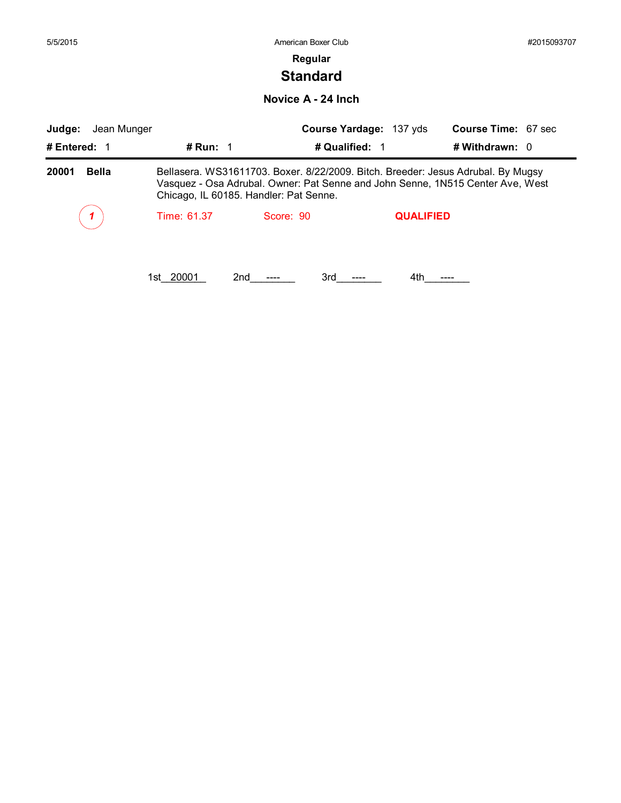### **Regular**

## **Standard**

#### **Novice A - 24 Inch**

| Judge:                | Jean Munger |                                                                                                                                                                                                              |                | Course Yardage: 137 yds | <b>Course Time: 67 sec</b> |
|-----------------------|-------------|--------------------------------------------------------------------------------------------------------------------------------------------------------------------------------------------------------------|----------------|-------------------------|----------------------------|
| # Entered: 1          |             | # Run: $1$                                                                                                                                                                                                   | # Qualified: 1 |                         | # Withdrawn: $0$           |
| 20001<br><b>Bella</b> |             | Bellasera. WS31611703. Boxer. 8/22/2009. Bitch. Breeder: Jesus Adrubal. By Mugsy<br>Vasquez - Osa Adrubal. Owner: Pat Senne and John Senne, 1N515 Center Ave, West<br>Chicago, IL 60185. Handler: Pat Senne. |                |                         |                            |
|                       |             | Time: 61.37                                                                                                                                                                                                  | Score: 90      | <b>QUALIFIED</b>        |                            |
|                       |             | 1st 20001                                                                                                                                                                                                    | 2nd<br>3rd     | 4th                     |                            |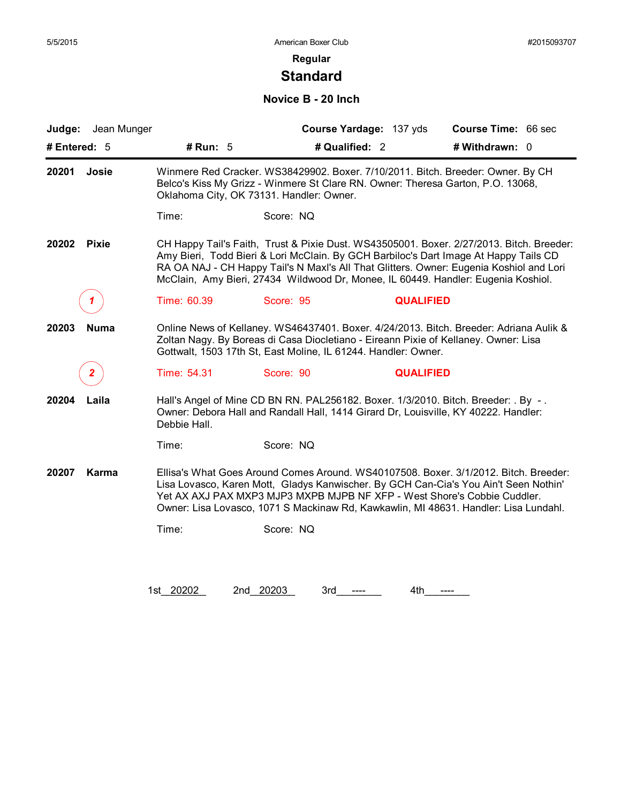## **Standard**

#### **Novice B - 20 Inch**

| Judge: Jean Munger    |                                                                                                                                                                                                                                                                                                                                                  |                                                                                                                                                                           | Course Yardage: 137 yds | Course Time: 66 sec                                                                                                                                                                                                                                                                                                                                              |  |
|-----------------------|--------------------------------------------------------------------------------------------------------------------------------------------------------------------------------------------------------------------------------------------------------------------------------------------------------------------------------------------------|---------------------------------------------------------------------------------------------------------------------------------------------------------------------------|-------------------------|------------------------------------------------------------------------------------------------------------------------------------------------------------------------------------------------------------------------------------------------------------------------------------------------------------------------------------------------------------------|--|
| # Entered: $5$        | # Run: $5$                                                                                                                                                                                                                                                                                                                                       | # Qualified: 2                                                                                                                                                            |                         | # Withdrawn: 0                                                                                                                                                                                                                                                                                                                                                   |  |
| 20201<br>Josie        | Winmere Red Cracker. WS38429902. Boxer. 7/10/2011. Bitch. Breeder: Owner. By CH<br>Belco's Kiss My Grizz - Winmere St Clare RN. Owner: Theresa Garton, P.O. 13068,<br>Oklahoma City, OK 73131. Handler: Owner.                                                                                                                                   |                                                                                                                                                                           |                         |                                                                                                                                                                                                                                                                                                                                                                  |  |
|                       | Time:                                                                                                                                                                                                                                                                                                                                            | Score: NQ                                                                                                                                                                 |                         |                                                                                                                                                                                                                                                                                                                                                                  |  |
| <b>Pixie</b><br>20202 |                                                                                                                                                                                                                                                                                                                                                  |                                                                                                                                                                           |                         | CH Happy Tail's Faith, Trust & Pixie Dust. WS43505001. Boxer. 2/27/2013. Bitch. Breeder:<br>Amy Bieri, Todd Bieri & Lori McClain. By GCH Barbiloc's Dart Image At Happy Tails CD<br>RA OA NAJ - CH Happy Tail's N Maxl's All That Glitters. Owner: Eugenia Koshiol and Lori<br>McClain, Amy Bieri, 27434 Wildwood Dr, Monee, IL 60449. Handler: Eugenia Koshiol. |  |
|                       | Time: 60.39                                                                                                                                                                                                                                                                                                                                      | Score: 95                                                                                                                                                                 | <b>QUALIFIED</b>        |                                                                                                                                                                                                                                                                                                                                                                  |  |
| 20203<br><b>Numa</b>  | Online News of Kellaney. WS46437401. Boxer. 4/24/2013. Bitch. Breeder: Adriana Aulik &<br>Zoltan Nagy. By Boreas di Casa Diocletiano - Eireann Pixie of Kellaney. Owner: Lisa<br>Gottwalt, 1503 17th St, East Moline, IL 61244. Handler: Owner.                                                                                                  |                                                                                                                                                                           |                         |                                                                                                                                                                                                                                                                                                                                                                  |  |
| 2                     | Time: 54.31                                                                                                                                                                                                                                                                                                                                      | Score: 90                                                                                                                                                                 | <b>QUALIFIED</b>        |                                                                                                                                                                                                                                                                                                                                                                  |  |
| 20204<br>Laila        | Debbie Hall.                                                                                                                                                                                                                                                                                                                                     | Hall's Angel of Mine CD BN RN. PAL256182. Boxer. 1/3/2010. Bitch. Breeder: . By -.<br>Owner: Debora Hall and Randall Hall, 1414 Girard Dr, Louisville, KY 40222. Handler: |                         |                                                                                                                                                                                                                                                                                                                                                                  |  |
|                       | Time:                                                                                                                                                                                                                                                                                                                                            | Score: NQ                                                                                                                                                                 |                         |                                                                                                                                                                                                                                                                                                                                                                  |  |
| 20207<br>Karma        | Ellisa's What Goes Around Comes Around. WS40107508. Boxer. 3/1/2012. Bitch. Breeder:<br>Lisa Lovasco, Karen Mott, Gladys Kanwischer. By GCH Can-Cia's You Ain't Seen Nothin'<br>Yet AX AXJ PAX MXP3 MJP3 MXPB MJPB NF XFP - West Shore's Cobbie Cuddler.<br>Owner: Lisa Lovasco, 1071 S Mackinaw Rd, Kawkawlin, MI 48631. Handler: Lisa Lundahl. |                                                                                                                                                                           |                         |                                                                                                                                                                                                                                                                                                                                                                  |  |
|                       | Time:                                                                                                                                                                                                                                                                                                                                            | Score: NQ                                                                                                                                                                 |                         |                                                                                                                                                                                                                                                                                                                                                                  |  |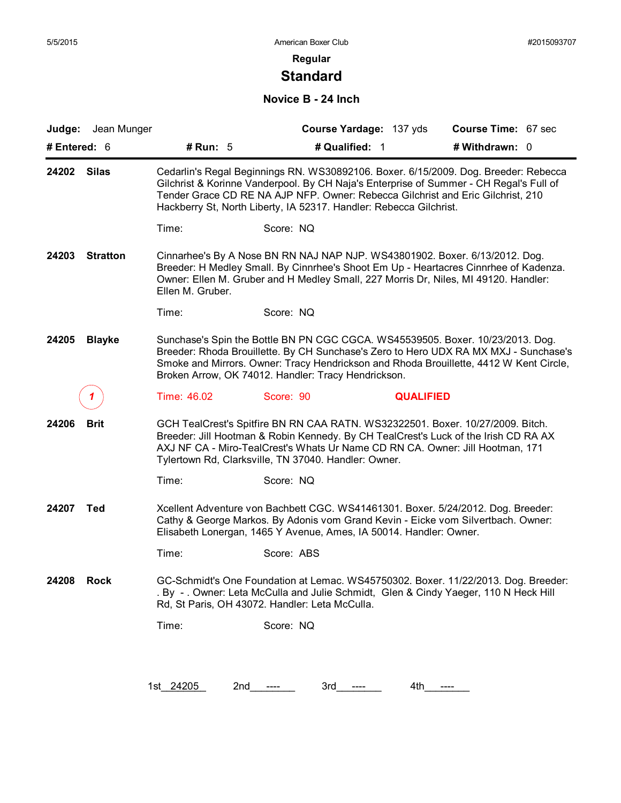## **Standard**

#### **Novice B - 24 Inch**

|                          | Judge: Jean Munger |                                                                                                                                                                                                                                                                                                                | Course Yardage: 137 yds                                                                                                                                                                                                                                                                                                                | Course Time: 67 sec |  |  |
|--------------------------|--------------------|----------------------------------------------------------------------------------------------------------------------------------------------------------------------------------------------------------------------------------------------------------------------------------------------------------------|----------------------------------------------------------------------------------------------------------------------------------------------------------------------------------------------------------------------------------------------------------------------------------------------------------------------------------------|---------------------|--|--|
| # Entered: 6             |                    | # Run: $5$                                                                                                                                                                                                                                                                                                     | # Qualified: 1                                                                                                                                                                                                                                                                                                                         | # Withdrawn: 0      |  |  |
| 24202                    | <b>Silas</b>       |                                                                                                                                                                                                                                                                                                                | Cedarlin's Regal Beginnings RN. WS30892106. Boxer. 6/15/2009. Dog. Breeder: Rebecca<br>Gilchrist & Korinne Vanderpool. By CH Naja's Enterprise of Summer - CH Regal's Full of<br>Tender Grace CD RE NA AJP NFP. Owner: Rebecca Gilchrist and Eric Gilchrist, 210<br>Hackberry St, North Liberty, IA 52317. Handler: Rebecca Gilchrist. |                     |  |  |
|                          |                    | Time:                                                                                                                                                                                                                                                                                                          | Score: NQ                                                                                                                                                                                                                                                                                                                              |                     |  |  |
| 24203<br><b>Stratton</b> |                    | Ellen M. Gruber.                                                                                                                                                                                                                                                                                               | Cinnarhee's By A Nose BN RN NAJ NAP NJP. WS43801902. Boxer. 6/13/2012. Dog.<br>Breeder: H Medley Small. By Cinnrhee's Shoot Em Up - Heartacres Cinnrhee of Kadenza.<br>Owner: Ellen M. Gruber and H Medley Small, 227 Morris Dr, Niles, MI 49120. Handler:                                                                             |                     |  |  |
|                          |                    | Time:                                                                                                                                                                                                                                                                                                          | Score: NQ                                                                                                                                                                                                                                                                                                                              |                     |  |  |
| 24205                    | <b>Blayke</b>      |                                                                                                                                                                                                                                                                                                                | Sunchase's Spin the Bottle BN PN CGC CGCA. WS45539505. Boxer. 10/23/2013. Dog.<br>Breeder: Rhoda Brouillette. By CH Sunchase's Zero to Hero UDX RA MX MXJ - Sunchase's<br>Smoke and Mirrors. Owner: Tracy Hendrickson and Rhoda Brouillette, 4412 W Kent Circle,<br>Broken Arrow, OK 74012. Handler: Tracy Hendrickson.                |                     |  |  |
|                          |                    | Time: 46.02                                                                                                                                                                                                                                                                                                    | Score: 90<br><b>QUALIFIED</b>                                                                                                                                                                                                                                                                                                          |                     |  |  |
| 24206                    | <b>Brit</b>        | GCH TealCrest's Spitfire BN RN CAA RATN. WS32322501. Boxer. 10/27/2009. Bitch.<br>Breeder: Jill Hootman & Robin Kennedy. By CH TealCrest's Luck of the Irish CD RA AX<br>AXJ NF CA - Miro-TealCrest's Whats Ur Name CD RN CA. Owner: Jill Hootman, 171<br>Tylertown Rd, Clarksville, TN 37040. Handler: Owner. |                                                                                                                                                                                                                                                                                                                                        |                     |  |  |
|                          |                    | Time:                                                                                                                                                                                                                                                                                                          | Score: NQ                                                                                                                                                                                                                                                                                                                              |                     |  |  |
| 24207                    | Ted                | Xcellent Adventure von Bachbett CGC. WS41461301. Boxer. 5/24/2012. Dog. Breeder:<br>Cathy & George Markos. By Adonis vom Grand Kevin - Eicke vom Silvertbach. Owner:<br>Elisabeth Lonergan, 1465 Y Avenue, Ames, IA 50014. Handler: Owner.                                                                     |                                                                                                                                                                                                                                                                                                                                        |                     |  |  |
|                          |                    | Time:                                                                                                                                                                                                                                                                                                          | Score: ABS                                                                                                                                                                                                                                                                                                                             |                     |  |  |
| 24208<br><b>Rock</b>     |                    | GC-Schmidt's One Foundation at Lemac. WS45750302. Boxer. 11/22/2013. Dog. Breeder:<br>. By -. Owner: Leta McCulla and Julie Schmidt, Glen & Cindy Yaeger, 110 N Heck Hill<br>Rd, St Paris, OH 43072. Handler: Leta McCulla.                                                                                    |                                                                                                                                                                                                                                                                                                                                        |                     |  |  |
|                          |                    |                                                                                                                                                                                                                                                                                                                |                                                                                                                                                                                                                                                                                                                                        |                     |  |  |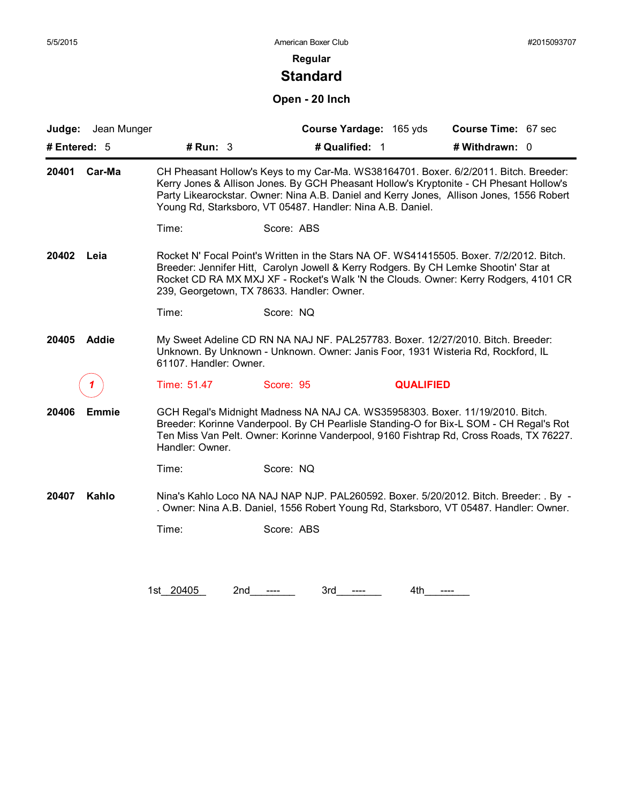## **Standard**

### **Open - 20 Inch**

| Jean Munger<br>Judge: |                 | Course Yardage: 165 yds                                                                                                                                                                                                                                                                                                                  |                  | Course Time: 67 sec |  |
|-----------------------|-----------------|------------------------------------------------------------------------------------------------------------------------------------------------------------------------------------------------------------------------------------------------------------------------------------------------------------------------------------------|------------------|---------------------|--|
| # Entered: 5          | # $Run: 3$      | # Qualified: 1                                                                                                                                                                                                                                                                                                                           |                  | # Withdrawn: 0      |  |
| 20401<br>Car-Ma       |                 | CH Pheasant Hollow's Keys to my Car-Ma. WS38164701. Boxer. 6/2/2011. Bitch. Breeder:<br>Kerry Jones & Allison Jones. By GCH Pheasant Hollow's Kryptonite - CH Phesant Hollow's<br>Party Likearockstar. Owner: Nina A.B. Daniel and Kerry Jones, Allison Jones, 1556 Robert<br>Young Rd, Starksboro, VT 05487. Handler: Nina A.B. Daniel. |                  |                     |  |
|                       | Time:           | Score: ABS                                                                                                                                                                                                                                                                                                                               |                  |                     |  |
| 20402<br>Leia         |                 | Rocket N' Focal Point's Written in the Stars NA OF. WS41415505. Boxer. 7/2/2012. Bitch.<br>Breeder: Jennifer Hitt, Carolyn Jowell & Kerry Rodgers. By CH Lemke Shootin' Star at<br>Rocket CD RA MX MXJ XF - Rocket's Walk 'N the Clouds. Owner: Kerry Rodgers, 4101 CR<br>239, Georgetown, TX 78633. Handler: Owner.                     |                  |                     |  |
|                       | Time:           | Score: NQ                                                                                                                                                                                                                                                                                                                                |                  |                     |  |
| <b>Addie</b><br>20405 |                 | My Sweet Adeline CD RN NA NAJ NF. PAL257783. Boxer. 12/27/2010. Bitch. Breeder:<br>Unknown. By Unknown - Unknown. Owner: Janis Foor, 1931 Wisteria Rd, Rockford, IL<br>61107. Handler: Owner.                                                                                                                                            |                  |                     |  |
|                       | Time: 51.47     | Score: 95                                                                                                                                                                                                                                                                                                                                | <b>QUALIFIED</b> |                     |  |
| 20406<br>Emmie        | Handler: Owner. | GCH Regal's Midnight Madness NA NAJ CA. WS35958303. Boxer. 11/19/2010. Bitch.<br>Breeder: Korinne Vanderpool. By CH Pearlisle Standing-O for Bix-L SOM - CH Regal's Rot<br>Ten Miss Van Pelt. Owner: Korinne Vanderpool, 9160 Fishtrap Rd, Cross Roads, TX 76227.                                                                        |                  |                     |  |
|                       | Time:           | Score: NQ                                                                                                                                                                                                                                                                                                                                |                  |                     |  |
| Kahlo<br>20407        |                 | Nina's Kahlo Loco NA NAJ NAP NJP. PAL260592. Boxer. 5/20/2012. Bitch. Breeder: . By -<br>. Owner: Nina A.B. Daniel, 1556 Robert Young Rd, Starksboro, VT 05487. Handler: Owner.                                                                                                                                                          |                  |                     |  |
|                       |                 | Score: ABS                                                                                                                                                                                                                                                                                                                               |                  |                     |  |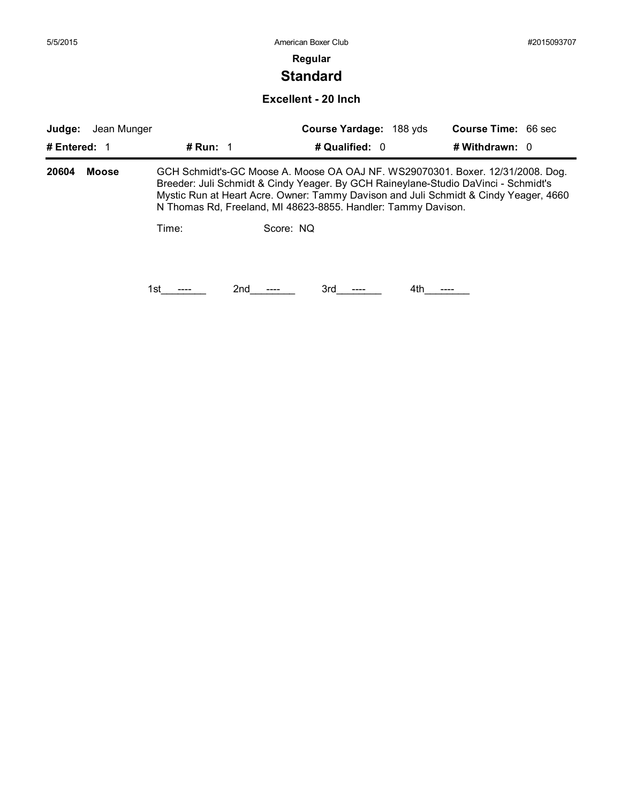## **Standard**

#### **Excellent - 20 Inch**

| Judge:       | Jean Munger  |                   | Course Yardage: 188 yds                                       | <b>Course Time: 66 sec</b>                                                                                                                                                                                                                                   |
|--------------|--------------|-------------------|---------------------------------------------------------------|--------------------------------------------------------------------------------------------------------------------------------------------------------------------------------------------------------------------------------------------------------------|
| # Entered: 1 |              | # Run: $\sqrt{1}$ | # Qualified: 0                                                | # Withdrawn: 0                                                                                                                                                                                                                                               |
| 20604        | <b>Moose</b> |                   | N Thomas Rd, Freeland, MI 48623-8855. Handler: Tammy Davison. | GCH Schmidt's-GC Moose A. Moose OA OAJ NF. WS29070301. Boxer. 12/31/2008. Dog.<br>Breeder: Juli Schmidt & Cindy Yeager. By GCH Raineylane-Studio DaVinci - Schmidt's<br>Mystic Run at Heart Acre. Owner: Tammy Davison and Juli Schmidt & Cindy Yeager, 4660 |
|              |              | Time:             | Score: NQ                                                     |                                                                                                                                                                                                                                                              |
|              |              | 2nd<br>1st        | 3rd                                                           | 4th                                                                                                                                                                                                                                                          |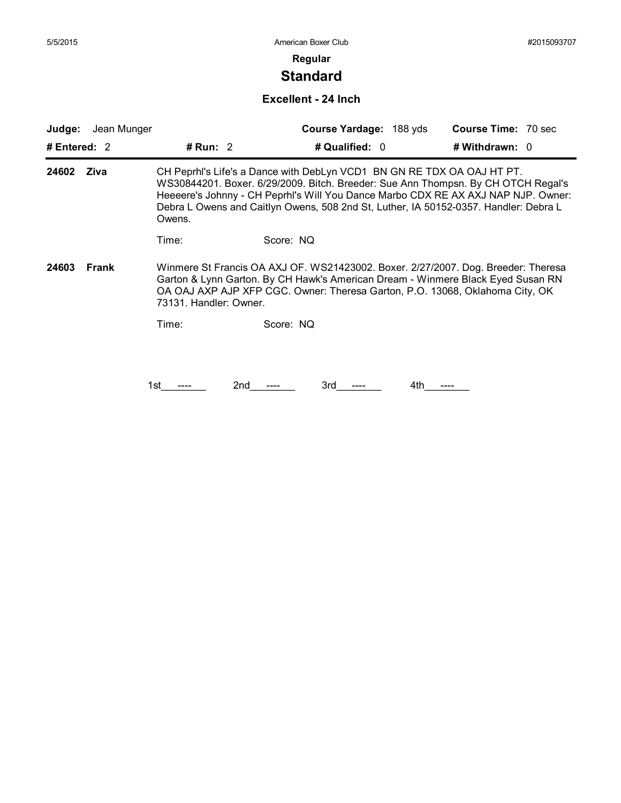## **Standard**

#### **Excellent - 24 Inch**

| Judge:         | Jean Munger |                        | Course Yardage: 188 yds                                                                                                                                                                                                                                                                                                                  | <b>Course Time: 70 sec</b> |
|----------------|-------------|------------------------|------------------------------------------------------------------------------------------------------------------------------------------------------------------------------------------------------------------------------------------------------------------------------------------------------------------------------------------|----------------------------|
| # Entered: $2$ |             | # Run: $2$             | # Qualified: 0                                                                                                                                                                                                                                                                                                                           | # Withdrawn: $0$           |
| 24602          | Ziva        | Owens.                 | CH Peprhl's Life's a Dance with DebLyn VCD1 BN GN RE TDX OA OAJ HT PT.<br>WS30844201. Boxer. 6/29/2009. Bitch. Breeder: Sue Ann Thompsn. By CH OTCH Regal's<br>Heeeere's Johnny - CH Peprhl's Will You Dance Marbo CDX RE AX AXJ NAP NJP. Owner:<br>Debra L Owens and Caitlyn Owens, 508 2nd St, Luther, IA 50152-0357. Handler: Debra L |                            |
|                |             | Time:                  | Score: NQ                                                                                                                                                                                                                                                                                                                                |                            |
| 24603          | Frank       | 73131. Handler: Owner. | Winmere St Francis OA AXJ OF. WS21423002. Boxer. 2/27/2007. Dog. Breeder: Theresa<br>Garton & Lynn Garton. By CH Hawk's American Dream - Winmere Black Eyed Susan RN<br>OA OAJ AXP AJP XFP CGC. Owner: Theresa Garton, P.O. 13068, Oklahoma City, OK                                                                                     |                            |
|                |             | Time:                  | Score: NQ                                                                                                                                                                                                                                                                                                                                |                            |
|                |             |                        |                                                                                                                                                                                                                                                                                                                                          |                            |
|                |             | 2nd<br>1st             | 3rd                                                                                                                                                                                                                                                                                                                                      | 4th                        |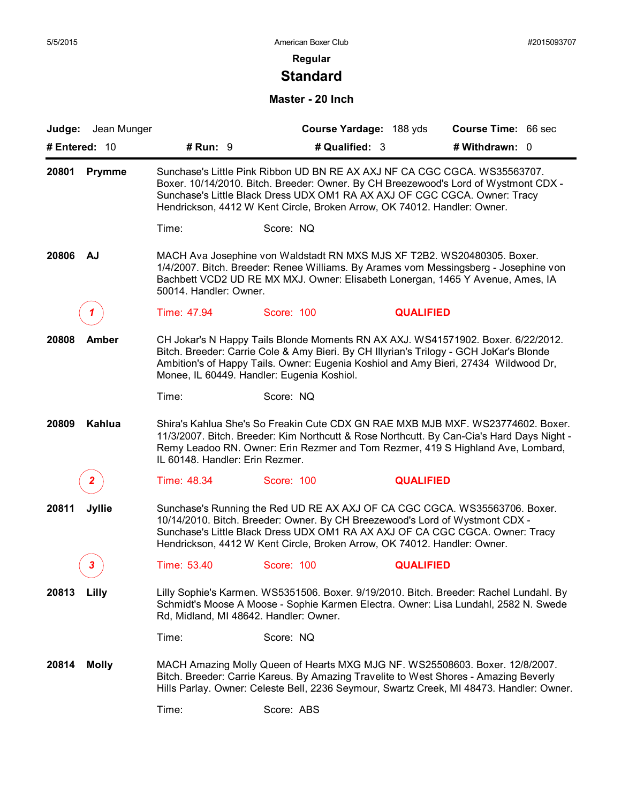## **Standard**

#### **Master - 20 Inch**

| Jean Munger<br>Judge:  |                        |                                                                                                                                                                                                                                                                                                                        | Course Yardage: 188 yds | Course Time: 66 sec                                                                                                                                                                                                                                               |  |
|------------------------|------------------------|------------------------------------------------------------------------------------------------------------------------------------------------------------------------------------------------------------------------------------------------------------------------------------------------------------------------|-------------------------|-------------------------------------------------------------------------------------------------------------------------------------------------------------------------------------------------------------------------------------------------------------------|--|
| # Entered: 10          | # Run: 9               |                                                                                                                                                                                                                                                                                                                        | # Qualified: 3          | # Withdrawn: 0                                                                                                                                                                                                                                                    |  |
| 20801<br><b>Prymme</b> |                        | Sunchase's Little Pink Ribbon UD BN RE AX AXJ NF CA CGC CGCA. WS35563707.<br>Sunchase's Little Black Dress UDX OM1 RA AX AXJ OF CGC CGCA. Owner: Tracy<br>Hendrickson, 4412 W Kent Circle, Broken Arrow, OK 74012. Handler: Owner.                                                                                     |                         | Boxer. 10/14/2010. Bitch. Breeder: Owner. By CH Breezewood's Lord of Wystmont CDX -                                                                                                                                                                               |  |
|                        | Time:                  | Score: NQ                                                                                                                                                                                                                                                                                                              |                         |                                                                                                                                                                                                                                                                   |  |
| 20806<br><b>AJ</b>     | 50014. Handler: Owner. | MACH Ava Josephine von Waldstadt RN MXS MJS XF T2B2. WS20480305. Boxer.                                                                                                                                                                                                                                                |                         | 1/4/2007. Bitch. Breeder: Renee Williams. By Arames vom Messingsberg - Josephine von<br>Bachbett VCD2 UD RE MX MXJ. Owner: Elisabeth Lonergan, 1465 Y Avenue, Ames, IA                                                                                            |  |
|                        | Time: 47.94            | Score: 100                                                                                                                                                                                                                                                                                                             | <b>QUALIFIED</b>        |                                                                                                                                                                                                                                                                   |  |
| 20808<br>Amber         |                        | Monee, IL 60449. Handler: Eugenia Koshiol.                                                                                                                                                                                                                                                                             |                         | CH Jokar's N Happy Tails Blonde Moments RN AX AXJ. WS41571902. Boxer. 6/22/2012.<br>Bitch. Breeder: Carrie Cole & Amy Bieri. By CH Illyrian's Trilogy - GCH JoKar's Blonde<br>Ambition's of Happy Tails. Owner: Eugenia Koshiol and Amy Bieri, 27434 Wildwood Dr, |  |
|                        | Time:                  | Score: NQ                                                                                                                                                                                                                                                                                                              |                         |                                                                                                                                                                                                                                                                   |  |
| 20809<br>Kahlua        |                        | Shira's Kahlua She's So Freakin Cute CDX GN RAE MXB MJB MXF. WS23774602. Boxer.<br>11/3/2007. Bitch. Breeder: Kim Northcutt & Rose Northcutt. By Can-Cia's Hard Days Night -<br>Remy Leadoo RN. Owner: Erin Rezmer and Tom Rezmer, 419 S Highland Ave, Lombard,<br>IL 60148. Handler: Erin Rezmer.                     |                         |                                                                                                                                                                                                                                                                   |  |
| 2.                     | Time: 48.34            | Score: 100                                                                                                                                                                                                                                                                                                             | <b>QUALIFIED</b>        |                                                                                                                                                                                                                                                                   |  |
| 20811<br><b>Jyllie</b> |                        | Sunchase's Running the Red UD RE AX AXJ OF CA CGC CGCA. WS35563706. Boxer.<br>10/14/2010. Bitch. Breeder: Owner. By CH Breezewood's Lord of Wystmont CDX -<br>Sunchase's Little Black Dress UDX OM1 RA AX AXJ OF CA CGC CGCA. Owner: Tracy<br>Hendrickson, 4412 W Kent Circle, Broken Arrow, OK 74012. Handler: Owner. |                         |                                                                                                                                                                                                                                                                   |  |
| $\mathbf{3}$           | Time: 53.40            | Score: 100                                                                                                                                                                                                                                                                                                             | <b>QUALIFIED</b>        |                                                                                                                                                                                                                                                                   |  |
| 20813<br>Lilly         |                        | Rd, Midland, MI 48642. Handler: Owner.                                                                                                                                                                                                                                                                                 |                         | Lilly Sophie's Karmen. WS5351506. Boxer. 9/19/2010. Bitch. Breeder: Rachel Lundahl. By<br>Schmidt's Moose A Moose - Sophie Karmen Electra. Owner: Lisa Lundahl, 2582 N. Swede                                                                                     |  |
|                        | Time:                  | Score: NQ                                                                                                                                                                                                                                                                                                              |                         |                                                                                                                                                                                                                                                                   |  |
| 20814<br><b>Molly</b>  |                        |                                                                                                                                                                                                                                                                                                                        |                         | MACH Amazing Molly Queen of Hearts MXG MJG NF. WS25508603. Boxer. 12/8/2007.<br>Bitch. Breeder: Carrie Kareus. By Amazing Travelite to West Shores - Amazing Beverly<br>Hills Parlay. Owner: Celeste Bell, 2236 Seymour, Swartz Creek, MI 48473. Handler: Owner.  |  |
|                        | Time:                  | Score: ABS                                                                                                                                                                                                                                                                                                             |                         |                                                                                                                                                                                                                                                                   |  |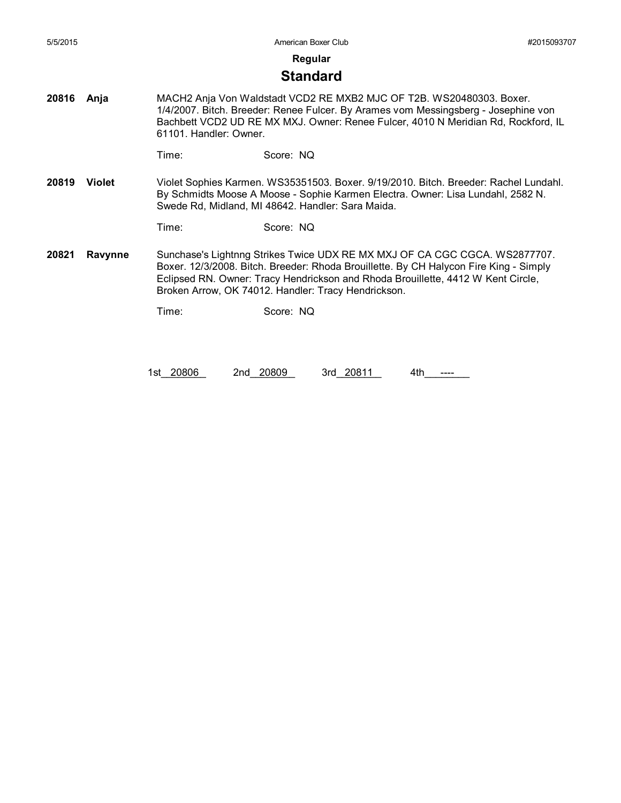#### **Standard**

**20816 Anja** MACH2 Anja Von Waldstadt VCD2 RE MXB2 MJC OF T2B. WS20480303. Boxer. 1/4/2007. Bitch. Breeder: Renee Fulcer. By Arames vom Messingsberg - Josephine von Bachbett VCD2 UD RE MX MXJ. Owner: Renee Fulcer, 4010 N Meridian Rd, Rockford, IL 61101. Handler: Owner.

#### Time: Score: NQ

**20819 Violet** Violet Sophies Karmen. WS35351503. Boxer. 9/19/2010. Bitch. Breeder: Rachel Lundahl. By Schmidts Moose A Moose - Sophie Karmen Electra. Owner: Lisa Lundahl, 2582 N. Swede Rd, Midland, MI 48642. Handler: Sara Maida.

Time: Score: NQ

**20821 Ravynne** Sunchase's Lightnng Strikes Twice UDX RE MX MXJ OF CA CGC CGCA. WS2877707. Boxer. 12/3/2008. Bitch. Breeder: Rhoda Brouillette. By CH Halycon Fire King - Simply Eclipsed RN. Owner: Tracy Hendrickson and Rhoda Brouillette, 4412 W Kent Circle, Broken Arrow, OK 74012. Handler: Tracy Hendrickson.

Time: Score: NQ

1st\_20806 2nd\_20809 3rd\_20811 4th\_\_\_\_\_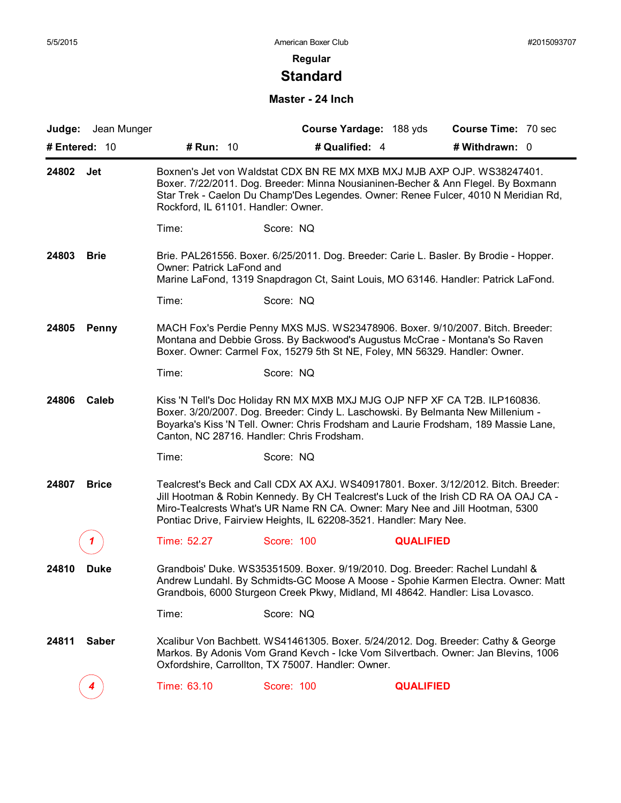# **Standard**

#### **Master - 24 Inch**

| <b>Judge:</b> Jean Munger |                                                                                                                                                                                                                                                                                                     |                                                                                                                                                                                                                                                                                                                                  | Course Yardage: 188 yds | <b>Course Time: 70 sec</b>                                                                                                                                              |  |
|---------------------------|-----------------------------------------------------------------------------------------------------------------------------------------------------------------------------------------------------------------------------------------------------------------------------------------------------|----------------------------------------------------------------------------------------------------------------------------------------------------------------------------------------------------------------------------------------------------------------------------------------------------------------------------------|-------------------------|-------------------------------------------------------------------------------------------------------------------------------------------------------------------------|--|
| # Entered: 10             | # Run: 10                                                                                                                                                                                                                                                                                           | # Qualified: 4                                                                                                                                                                                                                                                                                                                   |                         | # Withdrawn: 0                                                                                                                                                          |  |
| 24802<br>Jet              | Rockford, IL 61101. Handler: Owner.                                                                                                                                                                                                                                                                 | Boxnen's Jet von Waldstat CDX BN RE MX MXB MXJ MJB AXP OJP. WS38247401.                                                                                                                                                                                                                                                          |                         | Boxer. 7/22/2011. Dog. Breeder: Minna Nousianinen-Becher & Ann Flegel. By Boxmann<br>Star Trek - Caelon Du Champ'Des Legendes. Owner: Renee Fulcer, 4010 N Meridian Rd, |  |
|                           | Time:                                                                                                                                                                                                                                                                                               | Score: NQ                                                                                                                                                                                                                                                                                                                        |                         |                                                                                                                                                                         |  |
| 24803<br><b>Brie</b>      | Brie. PAL261556. Boxer. 6/25/2011. Dog. Breeder: Carie L. Basler. By Brodie - Hopper.<br>Owner: Patrick LaFond and<br>Marine LaFond, 1319 Snapdragon Ct, Saint Louis, MO 63146. Handler: Patrick LaFond.                                                                                            |                                                                                                                                                                                                                                                                                                                                  |                         |                                                                                                                                                                         |  |
|                           | Time:                                                                                                                                                                                                                                                                                               | Score: NQ                                                                                                                                                                                                                                                                                                                        |                         |                                                                                                                                                                         |  |
| 24805<br>Penny            | MACH Fox's Perdie Penny MXS MJS. WS23478906. Boxer. 9/10/2007. Bitch. Breeder:<br>Montana and Debbie Gross. By Backwood's Augustus McCrae - Montana's So Raven<br>Boxer. Owner: Carmel Fox, 15279 5th St NE, Foley, MN 56329. Handler: Owner.                                                       |                                                                                                                                                                                                                                                                                                                                  |                         |                                                                                                                                                                         |  |
|                           | Time:                                                                                                                                                                                                                                                                                               | Score: NQ                                                                                                                                                                                                                                                                                                                        |                         |                                                                                                                                                                         |  |
| 24806<br>Caleb            | Kiss 'N Tell's Doc Holiday RN MX MXB MXJ MJG OJP NFP XF CA T2B. ILP160836.<br>Boxer. 3/20/2007. Dog. Breeder: Cindy L. Laschowski. By Belmanta New Millenium -<br>Boyarka's Kiss 'N Tell. Owner: Chris Frodsham and Laurie Frodsham, 189 Massie Lane,<br>Canton, NC 28716. Handler: Chris Frodsham. |                                                                                                                                                                                                                                                                                                                                  |                         |                                                                                                                                                                         |  |
|                           | Time:                                                                                                                                                                                                                                                                                               | Score: NQ                                                                                                                                                                                                                                                                                                                        |                         |                                                                                                                                                                         |  |
| 24807<br><b>Brice</b>     |                                                                                                                                                                                                                                                                                                     | Tealcrest's Beck and Call CDX AX AXJ. WS40917801. Boxer. 3/12/2012. Bitch. Breeder:<br>Jill Hootman & Robin Kennedy. By CH Tealcrest's Luck of the Irish CD RA OA OAJ CA -<br>Miro-Tealcrests What's UR Name RN CA. Owner: Mary Nee and Jill Hootman, 5300<br>Pontiac Drive, Fairview Heights, IL 62208-3521. Handler: Mary Nee. |                         |                                                                                                                                                                         |  |
| 1                         | Time: 52.27                                                                                                                                                                                                                                                                                         | Score: 100                                                                                                                                                                                                                                                                                                                       | <b>QUALIFIED</b>        |                                                                                                                                                                         |  |
| 24810<br><b>Duke</b>      | Grandbois' Duke. WS35351509. Boxer. 9/19/2010. Dog. Breeder: Rachel Lundahl &<br>Andrew Lundahl. By Schmidts-GC Moose A Moose - Spohie Karmen Electra. Owner: Matt<br>Grandbois, 6000 Sturgeon Creek Pkwy, Midland, MI 48642. Handler: Lisa Lovasco.                                                |                                                                                                                                                                                                                                                                                                                                  |                         |                                                                                                                                                                         |  |
|                           | Time:                                                                                                                                                                                                                                                                                               | Score: NQ                                                                                                                                                                                                                                                                                                                        |                         |                                                                                                                                                                         |  |
| <b>Saber</b><br>24811     |                                                                                                                                                                                                                                                                                                     | Oxfordshire, Carrollton, TX 75007. Handler: Owner.                                                                                                                                                                                                                                                                               |                         | Xcalibur Von Bachbett. WS41461305. Boxer. 5/24/2012. Dog. Breeder: Cathy & George<br>Markos. By Adonis Vom Grand Kevch - Icke Vom Silvertbach. Owner: Jan Blevins, 1006 |  |
|                           | Time: 63.10                                                                                                                                                                                                                                                                                         | Score: 100                                                                                                                                                                                                                                                                                                                       | <b>QUALIFIED</b>        |                                                                                                                                                                         |  |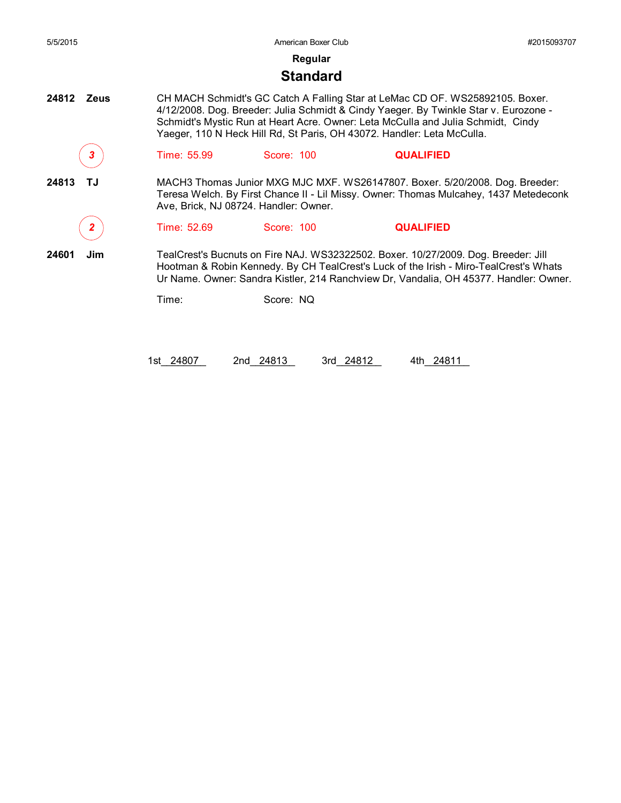|                      |                                                                                                                                                                                                                                                                                                                                    |                                       |                                                                                                                                                                                                                                                                      | #2015093707 |
|----------------------|------------------------------------------------------------------------------------------------------------------------------------------------------------------------------------------------------------------------------------------------------------------------------------------------------------------------------------|---------------------------------------|----------------------------------------------------------------------------------------------------------------------------------------------------------------------------------------------------------------------------------------------------------------------|-------------|
|                      |                                                                                                                                                                                                                                                                                                                                    | Regular                               |                                                                                                                                                                                                                                                                      |             |
|                      |                                                                                                                                                                                                                                                                                                                                    | <b>Standard</b>                       |                                                                                                                                                                                                                                                                      |             |
| <b>Zeus</b><br>24812 | CH MACH Schmidt's GC Catch A Falling Star at LeMac CD OF. WS25892105. Boxer.<br>4/12/2008. Dog. Breeder: Julia Schmidt & Cindy Yaeger. By Twinkle Star v. Eurozone -<br>Schmidt's Mystic Run at Heart Acre. Owner: Leta McCulla and Julia Schmidt, Cindy<br>Yaeger, 110 N Heck Hill Rd, St Paris, OH 43072. Handler: Leta McCulla. |                                       |                                                                                                                                                                                                                                                                      |             |
|                      | Time: 55.99                                                                                                                                                                                                                                                                                                                        | Score: 100                            | <b>QUALIFIED</b>                                                                                                                                                                                                                                                     |             |
| 24813<br>ТJ          |                                                                                                                                                                                                                                                                                                                                    | Ave, Brick, NJ 08724. Handler: Owner. | MACH3 Thomas Junior MXG MJC MXF. WS26147807. Boxer. 5/20/2008. Dog. Breeder:<br>Teresa Welch. By First Chance II - Lil Missy. Owner: Thomas Mulcahey, 1437 Metedeconk                                                                                                |             |
|                      |                                                                                                                                                                                                                                                                                                                                    |                                       |                                                                                                                                                                                                                                                                      |             |
|                      | Time: 52.69                                                                                                                                                                                                                                                                                                                        | Score: 100                            | <b>QUALIFIED</b>                                                                                                                                                                                                                                                     |             |
| 24601<br>Jim         |                                                                                                                                                                                                                                                                                                                                    |                                       | TealCrest's Bucnuts on Fire NAJ. WS32322502. Boxer. 10/27/2009. Dog. Breeder: Jill<br>Hootman & Robin Kennedy. By CH TealCrest's Luck of the Irish - Miro-TealCrest's Whats<br>Ur Name. Owner: Sandra Kistler, 214 Ranchview Dr, Vandalia, OH 45377. Handler: Owner. |             |

1st\_24807 2nd\_24813 3rd\_24812 4th\_24811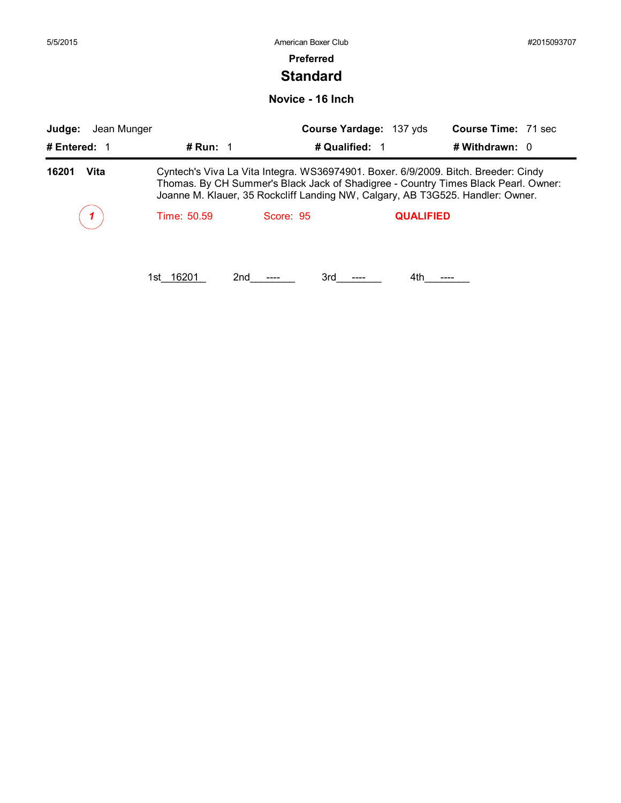| 5/5/2015              |             | American Boxer Club                                                                                                                                                                                                                                        |                         |                            | #2015093707 |  |  |
|-----------------------|-------------|------------------------------------------------------------------------------------------------------------------------------------------------------------------------------------------------------------------------------------------------------------|-------------------------|----------------------------|-------------|--|--|
|                       |             | <b>Preferred</b>                                                                                                                                                                                                                                           |                         |                            |             |  |  |
|                       |             | <b>Standard</b>                                                                                                                                                                                                                                            |                         |                            |             |  |  |
|                       |             | Novice - 16 Inch                                                                                                                                                                                                                                           |                         |                            |             |  |  |
| Judge:<br>Jean Munger |             |                                                                                                                                                                                                                                                            | Course Yardage: 137 yds | <b>Course Time: 71 sec</b> |             |  |  |
| # Entered: $1$        | # Run: 1    | # Qualified: 1                                                                                                                                                                                                                                             |                         | # Withdrawn: 0             |             |  |  |
| 16201<br>Vita         |             | Cyntech's Viva La Vita Integra. WS36974901. Boxer. 6/9/2009. Bitch. Breeder: Cindy<br>Thomas. By CH Summer's Black Jack of Shadigree - Country Times Black Pearl. Owner:<br>Joanne M. Klauer, 35 Rockcliff Landing NW, Calgary, AB T3G525. Handler: Owner. |                         |                            |             |  |  |
|                       |             |                                                                                                                                                                                                                                                            | <b>QUALIFIED</b>        |                            |             |  |  |
|                       | Time: 50.59 | Score: 95                                                                                                                                                                                                                                                  |                         |                            |             |  |  |
|                       |             |                                                                                                                                                                                                                                                            |                         |                            |             |  |  |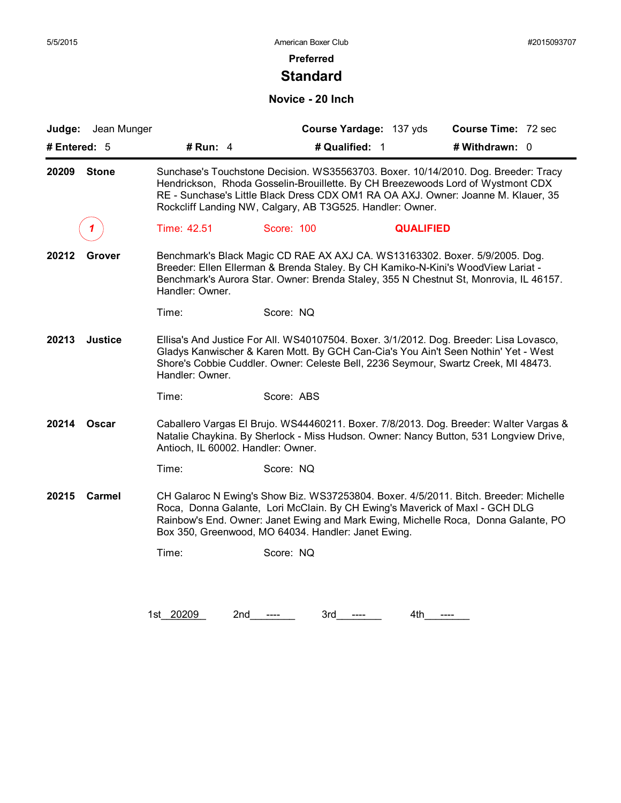### **Standard**

#### **Novice - 20 Inch**

| Judge: Jean Munger      |                                    |                                                           | Course Yardage: 137 yds | <b>Course Time: 72 sec</b>                                                                                                                                                                                                                                         |
|-------------------------|------------------------------------|-----------------------------------------------------------|-------------------------|--------------------------------------------------------------------------------------------------------------------------------------------------------------------------------------------------------------------------------------------------------------------|
| # Entered: 5            | # Run: 4                           |                                                           | # Qualified: 1          | # Withdrawn: 0                                                                                                                                                                                                                                                     |
| 20209<br><b>Stone</b>   |                                    | Rockcliff Landing NW, Calgary, AB T3G525. Handler: Owner. |                         | Sunchase's Touchstone Decision. WS35563703. Boxer. 10/14/2010. Dog. Breeder: Tracy<br>Hendrickson, Rhoda Gosselin-Brouillette. By CH Breezewoods Lord of Wystmont CDX<br>RE - Sunchase's Little Black Dress CDX OM1 RA OA AXJ. Owner: Joanne M. Klauer, 35         |
|                         | Time: 42.51                        | Score: 100                                                | <b>QUALIFIED</b>        |                                                                                                                                                                                                                                                                    |
| Grover<br>20212         | Handler: Owner.                    |                                                           |                         | Benchmark's Black Magic CD RAE AX AXJ CA. WS13163302. Boxer. 5/9/2005. Dog.<br>Breeder: Ellen Ellerman & Brenda Staley. By CH Kamiko-N-Kini's WoodView Lariat -<br>Benchmark's Aurora Star. Owner: Brenda Staley, 355 N Chestnut St, Monrovia, IL 46157.           |
|                         | Time:                              | Score: NQ                                                 |                         |                                                                                                                                                                                                                                                                    |
| 20213<br><b>Justice</b> | Handler: Owner.                    |                                                           |                         | Ellisa's And Justice For All. WS40107504. Boxer. 3/1/2012. Dog. Breeder: Lisa Lovasco,<br>Gladys Kanwischer & Karen Mott. By GCH Can-Cia's You Ain't Seen Nothin' Yet - West<br>Shore's Cobbie Cuddler. Owner: Celeste Bell, 2236 Seymour, Swartz Creek, MI 48473. |
|                         | Time:                              | Score: ABS                                                |                         |                                                                                                                                                                                                                                                                    |
| 20214<br>Oscar          | Antioch, IL 60002. Handler: Owner. |                                                           |                         | Caballero Vargas El Brujo. WS44460211. Boxer. 7/8/2013. Dog. Breeder: Walter Vargas &<br>Natalie Chaykina. By Sherlock - Miss Hudson. Owner: Nancy Button, 531 Longview Drive,                                                                                     |
|                         | Time:                              | Score: NQ                                                 |                         |                                                                                                                                                                                                                                                                    |
| 20215<br><b>Carmel</b>  |                                    | Box 350, Greenwood, MO 64034. Handler: Janet Ewing.       |                         | CH Galaroc N Ewing's Show Biz. WS37253804. Boxer. 4/5/2011. Bitch. Breeder: Michelle<br>Roca, Donna Galante, Lori McClain. By CH Ewing's Maverick of Maxl - GCH DLG<br>Rainbow's End. Owner: Janet Ewing and Mark Ewing, Michelle Roca, Donna Galante, PO          |
|                         | Time:                              | Score: NQ                                                 |                         |                                                                                                                                                                                                                                                                    |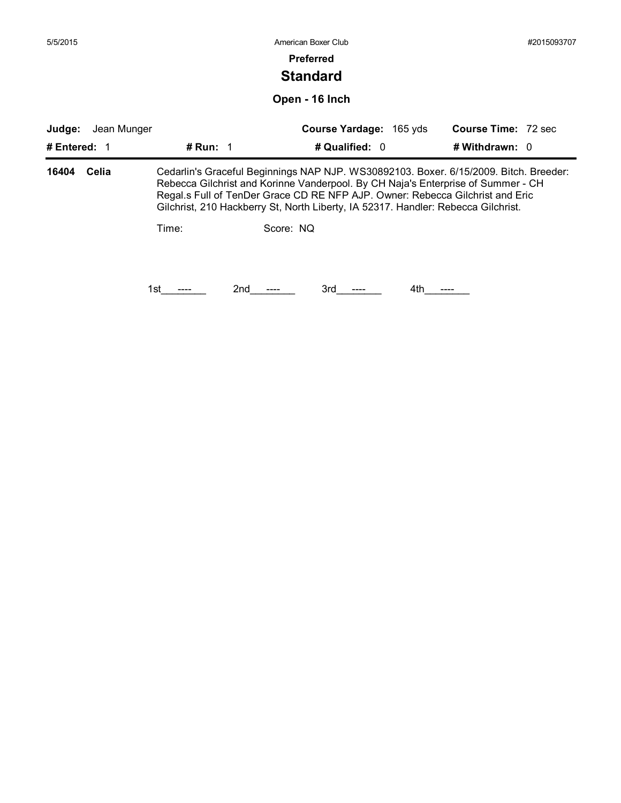| 5/5/2015     |             |                   |           | American Boxer Club                                                                                                                                                                                                                                                                                                                             |                            | #2015093707 |
|--------------|-------------|-------------------|-----------|-------------------------------------------------------------------------------------------------------------------------------------------------------------------------------------------------------------------------------------------------------------------------------------------------------------------------------------------------|----------------------------|-------------|
|              |             |                   |           | <b>Preferred</b>                                                                                                                                                                                                                                                                                                                                |                            |             |
|              |             |                   |           | <b>Standard</b>                                                                                                                                                                                                                                                                                                                                 |                            |             |
|              |             |                   |           | Open - 16 Inch                                                                                                                                                                                                                                                                                                                                  |                            |             |
| Judge:       | Jean Munger |                   |           | Course Yardage: 165 yds                                                                                                                                                                                                                                                                                                                         | <b>Course Time: 72 sec</b> |             |
| # Entered: 1 |             | # Run: $\sqrt{1}$ |           | # Qualified: 0                                                                                                                                                                                                                                                                                                                                  | # Withdrawn: $0$           |             |
| 16404        | Celia       |                   |           | Cedarlin's Graceful Beginnings NAP NJP. WS30892103. Boxer. 6/15/2009. Bitch. Breeder:<br>Rebecca Gilchrist and Korinne Vanderpool. By CH Naja's Enterprise of Summer - CH<br>Regal.s Full of TenDer Grace CD RE NFP AJP. Owner: Rebecca Gilchrist and Eric<br>Gilchrist, 210 Hackberry St, North Liberty, IA 52317. Handler: Rebecca Gilchrist. |                            |             |
|              |             |                   |           |                                                                                                                                                                                                                                                                                                                                                 |                            |             |
|              |             | Time:             | Score: NQ |                                                                                                                                                                                                                                                                                                                                                 |                            |             |
|              |             | 1st               | 2nd       | 3rd<br>4th                                                                                                                                                                                                                                                                                                                                      |                            |             |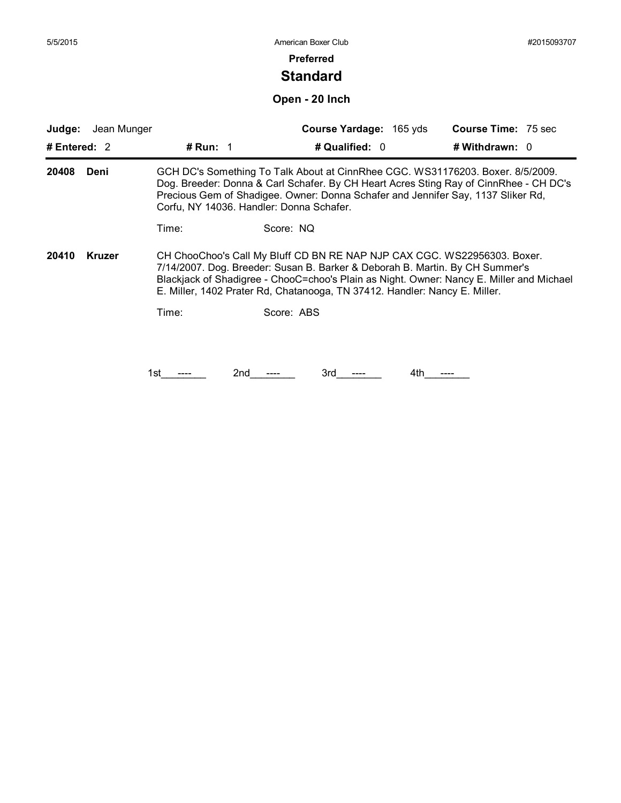#### **Preferred**

### **Standard**

**Open - 20 Inch**

| Judge:         | Jean Munger   |                                                                                                                                                                                                                                                                                                                                    | Course Yardage: 165 yds                                                                                                                                                                                                                                     | <b>Course Time: 75 sec</b> |  |
|----------------|---------------|------------------------------------------------------------------------------------------------------------------------------------------------------------------------------------------------------------------------------------------------------------------------------------------------------------------------------------|-------------------------------------------------------------------------------------------------------------------------------------------------------------------------------------------------------------------------------------------------------------|----------------------------|--|
| # Entered: $2$ |               | # Run: $\sqrt{1}$                                                                                                                                                                                                                                                                                                                  | # Qualified: 0                                                                                                                                                                                                                                              | # Withdrawn: $0$           |  |
| 20408          | Deni          | Corfu, NY 14036. Handler: Donna Schafer.                                                                                                                                                                                                                                                                                           | GCH DC's Something To Talk About at CinnRhee CGC. WS31176203. Boxer. 8/5/2009.<br>Dog. Breeder: Donna & Carl Schafer. By CH Heart Acres Sting Ray of CinnRhee - CH DC's<br>Precious Gem of Shadigee. Owner: Donna Schafer and Jennifer Say, 1137 Sliker Rd, |                            |  |
|                |               | Time:                                                                                                                                                                                                                                                                                                                              | Score: NQ                                                                                                                                                                                                                                                   |                            |  |
| 20410          | <b>Kruzer</b> | CH ChooChoo's Call My Bluff CD BN RE NAP NJP CAX CGC. WS22956303. Boxer.<br>7/14/2007. Dog. Breeder: Susan B. Barker & Deborah B. Martin. By CH Summer's<br>Blackjack of Shadigree - ChooC=choo's Plain as Night. Owner: Nancy E. Miller and Michael<br>E. Miller, 1402 Prater Rd, Chatanooga, TN 37412. Handler: Nancy E. Miller. |                                                                                                                                                                                                                                                             |                            |  |
|                |               | Time:                                                                                                                                                                                                                                                                                                                              | Score: ABS                                                                                                                                                                                                                                                  |                            |  |
|                |               |                                                                                                                                                                                                                                                                                                                                    |                                                                                                                                                                                                                                                             |                            |  |
|                |               |                                                                                                                                                                                                                                                                                                                                    |                                                                                                                                                                                                                                                             |                            |  |
|                |               | 2nd<br>1st                                                                                                                                                                                                                                                                                                                         | 3rd<br>4th                                                                                                                                                                                                                                                  |                            |  |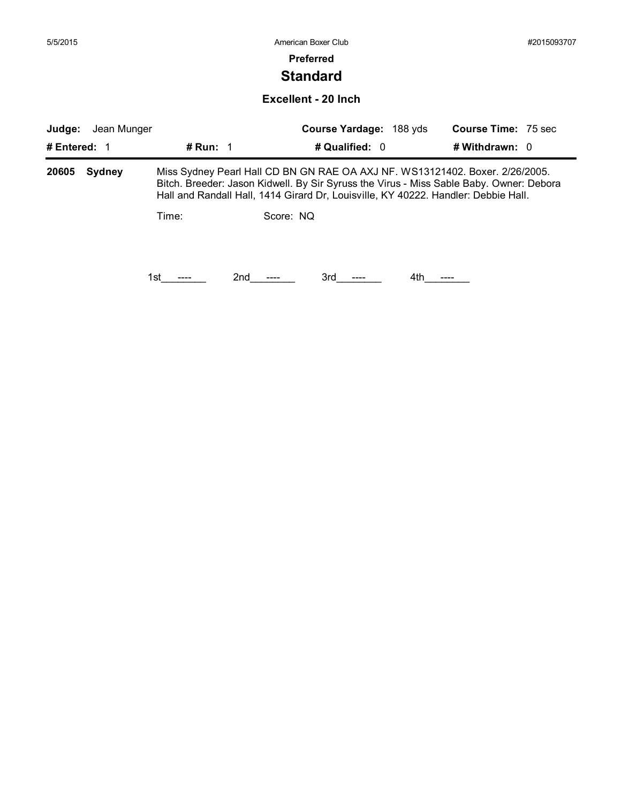| 5/5/2015               |                                                                                                                                                                                                                                                               | American Boxer Club     |                            |  |  |  |
|------------------------|---------------------------------------------------------------------------------------------------------------------------------------------------------------------------------------------------------------------------------------------------------------|-------------------------|----------------------------|--|--|--|
|                        |                                                                                                                                                                                                                                                               | <b>Preferred</b>        |                            |  |  |  |
|                        |                                                                                                                                                                                                                                                               | <b>Standard</b>         |                            |  |  |  |
|                        | Excellent - 20 Inch                                                                                                                                                                                                                                           |                         |                            |  |  |  |
| Judge:<br>Jean Munger  |                                                                                                                                                                                                                                                               | Course Yardage: 188 yds | <b>Course Time: 75 sec</b> |  |  |  |
| # Entered: $1$         | # Run: $1$                                                                                                                                                                                                                                                    | # Qualified: 0          | # Withdrawn: 0             |  |  |  |
| 20605<br><b>Sydney</b> | Miss Sydney Pearl Hall CD BN GN RAE OA AXJ NF. WS13121402. Boxer. 2/26/2005.<br>Bitch. Breeder: Jason Kidwell. By Sir Syruss the Virus - Miss Sable Baby. Owner: Debora<br>Hall and Randall Hall, 1414 Girard Dr, Louisville, KY 40222. Handler: Debbie Hall. |                         |                            |  |  |  |
|                        | Time:                                                                                                                                                                                                                                                         | Score: NQ               |                            |  |  |  |

1st\_\_\_\_\_\_\_\_ 2nd\_\_\_\_\_\_ 3rd\_\_\_\_\_\_ 4th\_\_\_\_\_\_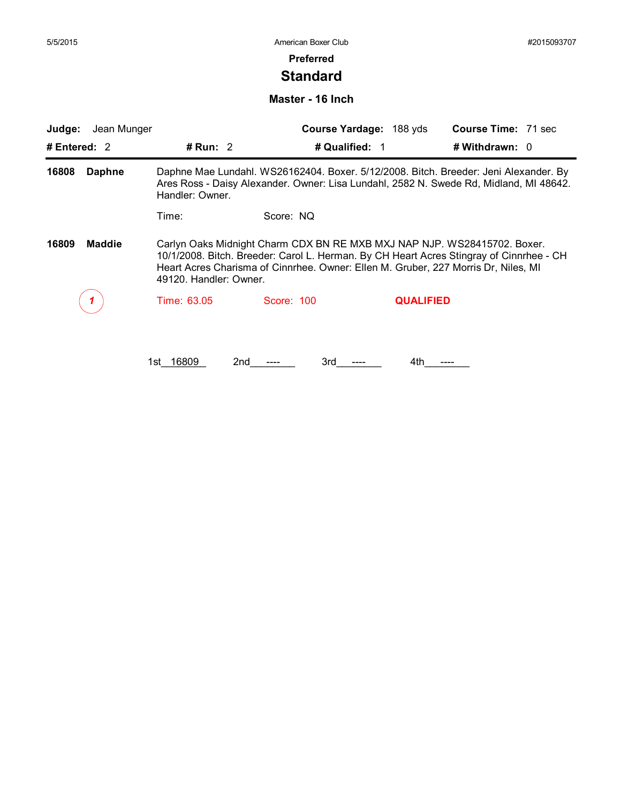#### **Preferred**

### **Standard**

**Master - 16 Inch**

| Judge:         | Jean Munger   |                        |                                                                                                                                                                                                                                                           | Course Yardage: 188 yds | <b>Course Time: 71 sec</b> |  |
|----------------|---------------|------------------------|-----------------------------------------------------------------------------------------------------------------------------------------------------------------------------------------------------------------------------------------------------------|-------------------------|----------------------------|--|
| # Entered: $2$ |               | # Run: $2$             | # Qualified: 1                                                                                                                                                                                                                                            |                         | # Withdrawn: $0$           |  |
| 16808          | <b>Daphne</b> | Handler: Owner.        | Daphne Mae Lundahl. WS26162404. Boxer. 5/12/2008. Bitch. Breeder: Jeni Alexander. By<br>Ares Ross - Daisy Alexander. Owner: Lisa Lundahl, 2582 N. Swede Rd, Midland, MI 48642.                                                                            |                         |                            |  |
|                |               | Time:                  | Score: NQ                                                                                                                                                                                                                                                 |                         |                            |  |
| 16809          | Maddie        | 49120. Handler: Owner. | Carlyn Oaks Midnight Charm CDX BN RE MXB MXJ NAP NJP. WS28415702. Boxer.<br>10/1/2008. Bitch. Breeder: Carol L. Herman. By CH Heart Acres Stingray of Cinnrhee - CH<br>Heart Acres Charisma of Cinnrhee. Owner: Ellen M. Gruber, 227 Morris Dr, Niles, MI |                         |                            |  |
|                |               | Time: 63.05            | Score: 100                                                                                                                                                                                                                                                | <b>QUALIFIED</b>        |                            |  |

1st\_16809 2nd\_\_\_\_\_\_ 3rd\_\_\_\_\_\_ 4th\_\_\_\_\_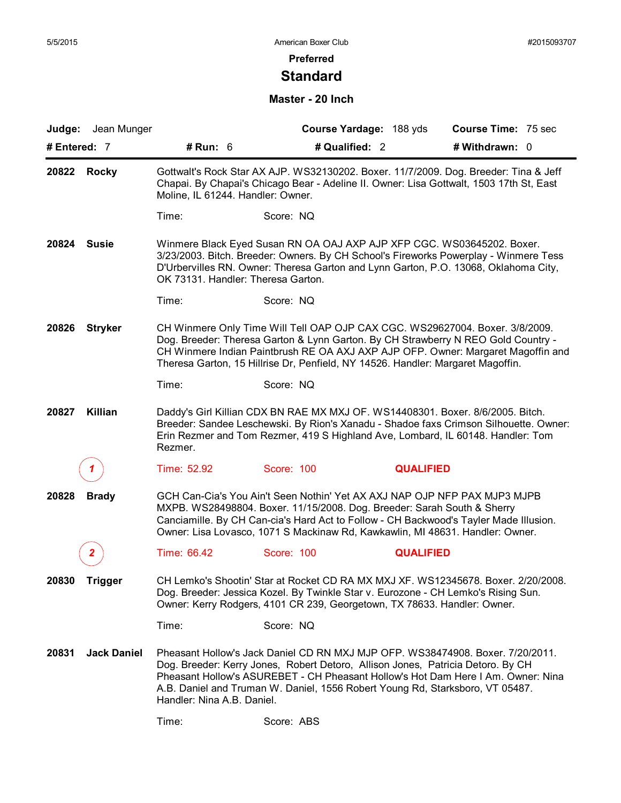### **Standard**

#### **Master - 20 Inch**

|              | Judge: Jean Munger |                                    | Course Yardage: 188 yds                                                                                                                                                                                                                                                                                                                  | <b>Course Time: 75 sec</b> |  |
|--------------|--------------------|------------------------------------|------------------------------------------------------------------------------------------------------------------------------------------------------------------------------------------------------------------------------------------------------------------------------------------------------------------------------------------|----------------------------|--|
| # Entered: 7 |                    | # $Run: 6$                         | # Qualified: 2                                                                                                                                                                                                                                                                                                                           | # Withdrawn: 0             |  |
| 20822        | <b>Rocky</b>       | Moline, IL 61244. Handler: Owner.  | Gottwalt's Rock Star AX AJP. WS32130202. Boxer. 11/7/2009. Dog. Breeder: Tina & Jeff<br>Chapai. By Chapai's Chicago Bear - Adeline II. Owner: Lisa Gottwalt, 1503 17th St, East                                                                                                                                                          |                            |  |
|              |                    | Time:                              | Score: NQ                                                                                                                                                                                                                                                                                                                                |                            |  |
| 20824        | <b>Susie</b>       | OK 73131. Handler: Theresa Garton. | Winmere Black Eyed Susan RN OA OAJ AXP AJP XFP CGC. WS03645202. Boxer.<br>3/23/2003. Bitch. Breeder: Owners. By CH School's Fireworks Powerplay - Winmere Tess<br>D'Urbervilles RN. Owner: Theresa Garton and Lynn Garton, P.O. 13068, Oklahoma City,                                                                                    |                            |  |
|              |                    | Time:                              | Score: NQ                                                                                                                                                                                                                                                                                                                                |                            |  |
| 20826        | <b>Stryker</b>     |                                    | CH Winmere Only Time Will Tell OAP OJP CAX CGC. WS29627004. Boxer. 3/8/2009.<br>Dog. Breeder: Theresa Garton & Lynn Garton. By CH Strawberry N REO Gold Country -<br>CH Winmere Indian Paintbrush RE OA AXJ AXP AJP OFP. Owner: Margaret Magoffin and<br>Theresa Garton, 15 Hillrise Dr, Penfield, NY 14526. Handler: Margaret Magoffin. |                            |  |
|              |                    | Time:                              | Score: NQ                                                                                                                                                                                                                                                                                                                                |                            |  |
| 20827        | Killian            | Rezmer.                            | Daddy's Girl Killian CDX BN RAE MX MXJ OF. WS14408301. Boxer. 8/6/2005. Bitch.<br>Breeder: Sandee Leschewski. By Rion's Xanadu - Shadoe faxs Crimson Silhouette. Owner:<br>Erin Rezmer and Tom Rezmer, 419 S Highland Ave, Lombard, IL 60148. Handler: Tom                                                                               |                            |  |
|              |                    | Time: 52.92                        | Score: 100                                                                                                                                                                                                                                                                                                                               | <b>QUALIFIED</b>           |  |
| 20828        | <b>Brady</b>       |                                    | GCH Can-Cia's You Ain't Seen Nothin' Yet AX AXJ NAP OJP NFP PAX MJP3 MJPB<br>MXPB. WS28498804. Boxer. 11/15/2008. Dog. Breeder: Sarah South & Sherry<br>Canciamille. By CH Can-cia's Hard Act to Follow - CH Backwood's Tayler Made Illusion.<br>Owner: Lisa Lovasco, 1071 S Mackinaw Rd, Kawkawlin, MI 48631. Handler: Owner.           |                            |  |
|              |                    | Time: 66.42                        | Score: 100                                                                                                                                                                                                                                                                                                                               | <b>QUALIFIED</b>           |  |
| 20830        | <b>Trigger</b>     |                                    | CH Lemko's Shootin' Star at Rocket CD RA MX MXJ XF. WS12345678. Boxer. 2/20/2008.<br>Dog. Breeder: Jessica Kozel. By Twinkle Star v. Eurozone - CH Lemko's Rising Sun.<br>Owner: Kerry Rodgers, 4101 CR 239, Georgetown, TX 78633. Handler: Owner.                                                                                       |                            |  |
|              |                    | Time:                              | Score: NQ                                                                                                                                                                                                                                                                                                                                |                            |  |
| 20831        | <b>Jack Daniel</b> | Handler: Nina A.B. Daniel.         | Pheasant Hollow's Jack Daniel CD RN MXJ MJP OFP. WS38474908. Boxer. 7/20/2011.<br>Dog. Breeder: Kerry Jones, Robert Detoro, Allison Jones, Patricia Detoro. By CH<br>Pheasant Hollow's ASUREBET - CH Pheasant Hollow's Hot Dam Here I Am. Owner: Nina<br>A.B. Daniel and Truman W. Daniel, 1556 Robert Young Rd, Starksboro, VT 05487.   |                            |  |
|              |                    | Time:                              | Score: ABS                                                                                                                                                                                                                                                                                                                               |                            |  |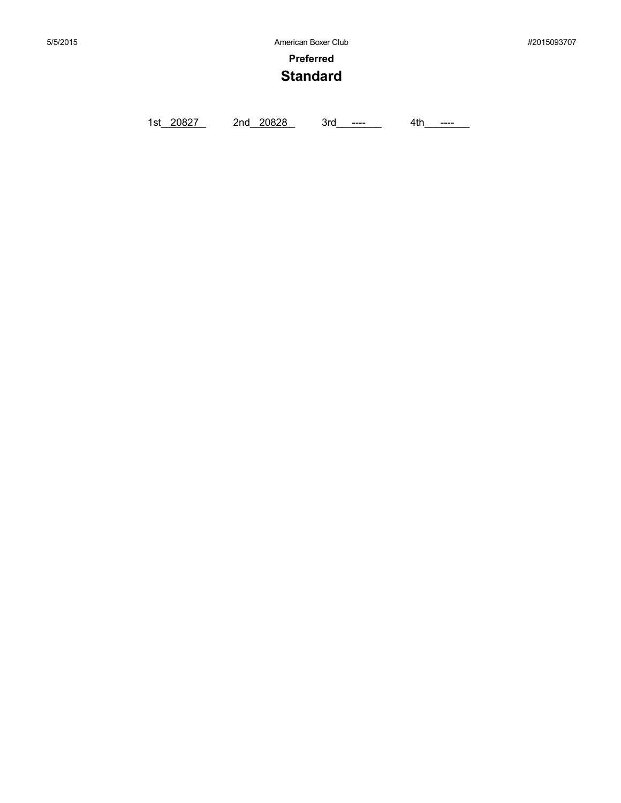## **Standard**

1st\_20827 2nd\_20828 3rd\_\_\_\_\_ 4th\_\_\_\_\_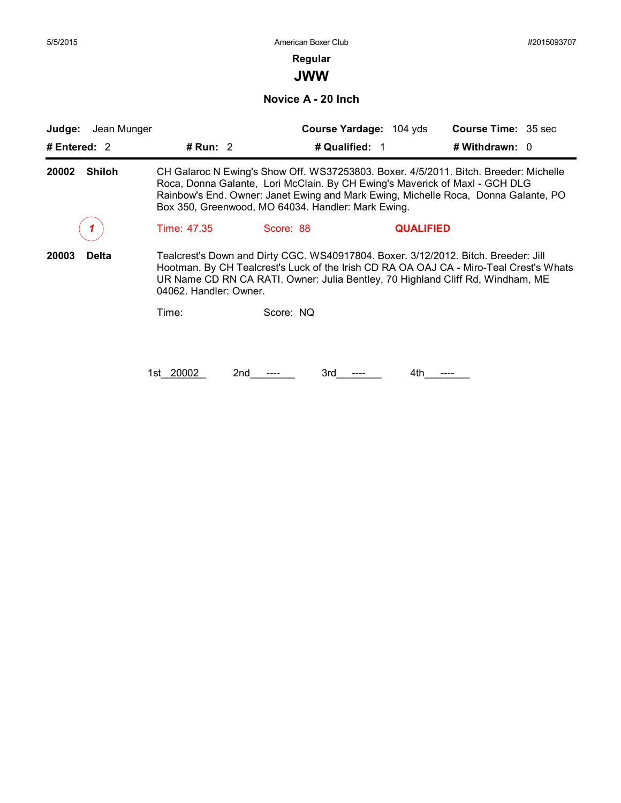**Regular**

**JWW**

**Novice A - 20 Inch**

| Judge:<br>Jean Munger  |                        |                                                                                                                                                                                                                                                                                                                 | Course Yardage: 104 yds | <b>Course Time: 35 sec</b> |  |
|------------------------|------------------------|-----------------------------------------------------------------------------------------------------------------------------------------------------------------------------------------------------------------------------------------------------------------------------------------------------------------|-------------------------|----------------------------|--|
| # Entered: $2$         | # Run: $2$             | # Qualified: 1                                                                                                                                                                                                                                                                                                  |                         | # Withdrawn: $0$           |  |
| <b>Shiloh</b><br>20002 |                        | CH Galaroc N Ewing's Show Off. WS37253803. Boxer. 4/5/2011. Bitch. Breeder: Michelle<br>Roca, Donna Galante, Lori McClain. By CH Ewing's Maverick of Maxl - GCH DLG<br>Rainbow's End. Owner: Janet Ewing and Mark Ewing, Michelle Roca, Donna Galante, PO<br>Box 350, Greenwood, MO 64034. Handler: Mark Ewing. |                         |                            |  |
|                        | Time: 47.35            | Score: 88                                                                                                                                                                                                                                                                                                       | <b>QUALIFIED</b>        |                            |  |
| 20003<br>Delta         | 04062. Handler: Owner. | Tealcrest's Down and Dirty CGC. WS40917804. Boxer. 3/12/2012. Bitch. Breeder: Jill<br>Hootman. By CH Tealcrest's Luck of the Irish CD RA OA OAJ CA - Miro-Teal Crest's Whats<br>UR Name CD RN CA RATI. Owner: Julia Bentley, 70 Highland Cliff Rd, Windham, ME                                                  |                         |                            |  |
|                        | Time:                  | Score: NQ                                                                                                                                                                                                                                                                                                       |                         |                            |  |
|                        |                        |                                                                                                                                                                                                                                                                                                                 |                         |                            |  |
|                        | 1st 20002<br>2nd       | 3rd                                                                                                                                                                                                                                                                                                             | 4th                     |                            |  |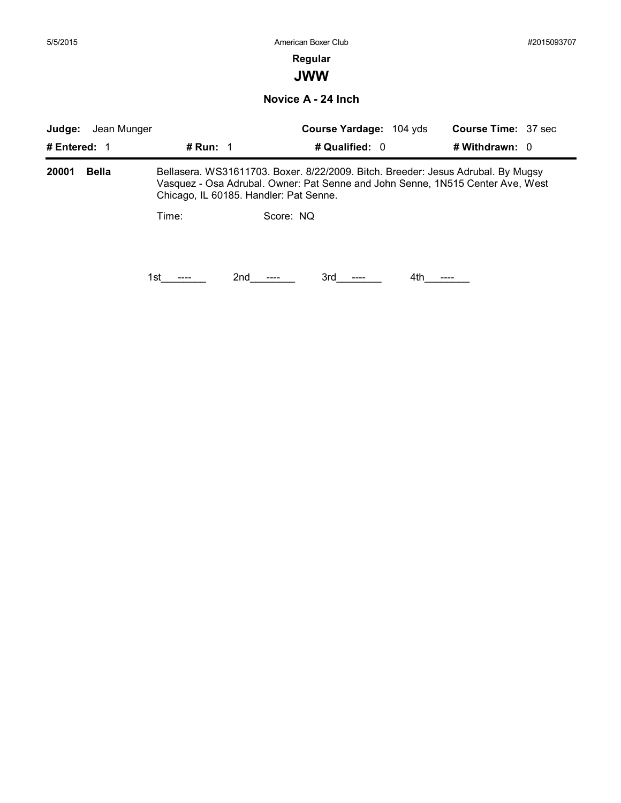**JWW**

**Novice A - 24 Inch**

| Judge:       | Jean Munger |            |                                        | Course Yardage: 104 yds | <b>Course Time: 37 sec</b>                                                                                                                                         |  |
|--------------|-------------|------------|----------------------------------------|-------------------------|--------------------------------------------------------------------------------------------------------------------------------------------------------------------|--|
| # Entered: 1 |             | # Run: $1$ |                                        | # Qualified: 0          | # Withdrawn: $0$                                                                                                                                                   |  |
| 20001        | Bella       |            | Chicago, IL 60185. Handler: Pat Senne. |                         | Bellasera. WS31611703. Boxer. 8/22/2009. Bitch. Breeder: Jesus Adrubal. By Mugsy<br>Vasquez - Osa Adrubal. Owner: Pat Senne and John Senne, 1N515 Center Ave, West |  |
|              |             | Time:      | Score: NQ                              |                         |                                                                                                                                                                    |  |
|              |             | 1st.       | 2nd                                    | 3rd                     | 4th.                                                                                                                                                               |  |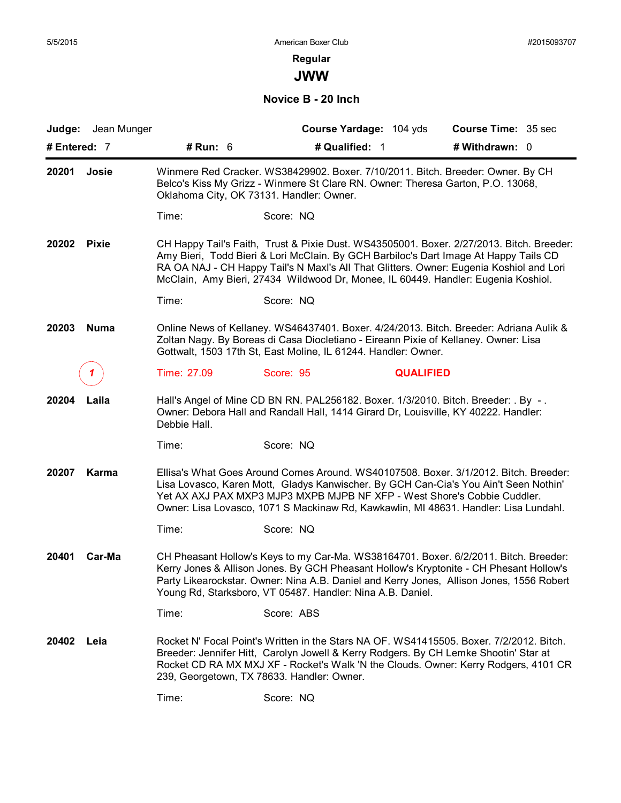**JWW**

**Novice B - 20 Inch**

| Judge: Jean Munger    |                                            | Course Yardage: 104 yds                                                                                                                                                                                                                                                                                                                                          | Course Time: 35 sec |
|-----------------------|--------------------------------------------|------------------------------------------------------------------------------------------------------------------------------------------------------------------------------------------------------------------------------------------------------------------------------------------------------------------------------------------------------------------|---------------------|
| # Entered: 7          | # Run: $6$                                 | # Qualified: 1                                                                                                                                                                                                                                                                                                                                                   | # Withdrawn: 0      |
| 20201<br>Josie        | Oklahoma City, OK 73131. Handler: Owner.   | Winmere Red Cracker. WS38429902. Boxer. 7/10/2011. Bitch. Breeder: Owner. By CH<br>Belco's Kiss My Grizz - Winmere St Clare RN. Owner: Theresa Garton, P.O. 13068,                                                                                                                                                                                               |                     |
|                       | Time:                                      | Score: NQ                                                                                                                                                                                                                                                                                                                                                        |                     |
| 20202<br><b>Pixie</b> |                                            | CH Happy Tail's Faith, Trust & Pixie Dust. WS43505001. Boxer. 2/27/2013. Bitch. Breeder:<br>Amy Bieri, Todd Bieri & Lori McClain. By GCH Barbiloc's Dart Image At Happy Tails CD<br>RA OA NAJ - CH Happy Tail's N Maxl's All That Glitters. Owner: Eugenia Koshiol and Lori<br>McClain, Amy Bieri, 27434 Wildwood Dr, Monee, IL 60449. Handler: Eugenia Koshiol. |                     |
|                       | Time:                                      | Score: NQ                                                                                                                                                                                                                                                                                                                                                        |                     |
| 20203<br><b>Numa</b>  |                                            | Online News of Kellaney. WS46437401. Boxer. 4/24/2013. Bitch. Breeder: Adriana Aulik &<br>Zoltan Nagy. By Boreas di Casa Diocletiano - Eireann Pixie of Kellaney. Owner: Lisa<br>Gottwalt, 1503 17th St, East Moline, IL 61244. Handler: Owner.                                                                                                                  |                     |
|                       | Time: 27.09                                | Score: 95<br><b>QUALIFIED</b>                                                                                                                                                                                                                                                                                                                                    |                     |
| 20204<br>Laila        | Debbie Hall.                               | Hall's Angel of Mine CD BN RN. PAL256182. Boxer. 1/3/2010. Bitch. Breeder: . By -.<br>Owner: Debora Hall and Randall Hall, 1414 Girard Dr, Louisville, KY 40222. Handler:                                                                                                                                                                                        |                     |
|                       | Time:                                      | Score: NQ                                                                                                                                                                                                                                                                                                                                                        |                     |
| 20207<br>Karma        |                                            | Ellisa's What Goes Around Comes Around. WS40107508. Boxer. 3/1/2012. Bitch. Breeder:<br>Lisa Lovasco, Karen Mott, Gladys Kanwischer. By GCH Can-Cia's You Ain't Seen Nothin'<br>Yet AX AXJ PAX MXP3 MJP3 MXPB MJPB NF XFP - West Shore's Cobbie Cuddler.<br>Owner: Lisa Lovasco, 1071 S Mackinaw Rd, Kawkawlin, MI 48631. Handler: Lisa Lundahl.                 |                     |
|                       | Time:                                      | Score: NQ                                                                                                                                                                                                                                                                                                                                                        |                     |
| Car-Ma<br>20401       |                                            | CH Pheasant Hollow's Keys to my Car-Ma. WS38164701. Boxer. 6/2/2011. Bitch. Breeder:<br>Kerry Jones & Allison Jones. By GCH Pheasant Hollow's Kryptonite - CH Phesant Hollow's<br>Party Likearockstar. Owner: Nina A.B. Daniel and Kerry Jones, Allison Jones, 1556 Robert<br>Young Rd, Starksboro, VT 05487. Handler: Nina A.B. Daniel.                         |                     |
|                       | Time:                                      | Score: ABS                                                                                                                                                                                                                                                                                                                                                       |                     |
| 20402<br>Leia         | 239, Georgetown, TX 78633. Handler: Owner. | Rocket N' Focal Point's Written in the Stars NA OF. WS41415505. Boxer. 7/2/2012. Bitch.<br>Breeder: Jennifer Hitt, Carolyn Jowell & Kerry Rodgers. By CH Lemke Shootin' Star at<br>Rocket CD RA MX MXJ XF - Rocket's Walk 'N the Clouds. Owner: Kerry Rodgers, 4101 CR                                                                                           |                     |
|                       | Time:                                      | Score: NQ                                                                                                                                                                                                                                                                                                                                                        |                     |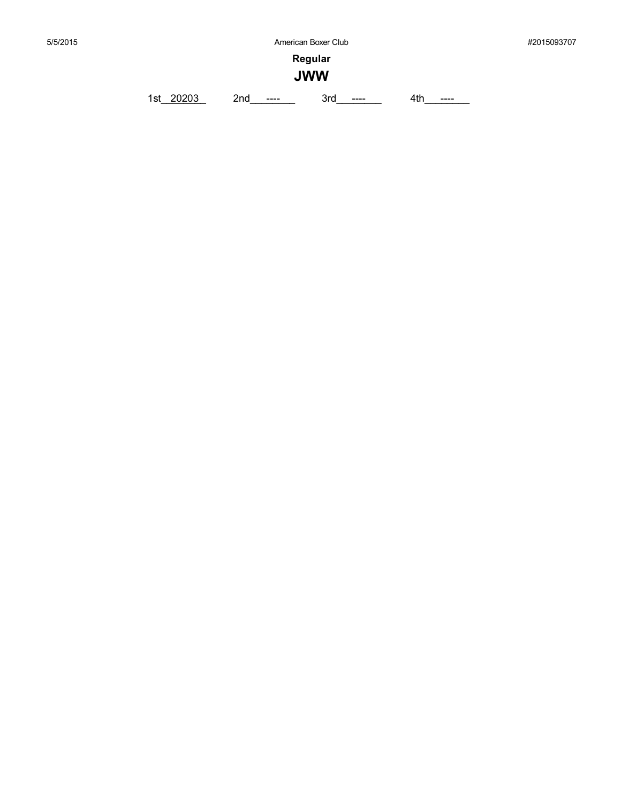|          | Club           |             |
|----------|----------------|-------------|
| 5/5/2015 | American Boxer | #2015093707 |
|          |                |             |
|          |                |             |

**JWW**

1st\_20203 2nd\_\_\_\_\_\_ 3rd\_\_\_\_\_\_ 4th\_\_\_\_\_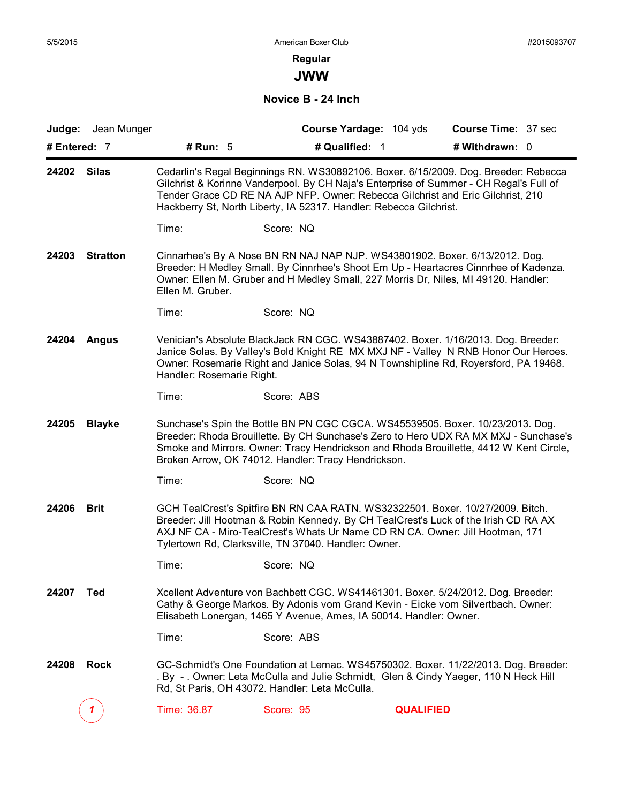**JWW**

### **Novice B - 24 Inch**

|              | Judge: Jean Munger |                           | Course Yardage: 104 yds                                                                                                                                                                                                                                                                                                                |                  | <b>Course Time: 37 sec</b> |  |
|--------------|--------------------|---------------------------|----------------------------------------------------------------------------------------------------------------------------------------------------------------------------------------------------------------------------------------------------------------------------------------------------------------------------------------|------------------|----------------------------|--|
| # Entered: 7 |                    | # Run: $5$                | # Qualified: 1                                                                                                                                                                                                                                                                                                                         |                  | # Withdrawn: 0             |  |
| 24202        | <b>Silas</b>       |                           | Cedarlin's Regal Beginnings RN. WS30892106. Boxer. 6/15/2009. Dog. Breeder: Rebecca<br>Gilchrist & Korinne Vanderpool. By CH Naja's Enterprise of Summer - CH Regal's Full of<br>Tender Grace CD RE NA AJP NFP. Owner: Rebecca Gilchrist and Eric Gilchrist, 210<br>Hackberry St, North Liberty, IA 52317. Handler: Rebecca Gilchrist. |                  |                            |  |
|              |                    | Time:                     | Score: NQ                                                                                                                                                                                                                                                                                                                              |                  |                            |  |
| 24203        | <b>Stratton</b>    | Ellen M. Gruber.          | Cinnarhee's By A Nose BN RN NAJ NAP NJP. WS43801902. Boxer. 6/13/2012. Dog.<br>Breeder: H Medley Small. By Cinnrhee's Shoot Em Up - Heartacres Cinnrhee of Kadenza.<br>Owner: Ellen M. Gruber and H Medley Small, 227 Morris Dr, Niles, MI 49120. Handler:                                                                             |                  |                            |  |
|              |                    | Time:                     | Score: NQ                                                                                                                                                                                                                                                                                                                              |                  |                            |  |
|              | 24204 Angus        | Handler: Rosemarie Right. | Venician's Absolute BlackJack RN CGC. WS43887402. Boxer. 1/16/2013. Dog. Breeder:<br>Janice Solas. By Valley's Bold Knight RE MX MXJ NF - Valley N RNB Honor Our Heroes.<br>Owner: Rosemarie Right and Janice Solas, 94 N Townshipline Rd, Royersford, PA 19468.                                                                       |                  |                            |  |
|              |                    | Time:                     | Score: ABS                                                                                                                                                                                                                                                                                                                             |                  |                            |  |
| 24205        | <b>Blayke</b>      |                           | Sunchase's Spin the Bottle BN PN CGC CGCA. WS45539505. Boxer. 10/23/2013. Dog.<br>Breeder: Rhoda Brouillette. By CH Sunchase's Zero to Hero UDX RA MX MXJ - Sunchase's<br>Smoke and Mirrors. Owner: Tracy Hendrickson and Rhoda Brouillette, 4412 W Kent Circle,<br>Broken Arrow, OK 74012. Handler: Tracy Hendrickson.                |                  |                            |  |
|              |                    | Time:                     | Score: NQ                                                                                                                                                                                                                                                                                                                              |                  |                            |  |
| 24206        | <b>Brit</b>        |                           | GCH TealCrest's Spitfire BN RN CAA RATN. WS32322501. Boxer. 10/27/2009. Bitch.<br>Breeder: Jill Hootman & Robin Kennedy. By CH TealCrest's Luck of the Irish CD RA AX<br>AXJ NF CA - Miro-TealCrest's Whats Ur Name CD RN CA. Owner: Jill Hootman, 171<br>Tylertown Rd, Clarksville, TN 37040. Handler: Owner.                         |                  |                            |  |
|              |                    | Time:                     | Score: NQ                                                                                                                                                                                                                                                                                                                              |                  |                            |  |
| 24207        | Ted                |                           | Xcellent Adventure von Bachbett CGC. WS41461301. Boxer. 5/24/2012. Dog. Breeder:<br>Cathy & George Markos. By Adonis vom Grand Kevin - Eicke vom Silvertbach. Owner:<br>Elisabeth Lonergan, 1465 Y Avenue, Ames, IA 50014. Handler: Owner.                                                                                             |                  |                            |  |
|              |                    | Time:                     | Score: ABS                                                                                                                                                                                                                                                                                                                             |                  |                            |  |
| 24208        | <b>Rock</b>        |                           | GC-Schmidt's One Foundation at Lemac. WS45750302. Boxer. 11/22/2013. Dog. Breeder:<br>. By -. Owner: Leta McCulla and Julie Schmidt, Glen & Cindy Yaeger, 110 N Heck Hill<br>Rd, St Paris, OH 43072. Handler: Leta McCulla.                                                                                                            |                  |                            |  |
|              |                    | Time: 36.87               | Score: 95                                                                                                                                                                                                                                                                                                                              | <b>QUALIFIED</b> |                            |  |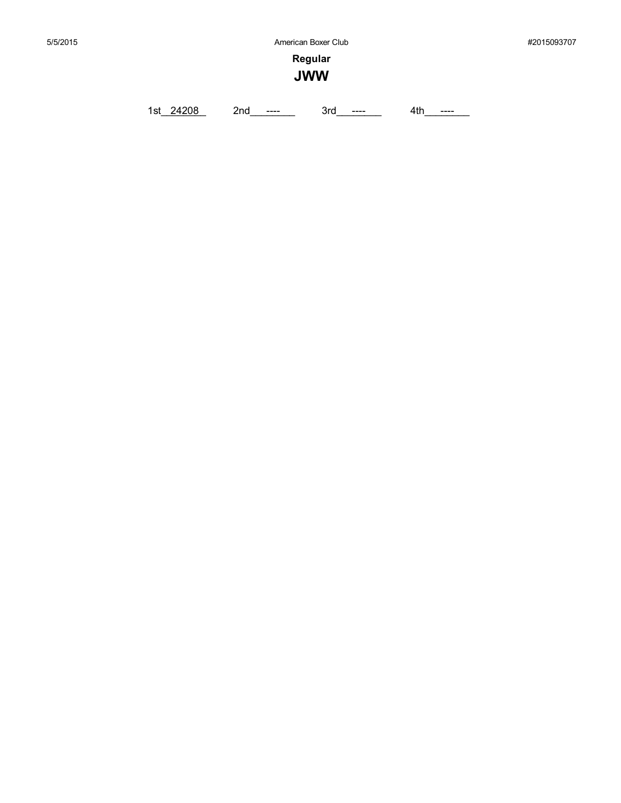|          | Club           |             |
|----------|----------------|-------------|
| 5/5/2015 | American Boxer | #2015093707 |
|          |                |             |

**JWW**

1st\_24208 2nd\_\_\_\_\_\_ 3rd\_\_\_\_\_\_ 4th\_\_\_\_\_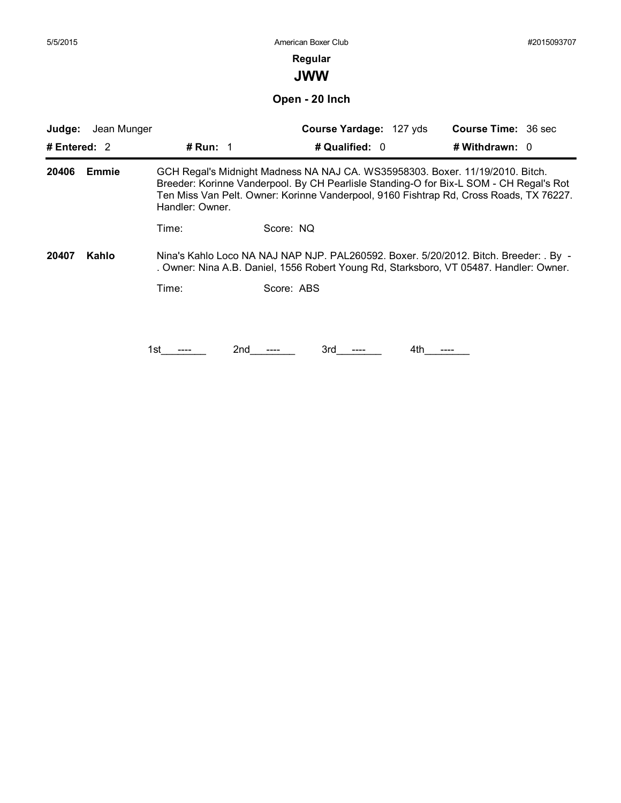| 5/5/2015              |                 | American Boxer Club                                                                                                                                                              |                            | #2015093707 |
|-----------------------|-----------------|----------------------------------------------------------------------------------------------------------------------------------------------------------------------------------|----------------------------|-------------|
|                       |                 | Regular                                                                                                                                                                          |                            |             |
|                       |                 | <b>JWW</b>                                                                                                                                                                       |                            |             |
|                       |                 | Open - 20 Inch                                                                                                                                                                   |                            |             |
| Jean Munger<br>Judge: |                 | Course Yardage: 127 yds                                                                                                                                                          | <b>Course Time: 36 sec</b> |             |
| # Entered: $2$        | # Run: 1        | # Qualified: 0                                                                                                                                                                   | # Withdrawn: 0             |             |
| <b>Emmie</b><br>20406 |                 | GCH Regal's Midnight Madness NA NAJ CA. WS35958303. Boxer. 11/19/2010. Bitch.                                                                                                    |                            |             |
|                       | Handler: Owner. | Breeder: Korinne Vanderpool. By CH Pearlisle Standing-O for Bix-L SOM - CH Regal's Rot<br>Ten Miss Van Pelt. Owner: Korinne Vanderpool, 9160 Fishtrap Rd, Cross Roads, TX 76227. |                            |             |
|                       | Time:           | Score: NQ                                                                                                                                                                        |                            |             |
| Kahlo<br>20407        |                 | Nina's Kahlo Loco NA NAJ NAP NJP. PAL260592. Boxer. 5/20/2012. Bitch. Breeder: . By -<br>. Owner: Nina A.B. Daniel, 1556 Robert Young Rd, Starksboro, VT 05487. Handler: Owner.  |                            |             |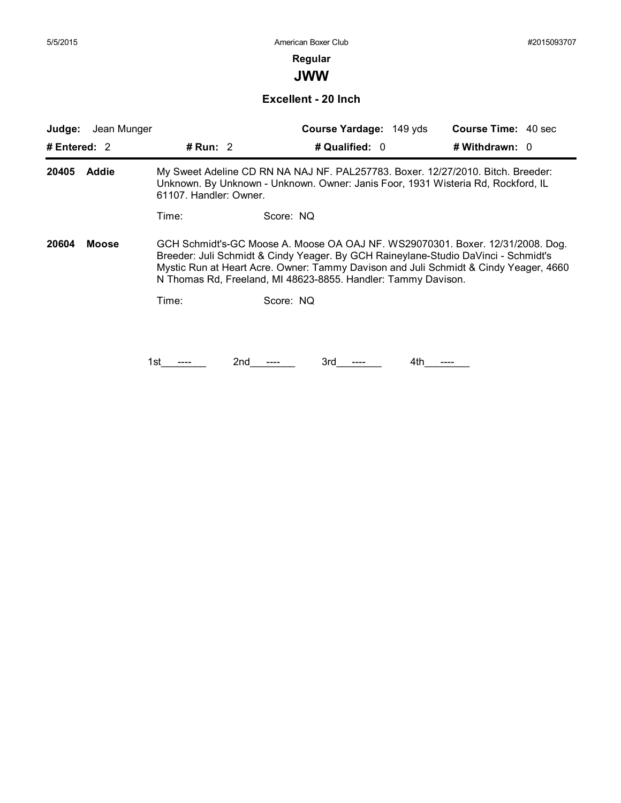**JWW**

#### **Excellent - 20 Inch**

| # Run: $2$<br># Entered: $2$<br># Qualified: 0<br># Withdrawn: $0$<br><b>Addie</b><br>20405<br>My Sweet Adeline CD RN NA NAJ NF. PAL257783. Boxer. 12/27/2010. Bitch. Breeder:<br>Unknown. By Unknown - Unknown. Owner: Janis Foor, 1931 Wisteria Rd, Rockford, IL<br>61107. Handler: Owner.<br>Score: NQ<br>Time:<br>20604<br><b>Moose</b><br>GCH Schmidt's-GC Moose A. Moose OA OAJ NF. WS29070301. Boxer. 12/31/2008. Dog.<br>Breeder: Juli Schmidt & Cindy Yeager. By GCH Raineylane-Studio DaVinci - Schmidt's<br>Mystic Run at Heart Acre. Owner: Tammy Davison and Juli Schmidt & Cindy Yeager, 4660<br>N Thomas Rd, Freeland, MI 48623-8855. Handler: Tammy Davison. | Judge: | Jean Munger |            | Course Yardage: 149 yds |     | <b>Course Time: 40 sec</b> |  |
|------------------------------------------------------------------------------------------------------------------------------------------------------------------------------------------------------------------------------------------------------------------------------------------------------------------------------------------------------------------------------------------------------------------------------------------------------------------------------------------------------------------------------------------------------------------------------------------------------------------------------------------------------------------------------|--------|-------------|------------|-------------------------|-----|----------------------------|--|
|                                                                                                                                                                                                                                                                                                                                                                                                                                                                                                                                                                                                                                                                              |        |             |            |                         |     |                            |  |
|                                                                                                                                                                                                                                                                                                                                                                                                                                                                                                                                                                                                                                                                              |        |             |            |                         |     |                            |  |
|                                                                                                                                                                                                                                                                                                                                                                                                                                                                                                                                                                                                                                                                              |        |             |            |                         |     |                            |  |
|                                                                                                                                                                                                                                                                                                                                                                                                                                                                                                                                                                                                                                                                              |        |             |            |                         |     |                            |  |
|                                                                                                                                                                                                                                                                                                                                                                                                                                                                                                                                                                                                                                                                              |        |             | Time:      | Score: NQ               |     |                            |  |
|                                                                                                                                                                                                                                                                                                                                                                                                                                                                                                                                                                                                                                                                              |        |             | 2nd<br>1st | 3rd                     | 4th |                            |  |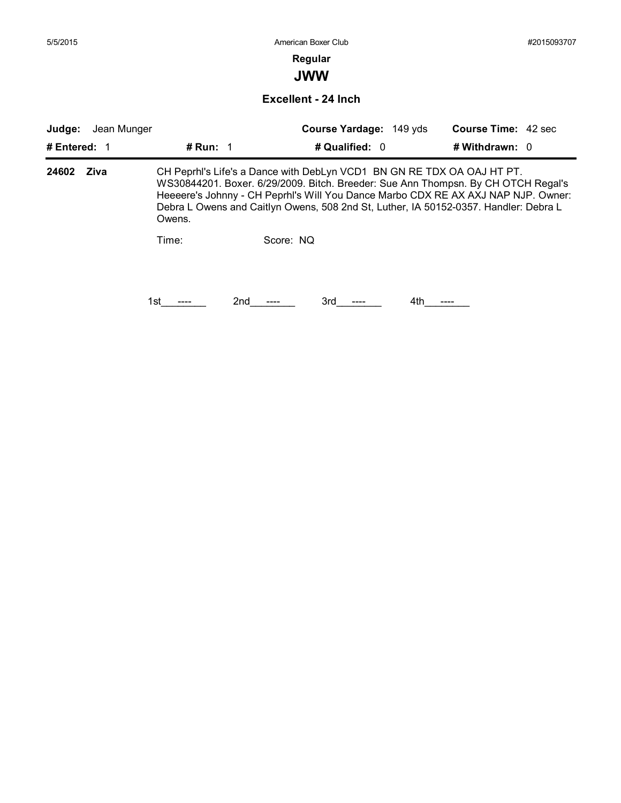### **Regular**

**JWW**

#### **Excellent - 24 Inch**

| Judge:         | Jean Munger |                   |           | Course Yardage: 149 yds                                                                                                                                                                                                                                                                                                                  |     | <b>Course Time: 42 sec</b> |  |
|----------------|-------------|-------------------|-----------|------------------------------------------------------------------------------------------------------------------------------------------------------------------------------------------------------------------------------------------------------------------------------------------------------------------------------------------|-----|----------------------------|--|
| # Entered: $1$ |             | # Run: $\sqrt{1}$ |           | # Qualified: 0                                                                                                                                                                                                                                                                                                                           |     | # Withdrawn: $0$           |  |
| 24602          | Ziva        | Owens.            |           | CH Peprhi's Life's a Dance with DebLyn VCD1 BN GN RE TDX OA OAJ HT PT.<br>WS30844201. Boxer. 6/29/2009. Bitch. Breeder: Sue Ann Thompsn. By CH OTCH Regal's<br>Heeeere's Johnny - CH Peprhl's Will You Dance Marbo CDX RE AX AXJ NAP NJP. Owner:<br>Debra L Owens and Caitlyn Owens, 508 2nd St, Luther, IA 50152-0357. Handler: Debra L |     |                            |  |
|                |             | Time:             | Score: NO |                                                                                                                                                                                                                                                                                                                                          |     |                            |  |
|                |             | 1st               | 2nd       | 3rd                                                                                                                                                                                                                                                                                                                                      | 4th |                            |  |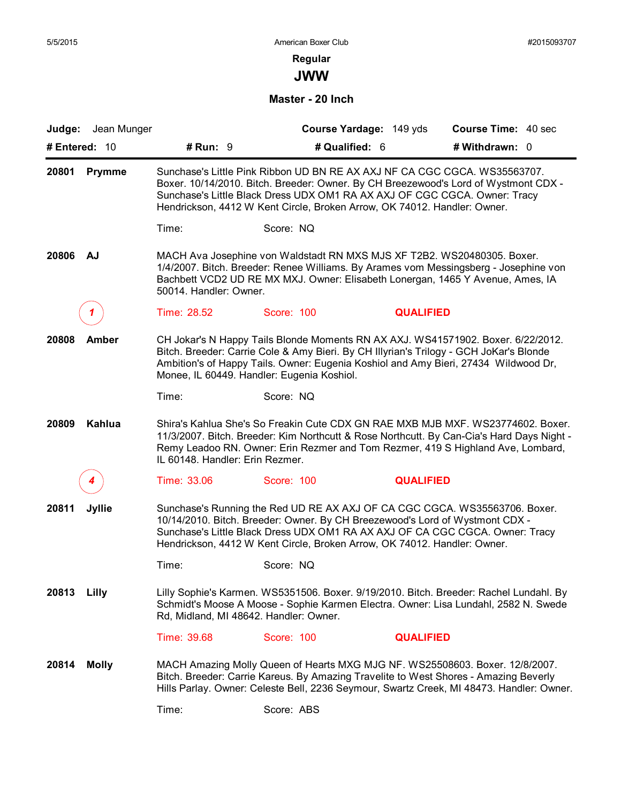**JWW**

**Master - 20 Inch**

| Judge: Jean Munger     |                                        |                                                                                                                                                                                                                                                                                                                           | Course Yardage: 149 yds | <b>Course Time: 40 sec</b> |  |
|------------------------|----------------------------------------|---------------------------------------------------------------------------------------------------------------------------------------------------------------------------------------------------------------------------------------------------------------------------------------------------------------------------|-------------------------|----------------------------|--|
| # Entered: 10          | # Run: 9                               | # Qualified: 6                                                                                                                                                                                                                                                                                                            |                         | # Withdrawn: 0             |  |
| 20801<br><b>Prymme</b> |                                        | Sunchase's Little Pink Ribbon UD BN RE AX AXJ NF CA CGC CGCA. WS35563707.<br>Boxer. 10/14/2010. Bitch. Breeder: Owner. By CH Breezewood's Lord of Wystmont CDX -<br>Sunchase's Little Black Dress UDX OM1 RA AX AXJ OF CGC CGCA. Owner: Tracy<br>Hendrickson, 4412 W Kent Circle, Broken Arrow, OK 74012. Handler: Owner. |                         |                            |  |
|                        | Time:                                  | Score: NQ                                                                                                                                                                                                                                                                                                                 |                         |                            |  |
| 20806<br><b>AJ</b>     | 50014. Handler: Owner.                 | MACH Ava Josephine von Waldstadt RN MXS MJS XF T2B2. WS20480305. Boxer.<br>1/4/2007. Bitch. Breeder: Renee Williams. By Arames vom Messingsberg - Josephine von<br>Bachbett VCD2 UD RE MX MXJ. Owner: Elisabeth Lonergan, 1465 Y Avenue, Ames, IA                                                                         |                         |                            |  |
|                        | Time: 28.52                            | Score: 100                                                                                                                                                                                                                                                                                                                | <b>QUALIFIED</b>        |                            |  |
| 20808<br><b>Amber</b>  |                                        | CH Jokar's N Happy Tails Blonde Moments RN AX AXJ. WS41571902. Boxer. 6/22/2012.<br>Bitch. Breeder: Carrie Cole & Amy Bieri. By CH Illyrian's Trilogy - GCH JoKar's Blonde<br>Ambition's of Happy Tails. Owner: Eugenia Koshiol and Amy Bieri, 27434 Wildwood Dr,<br>Monee, IL 60449. Handler: Eugenia Koshiol.           |                         |                            |  |
|                        | Time:                                  | Score: NQ                                                                                                                                                                                                                                                                                                                 |                         |                            |  |
| 20809<br>Kahlua        | IL 60148. Handler: Erin Rezmer.        | Shira's Kahlua She's So Freakin Cute CDX GN RAE MXB MJB MXF. WS23774602. Boxer.<br>11/3/2007. Bitch. Breeder: Kim Northcutt & Rose Northcutt. By Can-Cia's Hard Days Night -<br>Remy Leadoo RN. Owner: Erin Rezmer and Tom Rezmer, 419 S Highland Ave, Lombard,                                                           |                         |                            |  |
|                        | Time: 33.06                            | Score: 100                                                                                                                                                                                                                                                                                                                | <b>QUALIFIED</b>        |                            |  |
| Jyllie<br>20811        |                                        | Sunchase's Running the Red UD RE AX AXJ OF CA CGC CGCA. WS35563706. Boxer.<br>10/14/2010. Bitch. Breeder: Owner. By CH Breezewood's Lord of Wystmont CDX -<br>Sunchase's Little Black Dress UDX OM1 RA AX AXJ OF CA CGC CGCA. Owner: Tracy<br>Hendrickson, 4412 W Kent Circle, Broken Arrow, OK 74012. Handler: Owner.    |                         |                            |  |
|                        | Time:                                  | Score: NQ                                                                                                                                                                                                                                                                                                                 |                         |                            |  |
| 20813<br>Lilly         | Rd, Midland, MI 48642. Handler: Owner. | Lilly Sophie's Karmen. WS5351506. Boxer. 9/19/2010. Bitch. Breeder: Rachel Lundahl. By<br>Schmidt's Moose A Moose - Sophie Karmen Electra. Owner: Lisa Lundahl, 2582 N. Swede                                                                                                                                             |                         |                            |  |
|                        | Time: 39.68                            | Score: 100                                                                                                                                                                                                                                                                                                                | <b>QUALIFIED</b>        |                            |  |
| <b>Molly</b><br>20814  |                                        | MACH Amazing Molly Queen of Hearts MXG MJG NF. WS25508603. Boxer. 12/8/2007.<br>Bitch. Breeder: Carrie Kareus. By Amazing Travelite to West Shores - Amazing Beverly<br>Hills Parlay. Owner: Celeste Bell, 2236 Seymour, Swartz Creek, MI 48473. Handler: Owner.                                                          |                         |                            |  |
|                        | Time:                                  | Score: ABS                                                                                                                                                                                                                                                                                                                |                         |                            |  |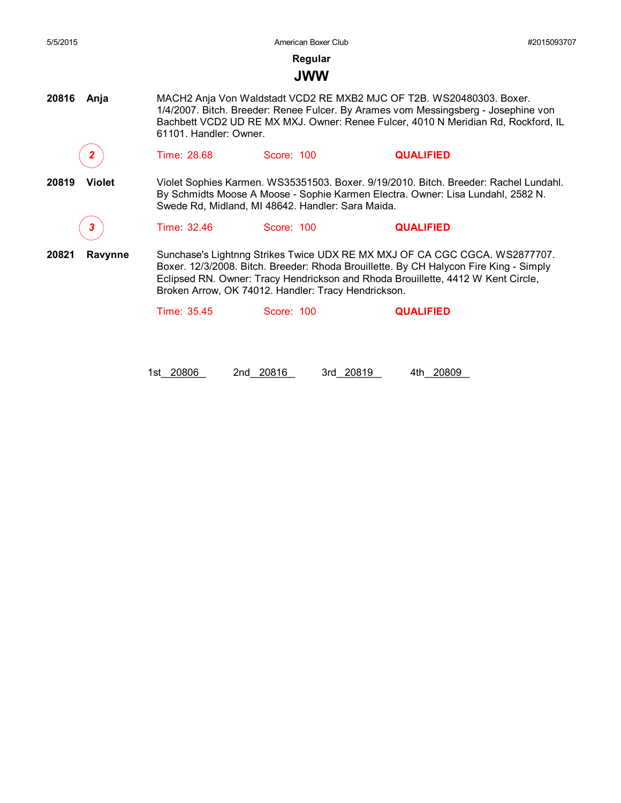| 5/5/2015         |                        | American Boxer Club                                 | #2015093707                                                                                                                                                                                                                                             |
|------------------|------------------------|-----------------------------------------------------|---------------------------------------------------------------------------------------------------------------------------------------------------------------------------------------------------------------------------------------------------------|
|                  |                        | Regular                                             |                                                                                                                                                                                                                                                         |
|                  |                        | <b>JWW</b>                                          |                                                                                                                                                                                                                                                         |
| 20816<br>Anja    | 61101. Handler: Owner. |                                                     | MACH2 Anja Von Waldstadt VCD2 RE MXB2 MJC OF T2B. WS20480303. Boxer.<br>1/4/2007. Bitch. Breeder: Renee Fulcer. By Arames vom Messingsberg - Josephine von<br>Bachbett VCD2 UD RE MX MXJ. Owner: Renee Fulcer, 4010 N Meridian Rd, Rockford, IL         |
|                  | Time: 28.68            | Score: 100                                          | <b>QUALIFIED</b>                                                                                                                                                                                                                                        |
| Violet<br>20819  |                        | Swede Rd, Midland, MI 48642. Handler: Sara Maida.   | Violet Sophies Karmen. WS35351503. Boxer. 9/19/2010. Bitch. Breeder: Rachel Lundahl.<br>By Schmidts Moose A Moose - Sophie Karmen Electra. Owner: Lisa Lundahl, 2582 N.                                                                                 |
|                  | Time: 32.46            | Score: 100                                          | <b>QUALIFIED</b>                                                                                                                                                                                                                                        |
| 20821<br>Ravynne |                        | Broken Arrow, OK 74012. Handler: Tracy Hendrickson. | Sunchase's Lightnng Strikes Twice UDX RE MX MXJ OF CA CGC CGCA. WS2877707.<br>Boxer. 12/3/2008. Bitch. Breeder: Rhoda Brouillette. By CH Halycon Fire King - Simply<br>Eclipsed RN. Owner: Tracy Hendrickson and Rhoda Brouillette, 4412 W Kent Circle, |
|                  | Time: 35.45            | Score: 100                                          | <b>QUALIFIED</b>                                                                                                                                                                                                                                        |
|                  |                        |                                                     |                                                                                                                                                                                                                                                         |
|                  | 1st 20806              | 2nd 20816<br>3rd 20819                              | 4th 20809                                                                                                                                                                                                                                               |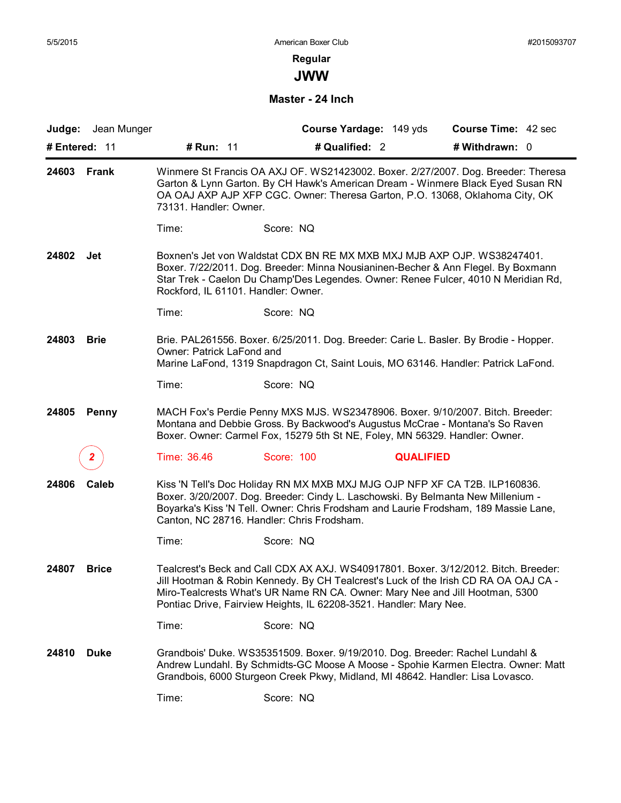## **Regular JWW**

#### **Master - 24 Inch**

| Judge: Jean Munger    |                                     | Course Yardage: 149 yds                                                                                                                                                                                                                                                                                                          |                  | <b>Course Time: 42 sec</b> |  |
|-----------------------|-------------------------------------|----------------------------------------------------------------------------------------------------------------------------------------------------------------------------------------------------------------------------------------------------------------------------------------------------------------------------------|------------------|----------------------------|--|
| # Entered: 11         | # Run: 11                           | # Qualified: 2                                                                                                                                                                                                                                                                                                                   |                  | # Withdrawn: 0             |  |
| 24603<br>Frank        | 73131. Handler: Owner.              | Winmere St Francis OA AXJ OF. WS21423002. Boxer. 2/27/2007. Dog. Breeder: Theresa<br>Garton & Lynn Garton. By CH Hawk's American Dream - Winmere Black Eyed Susan RN<br>OA OAJ AXP AJP XFP CGC. Owner: Theresa Garton, P.O. 13068, Oklahoma City, OK                                                                             |                  |                            |  |
|                       | Time:                               | Score: NQ                                                                                                                                                                                                                                                                                                                        |                  |                            |  |
| 24802<br>Jet          | Rockford, IL 61101. Handler: Owner. | Boxnen's Jet von Waldstat CDX BN RE MX MXB MXJ MJB AXP OJP. WS38247401.<br>Boxer. 7/22/2011. Dog. Breeder: Minna Nousianinen-Becher & Ann Flegel. By Boxmann<br>Star Trek - Caelon Du Champ'Des Legendes. Owner: Renee Fulcer, 4010 N Meridian Rd,                                                                               |                  |                            |  |
|                       | Time:                               | Score: NQ                                                                                                                                                                                                                                                                                                                        |                  |                            |  |
| 24803<br><b>Brie</b>  | Owner: Patrick LaFond and           | Brie. PAL261556. Boxer. 6/25/2011. Dog. Breeder: Carie L. Basler. By Brodie - Hopper.<br>Marine LaFond, 1319 Snapdragon Ct, Saint Louis, MO 63146. Handler: Patrick LaFond.                                                                                                                                                      |                  |                            |  |
|                       | Time:                               | Score: NQ                                                                                                                                                                                                                                                                                                                        |                  |                            |  |
| 24805<br>Penny        |                                     | MACH Fox's Perdie Penny MXS MJS. WS23478906. Boxer. 9/10/2007. Bitch. Breeder:<br>Montana and Debbie Gross. By Backwood's Augustus McCrae - Montana's So Raven<br>Boxer. Owner: Carmel Fox, 15279 5th St NE, Foley, MN 56329. Handler: Owner.                                                                                    |                  |                            |  |
| $\mathbf{2}$          | Time: 36.46                         | Score: 100                                                                                                                                                                                                                                                                                                                       | <b>QUALIFIED</b> |                            |  |
| Caleb<br>24806        |                                     | Kiss 'N Tell's Doc Holiday RN MX MXB MXJ MJG OJP NFP XF CA T2B. ILP160836.<br>Boxer. 3/20/2007. Dog. Breeder: Cindy L. Laschowski. By Belmanta New Millenium -<br>Boyarka's Kiss 'N Tell. Owner: Chris Frodsham and Laurie Frodsham, 189 Massie Lane,<br>Canton, NC 28716. Handler: Chris Frodsham.                              |                  |                            |  |
|                       | Time:                               | Score: NQ                                                                                                                                                                                                                                                                                                                        |                  |                            |  |
| 24807<br><b>Brice</b> |                                     | Tealcrest's Beck and Call CDX AX AXJ. WS40917801. Boxer. 3/12/2012. Bitch. Breeder:<br>Jill Hootman & Robin Kennedy. By CH Tealcrest's Luck of the Irish CD RA OA OAJ CA -<br>Miro-Tealcrests What's UR Name RN CA. Owner: Mary Nee and Jill Hootman, 5300<br>Pontiac Drive, Fairview Heights, IL 62208-3521. Handler: Mary Nee. |                  |                            |  |
|                       | Time:                               | Score: NQ                                                                                                                                                                                                                                                                                                                        |                  |                            |  |
| 24810<br><b>Duke</b>  |                                     | Grandbois' Duke. WS35351509. Boxer. 9/19/2010. Dog. Breeder: Rachel Lundahl &<br>Andrew Lundahl. By Schmidts-GC Moose A Moose - Spohie Karmen Electra. Owner: Matt<br>Grandbois, 6000 Sturgeon Creek Pkwy, Midland, MI 48642. Handler: Lisa Lovasco.                                                                             |                  |                            |  |
|                       | Time:                               | Score: NQ                                                                                                                                                                                                                                                                                                                        |                  |                            |  |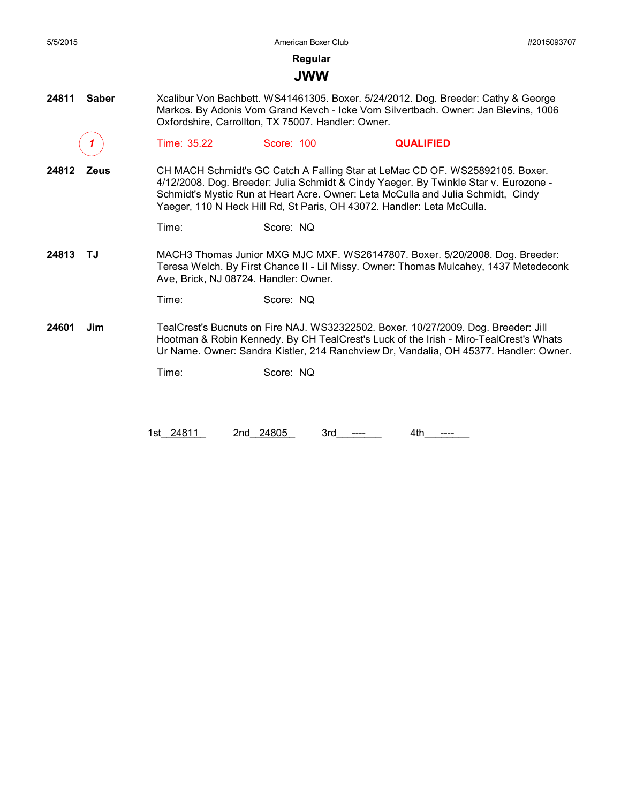#### **JWW**

**24811 Saber** Xcalibur Von Bachbett. WS41461305. Boxer. 5/24/2012. Dog. Breeder: Cathy & George Markos. By Adonis Vom Grand Kevch - Icke Vom Silvertbach. Owner: Jan Blevins, 1006 Oxfordshire, Carrollton, TX 75007. Handler: Owner.

*1* Time: 35.22 Score: 100 **QUALIFIED**

**24812 Zeus** CH MACH Schmidt's GC Catch A Falling Star at LeMac CD OF. WS25892105. Boxer. 4/12/2008. Dog. Breeder: Julia Schmidt & Cindy Yaeger. By Twinkle Star v. Eurozone - Schmidt's Mystic Run at Heart Acre. Owner: Leta McCulla and Julia Schmidt, Cindy Yaeger, 110 N Heck Hill Rd, St Paris, OH 43072. Handler: Leta McCulla.

Time: Score: NQ

**24813 TJ** MACH3 Thomas Junior MXG MJC MXF. WS26147807. Boxer. 5/20/2008. Dog. Breeder: Teresa Welch. By First Chance II - Lil Missy. Owner: Thomas Mulcahey, 1437 Metedeconk Ave, Brick, NJ 08724. Handler: Owner.

Time: Score: NQ

**24601 Jim** TealCrest's Bucnuts on Fire NAJ. WS32322502. Boxer. 10/27/2009. Dog. Breeder: Jill Hootman & Robin Kennedy. By CH TealCrest's Luck of the Irish - Miro-TealCrest's Whats Ur Name. Owner: Sandra Kistler, 214 Ranchview Dr, Vandalia, OH 45377. Handler: Owner.

Time: Score: NQ

1st 24811 2nd 24805 3rd ---- 4th ----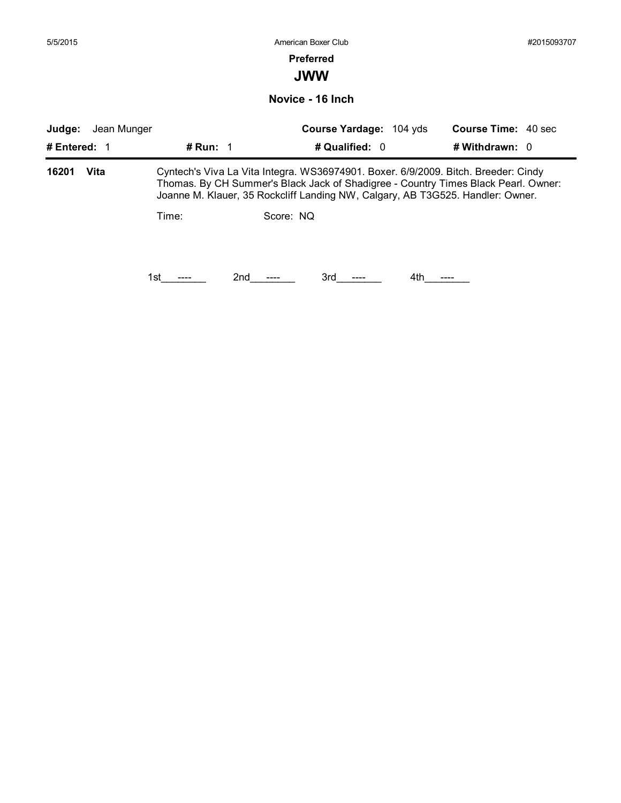|              |       |             |                                                                                |                                                                           | #2015093707                                                                                                                                                                                                              |
|--------------|-------|-------------|--------------------------------------------------------------------------------|---------------------------------------------------------------------------|--------------------------------------------------------------------------------------------------------------------------------------------------------------------------------------------------------------------------|
|              |       |             |                                                                                |                                                                           |                                                                                                                                                                                                                          |
|              |       |             |                                                                                |                                                                           |                                                                                                                                                                                                                          |
|              |       |             |                                                                                |                                                                           |                                                                                                                                                                                                                          |
| Judge:       |       |             | Course Yardage: 104 yds                                                        |                                                                           |                                                                                                                                                                                                                          |
| # Entered: 1 |       |             | # Qualified: 0                                                                 |                                                                           |                                                                                                                                                                                                                          |
| Vita         |       |             | Joanne M. Klauer, 35 Rockcliff Landing NW, Calgary, AB T3G525. Handler: Owner. |                                                                           |                                                                                                                                                                                                                          |
|              |       |             |                                                                                |                                                                           |                                                                                                                                                                                                                          |
|              | Time: | Score: NQ   |                                                                                |                                                                           |                                                                                                                                                                                                                          |
|              |       | Jean Munger | # Run: $1$                                                                     | American Boxer Club<br><b>Preferred</b><br><b>JWW</b><br>Novice - 16 Inch | <b>Course Time: 40 sec</b><br># Withdrawn: 0<br>Cyntech's Viva La Vita Integra. WS36974901. Boxer. 6/9/2009. Bitch. Breeder: Cindy<br>Thomas. By CH Summer's Black Jack of Shadigree - Country Times Black Pearl. Owner: |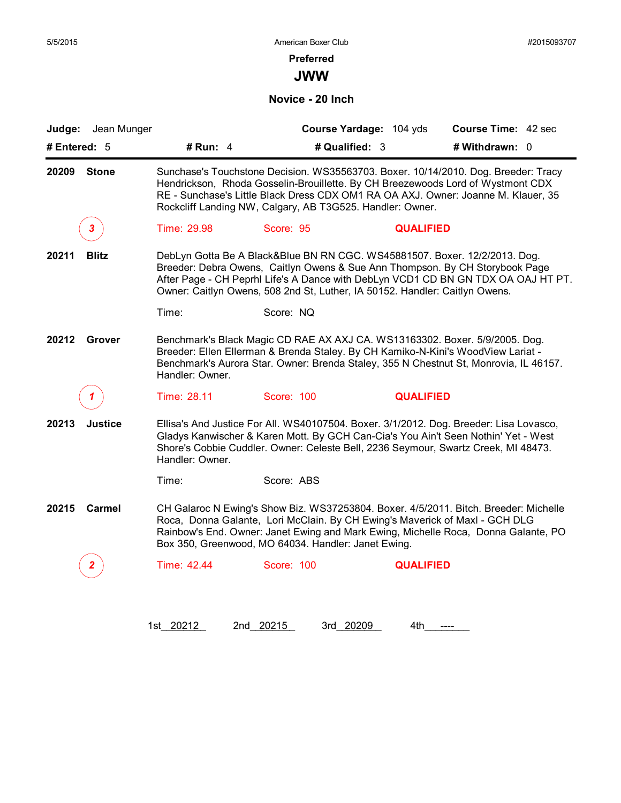**JWW**

#### **Novice - 20 Inch**

| Judge: Jean Munger      |                 |                                                                                                                                                                 | Course Yardage: 104 yds | Course Time: 42 sec                                                                                                                                                                                                                                                |
|-------------------------|-----------------|-----------------------------------------------------------------------------------------------------------------------------------------------------------------|-------------------------|--------------------------------------------------------------------------------------------------------------------------------------------------------------------------------------------------------------------------------------------------------------------|
| # Entered: $5$          | # Run: 4        | # Qualified: 3                                                                                                                                                  |                         | # Withdrawn: 0                                                                                                                                                                                                                                                     |
| 20209<br><b>Stone</b>   |                 | Rockcliff Landing NW, Calgary, AB T3G525. Handler: Owner.                                                                                                       |                         | Sunchase's Touchstone Decision. WS35563703. Boxer. 10/14/2010. Dog. Breeder: Tracy<br>Hendrickson, Rhoda Gosselin-Brouillette. By CH Breezewoods Lord of Wystmont CDX<br>RE - Sunchase's Little Black Dress CDX OM1 RA OA AXJ. Owner: Joanne M. Klauer, 35         |
| 3                       | Time: 29.98     | Score: 95                                                                                                                                                       | <b>QUALIFIED</b>        |                                                                                                                                                                                                                                                                    |
| <b>Blitz</b><br>20211   |                 | DebLyn Gotta Be A Black&Blue BN RN CGC. WS45881507. Boxer. 12/2/2013. Dog.<br>Owner: Caitlyn Owens, 508 2nd St, Luther, IA 50152. Handler: Caitlyn Owens.       |                         | Breeder: Debra Owens, Caitlyn Owens & Sue Ann Thompson. By CH Storybook Page<br>After Page - CH Peprhl Life's A Dance with DebLyn VCD1 CD BN GN TDX OA OAJ HT PT.                                                                                                  |
|                         | Time:           | Score: NQ                                                                                                                                                       |                         |                                                                                                                                                                                                                                                                    |
| 20212<br><b>Grover</b>  | Handler: Owner. | Benchmark's Black Magic CD RAE AX AXJ CA. WS13163302. Boxer. 5/9/2005. Dog.<br>Breeder: Ellen Ellerman & Brenda Staley. By CH Kamiko-N-Kini's WoodView Lariat - |                         | Benchmark's Aurora Star. Owner: Brenda Staley, 355 N Chestnut St, Monrovia, IL 46157.                                                                                                                                                                              |
|                         | Time: 28.11     | Score: 100                                                                                                                                                      | <b>QUALIFIED</b>        |                                                                                                                                                                                                                                                                    |
| 20213<br><b>Justice</b> | Handler: Owner. |                                                                                                                                                                 |                         | Ellisa's And Justice For All. WS40107504. Boxer. 3/1/2012. Dog. Breeder: Lisa Lovasco,<br>Gladys Kanwischer & Karen Mott. By GCH Can-Cia's You Ain't Seen Nothin' Yet - West<br>Shore's Cobbie Cuddler. Owner: Celeste Bell, 2236 Seymour, Swartz Creek, MI 48473. |
|                         | Time:           | Score: ABS                                                                                                                                                      |                         |                                                                                                                                                                                                                                                                    |
| 20215<br>Carmel         |                 | Roca, Donna Galante, Lori McClain. By CH Ewing's Maverick of Maxl - GCH DLG<br>Box 350, Greenwood, MO 64034. Handler: Janet Ewing.                              |                         | CH Galaroc N Ewing's Show Biz. WS37253804. Boxer. 4/5/2011. Bitch. Breeder: Michelle<br>Rainbow's End. Owner: Janet Ewing and Mark Ewing, Michelle Roca, Donna Galante, PO                                                                                         |
|                         |                 |                                                                                                                                                                 |                         |                                                                                                                                                                                                                                                                    |

1st\_20212 2nd\_20215 3rd\_20209 4th\_\_\_\_\_\_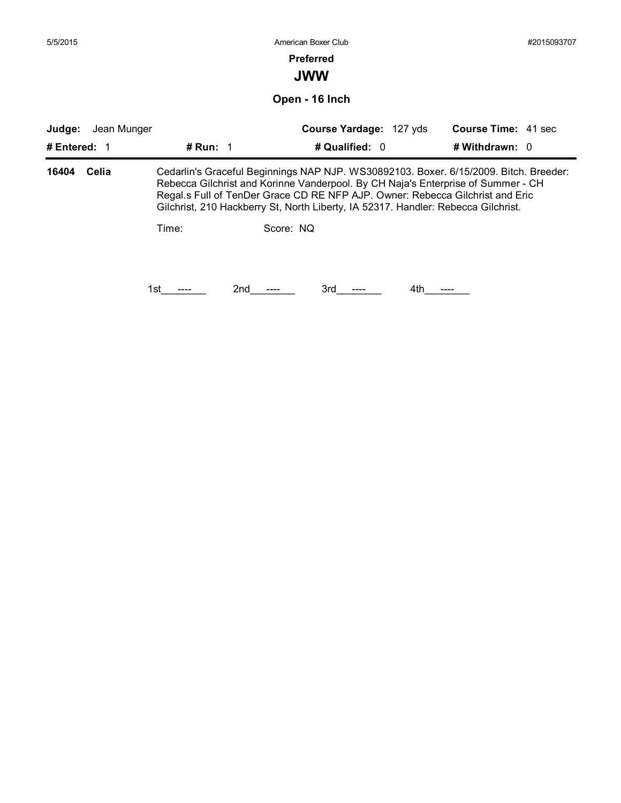| 5/5/2015     |             |            | American Boxer Club                                                                                                                                                                                                                                                                                                                             |                         |                            | #2015093707 |
|--------------|-------------|------------|-------------------------------------------------------------------------------------------------------------------------------------------------------------------------------------------------------------------------------------------------------------------------------------------------------------------------------------------------|-------------------------|----------------------------|-------------|
|              |             |            | <b>Preferred</b>                                                                                                                                                                                                                                                                                                                                |                         |                            |             |
|              |             |            | <b>JWW</b>                                                                                                                                                                                                                                                                                                                                      |                         |                            |             |
|              |             |            | Open - 16 Inch                                                                                                                                                                                                                                                                                                                                  |                         |                            |             |
| Judge:       | Jean Munger |            |                                                                                                                                                                                                                                                                                                                                                 | Course Yardage: 127 yds | <b>Course Time: 41 sec</b> |             |
| # Entered: 1 |             | # Run: $1$ |                                                                                                                                                                                                                                                                                                                                                 | # Qualified: 0          | # Withdrawn: 0             |             |
|              |             |            |                                                                                                                                                                                                                                                                                                                                                 |                         |                            |             |
| 16404 Celia  |             |            | Cedarlin's Graceful Beginnings NAP NJP. WS30892103. Boxer. 6/15/2009. Bitch. Breeder:<br>Rebecca Gilchrist and Korinne Vanderpool. By CH Naja's Enterprise of Summer - CH<br>Regal.s Full of TenDer Grace CD RE NFP AJP. Owner: Rebecca Gilchrist and Eric<br>Gilchrist, 210 Hackberry St, North Liberty, IA 52317. Handler: Rebecca Gilchrist. |                         |                            |             |
|              |             | Time:      | Score: NQ                                                                                                                                                                                                                                                                                                                                       |                         |                            |             |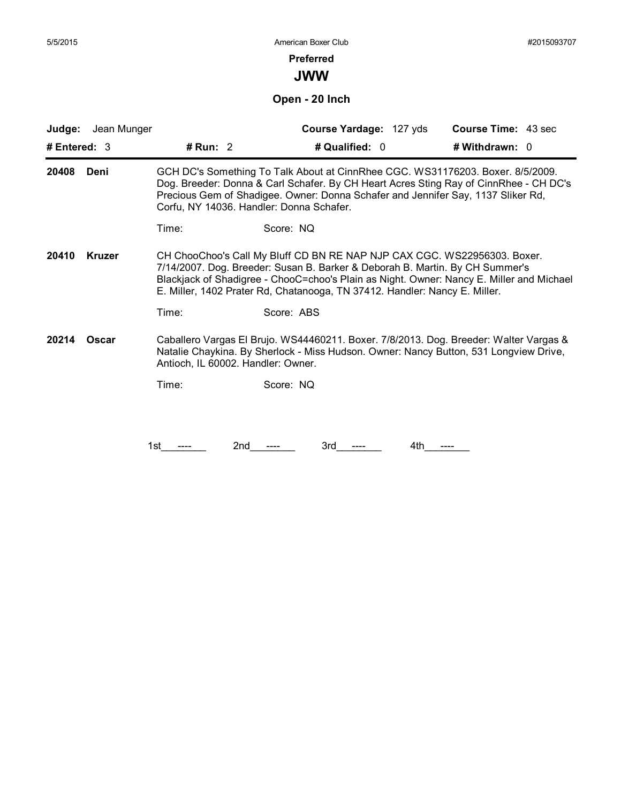#### **Preferred**

**JWW**

**Open - 20 Inch**

| Judge:         | Jean Munger   |                                    | Course Yardage: 127 yds                                                                                                                                                                                                                                                                                                            | <b>Course Time: 43 sec</b> |
|----------------|---------------|------------------------------------|------------------------------------------------------------------------------------------------------------------------------------------------------------------------------------------------------------------------------------------------------------------------------------------------------------------------------------|----------------------------|
| # Entered: $3$ |               | # Run: $2$                         | # Qualified: 0                                                                                                                                                                                                                                                                                                                     | # Withdrawn: 0             |
| 20408          | Deni          |                                    | GCH DC's Something To Talk About at CinnRhee CGC. WS31176203. Boxer. 8/5/2009.<br>Dog. Breeder: Donna & Carl Schafer. By CH Heart Acres Sting Ray of CinnRhee - CH DC's<br>Precious Gem of Shadigee. Owner: Donna Schafer and Jennifer Say, 1137 Sliker Rd,<br>Corfu, NY 14036. Handler: Donna Schafer.                            |                            |
|                |               | Time:                              | Score: NQ                                                                                                                                                                                                                                                                                                                          |                            |
| 20410          | <b>Kruzer</b> |                                    | CH ChooChoo's Call My Bluff CD BN RE NAP NJP CAX CGC. WS22956303. Boxer.<br>7/14/2007. Dog. Breeder: Susan B. Barker & Deborah B. Martin. By CH Summer's<br>Blackjack of Shadigree - ChooC=choo's Plain as Night. Owner: Nancy E. Miller and Michael<br>E. Miller, 1402 Prater Rd, Chatanooga, TN 37412. Handler: Nancy E. Miller. |                            |
|                |               | Time:                              | Score: ABS                                                                                                                                                                                                                                                                                                                         |                            |
| 20214          | <b>Oscar</b>  | Antioch, IL 60002. Handler: Owner. | Caballero Vargas El Brujo. WS44460211. Boxer. 7/8/2013. Dog. Breeder: Walter Vargas &<br>Natalie Chaykina. By Sherlock - Miss Hudson. Owner: Nancy Button, 531 Longview Drive,                                                                                                                                                     |                            |
|                |               | Time:                              | Score: NQ                                                                                                                                                                                                                                                                                                                          |                            |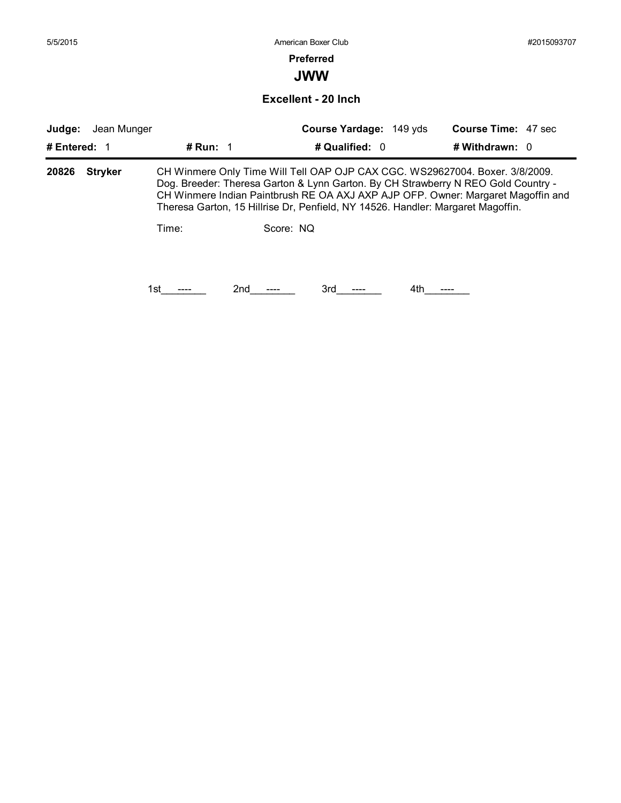| 5/5/2015     |                | American Boxer Club |                                                                                                                                                                                                                                                                                                                                                       |  |                            | #2015093707 |
|--------------|----------------|---------------------|-------------------------------------------------------------------------------------------------------------------------------------------------------------------------------------------------------------------------------------------------------------------------------------------------------------------------------------------------------|--|----------------------------|-------------|
|              |                |                     | <b>Preferred</b>                                                                                                                                                                                                                                                                                                                                      |  |                            |             |
|              |                |                     | <b>JWW</b>                                                                                                                                                                                                                                                                                                                                            |  |                            |             |
|              |                |                     | Excellent - 20 Inch                                                                                                                                                                                                                                                                                                                                   |  |                            |             |
| Judge:       | Jean Munger    |                     | Course Yardage: 149 yds                                                                                                                                                                                                                                                                                                                               |  | <b>Course Time: 47 sec</b> |             |
|              |                |                     |                                                                                                                                                                                                                                                                                                                                                       |  | # Withdrawn: 0             |             |
| # Entered: 1 |                | # Run: 1            | # Qualified: 0                                                                                                                                                                                                                                                                                                                                        |  |                            |             |
| 20826        | <b>Stryker</b> | Time:               | CH Winmere Only Time Will Tell OAP OJP CAX CGC. WS29627004. Boxer. 3/8/2009.<br>Dog. Breeder: Theresa Garton & Lynn Garton. By CH Strawberry N REO Gold Country -<br>CH Winmere Indian Paintbrush RE OA AXJ AXP AJP OFP. Owner: Margaret Magoffin and<br>Theresa Garton, 15 Hillrise Dr, Penfield, NY 14526. Handler: Margaret Magoffin.<br>Score: NQ |  |                            |             |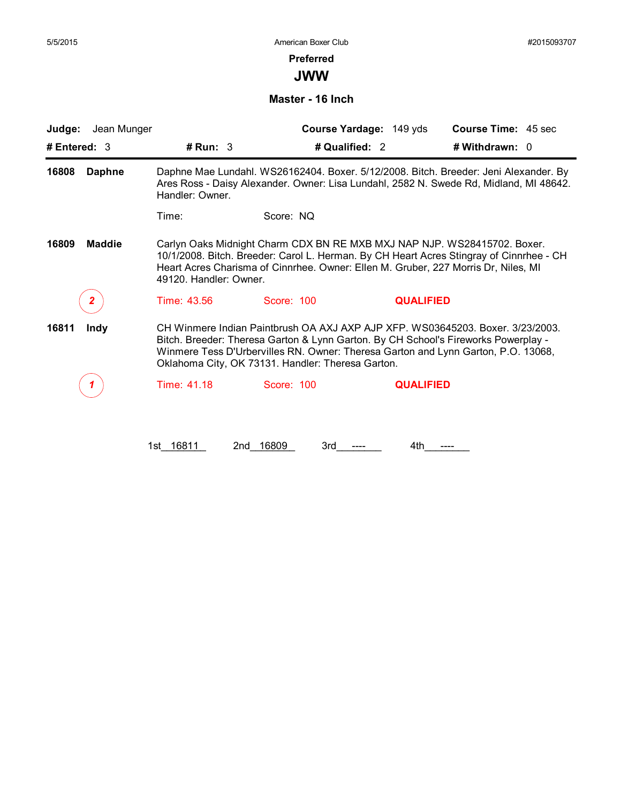#### **Preferred**

**JWW**

**Master - 16 Inch**

| Jean Munger<br>Judge:  |                        | Course Yardage: 149 yds                                                                                                                                        | <b>Course Time: 45 sec</b>                                                                                                                                                     |
|------------------------|------------------------|----------------------------------------------------------------------------------------------------------------------------------------------------------------|--------------------------------------------------------------------------------------------------------------------------------------------------------------------------------|
| # Entered: $3$         | # Run: $3$             | # Qualified: 2                                                                                                                                                 | # Withdrawn: 0                                                                                                                                                                 |
| <b>Daphne</b><br>16808 | Handler: Owner.        |                                                                                                                                                                | Daphne Mae Lundahl. WS26162404. Boxer. 5/12/2008. Bitch. Breeder: Jeni Alexander. By<br>Ares Ross - Daisy Alexander. Owner: Lisa Lundahl, 2582 N. Swede Rd, Midland, MI 48642. |
|                        | Time:                  | Score: NQ                                                                                                                                                      |                                                                                                                                                                                |
| 16809<br><b>Maddie</b> | 49120. Handler: Owner. | Carlyn Oaks Midnight Charm CDX BN RE MXB MXJ NAP NJP. WS28415702. Boxer.<br>Heart Acres Charisma of Cinnrhee. Owner: Ellen M. Gruber, 227 Morris Dr, Niles, MI | 10/1/2008. Bitch. Breeder: Carol L. Herman. By CH Heart Acres Stingray of Cinnrhee - CH                                                                                        |
|                        | Time: 43.56            | Score: 100                                                                                                                                                     | <b>QUALIFIED</b>                                                                                                                                                               |
| 16811<br><b>Indy</b>   |                        | Bitch. Breeder: Theresa Garton & Lynn Garton. By CH School's Fireworks Powerplay -<br>Oklahoma City, OK 73131. Handler: Theresa Garton.                        | CH Winmere Indian Paintbrush OA AXJ AXP AJP XFP. WS03645203. Boxer. 3/23/2003.<br>Winmere Tess D'Urbervilles RN. Owner: Theresa Garton and Lynn Garton, P.O. 13068,            |
|                        | Time: 41.18            | Score: 100                                                                                                                                                     | <b>QUALIFIED</b>                                                                                                                                                               |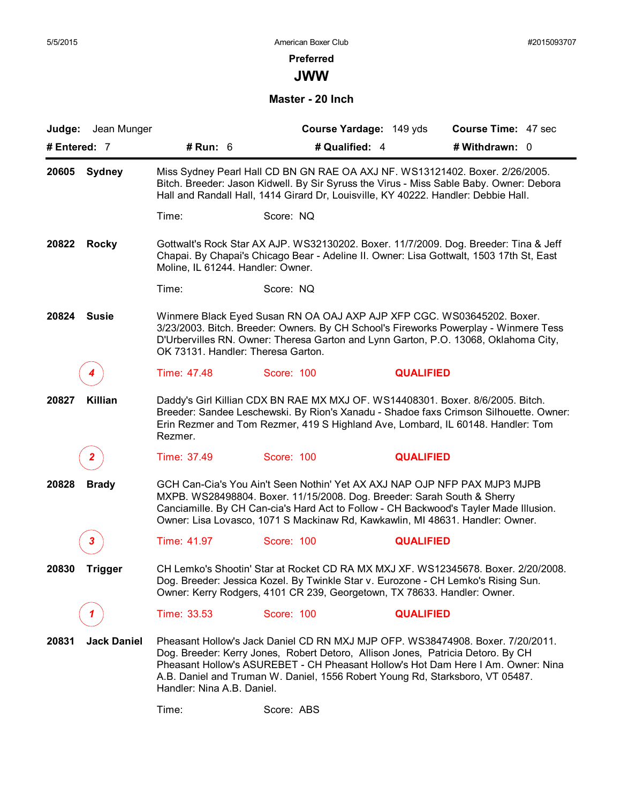**JWW**

**Master - 20 Inch**

| Judge: Jean Munger      |                    |                                    |                                                                                                                                                                                                                                                                                                                                        | Course Yardage: 149 yds | <b>Course Time: 47 sec</b> |  |
|-------------------------|--------------------|------------------------------------|----------------------------------------------------------------------------------------------------------------------------------------------------------------------------------------------------------------------------------------------------------------------------------------------------------------------------------------|-------------------------|----------------------------|--|
| # Entered: 7            |                    | # $Run: 6$                         | # Qualified: 4                                                                                                                                                                                                                                                                                                                         |                         | # Withdrawn: 0             |  |
| 20605<br>Sydney         |                    |                                    | Miss Sydney Pearl Hall CD BN GN RAE OA AXJ NF. WS13121402. Boxer. 2/26/2005.<br>Bitch. Breeder: Jason Kidwell. By Sir Syruss the Virus - Miss Sable Baby. Owner: Debora<br>Hall and Randall Hall, 1414 Girard Dr, Louisville, KY 40222. Handler: Debbie Hall.                                                                          |                         |                            |  |
|                         |                    | Time:                              | Score: NQ                                                                                                                                                                                                                                                                                                                              |                         |                            |  |
| <b>Rocky</b><br>20822   |                    | Moline, IL 61244. Handler: Owner.  | Gottwalt's Rock Star AX AJP. WS32130202. Boxer. 11/7/2009. Dog. Breeder: Tina & Jeff<br>Chapai. By Chapai's Chicago Bear - Adeline II. Owner: Lisa Gottwalt, 1503 17th St, East                                                                                                                                                        |                         |                            |  |
|                         |                    | Time:                              | Score: NQ                                                                                                                                                                                                                                                                                                                              |                         |                            |  |
| 20824<br><b>Susie</b>   |                    | OK 73131. Handler: Theresa Garton. | Winmere Black Eyed Susan RN OA OAJ AXP AJP XFP CGC. WS03645202. Boxer.<br>3/23/2003. Bitch. Breeder: Owners. By CH School's Fireworks Powerplay - Winmere Tess<br>D'Urbervilles RN. Owner: Theresa Garton and Lynn Garton, P.O. 13068, Oklahoma City,                                                                                  |                         |                            |  |
|                         |                    | Time: 47.48                        | Score: 100                                                                                                                                                                                                                                                                                                                             | <b>QUALIFIED</b>        |                            |  |
| Killian<br>20827        |                    | Rezmer.                            | Daddy's Girl Killian CDX BN RAE MX MXJ OF. WS14408301. Boxer. 8/6/2005. Bitch.<br>Breeder: Sandee Leschewski. By Rion's Xanadu - Shadoe faxs Crimson Silhouette. Owner:<br>Erin Rezmer and Tom Rezmer, 419 S Highland Ave, Lombard, IL 60148. Handler: Tom                                                                             |                         |                            |  |
| 2.                      |                    | Time: 37.49                        | Score: 100                                                                                                                                                                                                                                                                                                                             | <b>QUALIFIED</b>        |                            |  |
| 20828<br><b>Brady</b>   |                    |                                    | GCH Can-Cia's You Ain't Seen Nothin' Yet AX AXJ NAP OJP NFP PAX MJP3 MJPB<br>MXPB. WS28498804. Boxer. 11/15/2008. Dog. Breeder: Sarah South & Sherry<br>Canciamille. By CH Can-cia's Hard Act to Follow - CH Backwood's Tayler Made Illusion.<br>Owner: Lisa Lovasco, 1071 S Mackinaw Rd, Kawkawlin, MI 48631. Handler: Owner.         |                         |                            |  |
| 3                       |                    | Time: 41.97                        | Score: 100                                                                                                                                                                                                                                                                                                                             | <b>QUALIFIED</b>        |                            |  |
| 20830<br><b>Trigger</b> |                    |                                    | CH Lemko's Shootin' Star at Rocket CD RA MX MXJ XF. WS12345678. Boxer. 2/20/2008.<br>Dog. Breeder: Jessica Kozel. By Twinkle Star v. Eurozone - CH Lemko's Rising Sun.<br>Owner: Kerry Rodgers, 4101 CR 239, Georgetown, TX 78633. Handler: Owner.                                                                                     |                         |                            |  |
|                         |                    | Time: 33.53                        | Score: 100                                                                                                                                                                                                                                                                                                                             | <b>QUALIFIED</b>        |                            |  |
| 20831                   | <b>Jack Daniel</b> | Handler: Nina A.B. Daniel.         | Pheasant Hollow's Jack Daniel CD RN MXJ MJP OFP. WS38474908. Boxer. 7/20/2011.<br>Dog. Breeder: Kerry Jones, Robert Detoro, Allison Jones, Patricia Detoro. By CH<br>Pheasant Hollow's ASUREBET - CH Pheasant Hollow's Hot Dam Here I Am. Owner: Nina<br>A.B. Daniel and Truman W. Daniel, 1556 Robert Young Rd, Starksboro, VT 05487. |                         |                            |  |
|                         |                    | Time:                              | Score: ABS                                                                                                                                                                                                                                                                                                                             |                         |                            |  |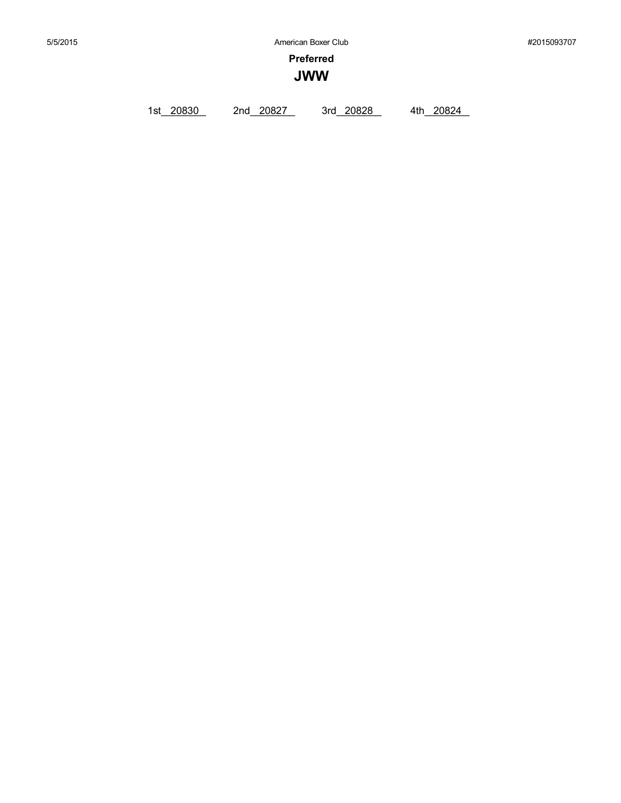**Preferred**

**JWW**

1st\_20830 2nd\_20827 3rd\_20828 4th\_20824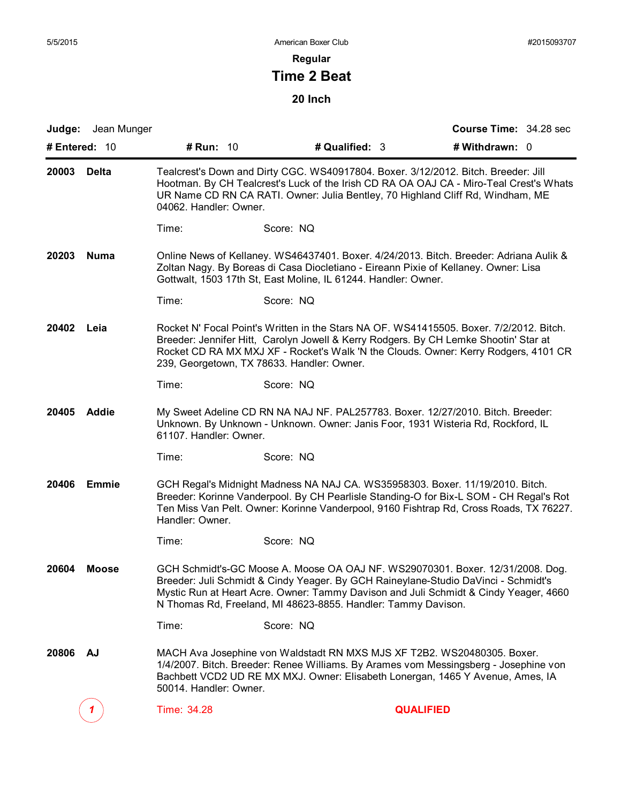### **Regular**

## **Time 2 Beat**

**20 Inch**

| <b>Judge:</b> Jean Munger |                        |                                                                                                                                                                                                                                                                                                                               | Course Time: 34.28 sec |
|---------------------------|------------------------|-------------------------------------------------------------------------------------------------------------------------------------------------------------------------------------------------------------------------------------------------------------------------------------------------------------------------------|------------------------|
| # Entered: 10             | # Run: 10              | # Qualified: 3                                                                                                                                                                                                                                                                                                                | # Withdrawn: 0         |
| 20003<br>Delta            | 04062. Handler: Owner. | Tealcrest's Down and Dirty CGC. WS40917804. Boxer. 3/12/2012. Bitch. Breeder: Jill<br>Hootman. By CH Tealcrest's Luck of the Irish CD RA OA OAJ CA - Miro-Teal Crest's Whats<br>UR Name CD RN CA RATI. Owner: Julia Bentley, 70 Highland Cliff Rd, Windham, ME                                                                |                        |
|                           | Time:                  | Score: NQ                                                                                                                                                                                                                                                                                                                     |                        |
| 20203<br><b>Numa</b>      |                        | Online News of Kellaney. WS46437401. Boxer. 4/24/2013. Bitch. Breeder: Adriana Aulik &<br>Zoltan Nagy. By Boreas di Casa Diocletiano - Eireann Pixie of Kellaney. Owner: Lisa<br>Gottwalt, 1503 17th St, East Moline, IL 61244. Handler: Owner.                                                                               |                        |
|                           | Time:                  | Score: NQ                                                                                                                                                                                                                                                                                                                     |                        |
| 20402<br>Leia             |                        | Rocket N' Focal Point's Written in the Stars NA OF. WS41415505. Boxer. 7/2/2012. Bitch.<br>Breeder: Jennifer Hitt, Carolyn Jowell & Kerry Rodgers. By CH Lemke Shootin' Star at<br>Rocket CD RA MX MXJ XF - Rocket's Walk 'N the Clouds. Owner: Kerry Rodgers, 4101 CR<br>239, Georgetown, TX 78633. Handler: Owner.          |                        |
|                           | Time:                  | Score: NQ                                                                                                                                                                                                                                                                                                                     |                        |
| 20405<br>Addie            | 61107. Handler: Owner. | My Sweet Adeline CD RN NA NAJ NF. PAL257783. Boxer. 12/27/2010. Bitch. Breeder:<br>Unknown. By Unknown - Unknown. Owner: Janis Foor, 1931 Wisteria Rd, Rockford, IL                                                                                                                                                           |                        |
|                           | Time:                  | Score: NQ                                                                                                                                                                                                                                                                                                                     |                        |
| 20406<br><b>Emmie</b>     | Handler: Owner.        | GCH Regal's Midnight Madness NA NAJ CA. WS35958303. Boxer. 11/19/2010. Bitch.<br>Breeder: Korinne Vanderpool. By CH Pearlisle Standing-O for Bix-L SOM - CH Regal's Rot<br>Ten Miss Van Pelt. Owner: Korinne Vanderpool, 9160 Fishtrap Rd, Cross Roads, TX 76227.                                                             |                        |
|                           | Time:                  | Score: NQ                                                                                                                                                                                                                                                                                                                     |                        |
| 20604<br><b>Moose</b>     |                        | GCH Schmidt's-GC Moose A. Moose OA OAJ NF. WS29070301. Boxer. 12/31/2008. Dog.<br>Breeder: Juli Schmidt & Cindy Yeager. By GCH Raineylane-Studio DaVinci - Schmidt's<br>Mystic Run at Heart Acre. Owner: Tammy Davison and Juli Schmidt & Cindy Yeager, 4660<br>N Thomas Rd, Freeland, MI 48623-8855. Handler: Tammy Davison. |                        |
|                           | Time:                  | Score: NQ                                                                                                                                                                                                                                                                                                                     |                        |
| 20806 AJ                  | 50014. Handler: Owner. | MACH Ava Josephine von Waldstadt RN MXS MJS XF T2B2. WS20480305. Boxer.<br>1/4/2007. Bitch. Breeder: Renee Williams. By Arames vom Messingsberg - Josephine von<br>Bachbett VCD2 UD RE MX MXJ. Owner: Elisabeth Lonergan, 1465 Y Avenue, Ames, IA                                                                             |                        |
|                           | Time: 34.28            |                                                                                                                                                                                                                                                                                                                               | <b>QUALIFIED</b>       |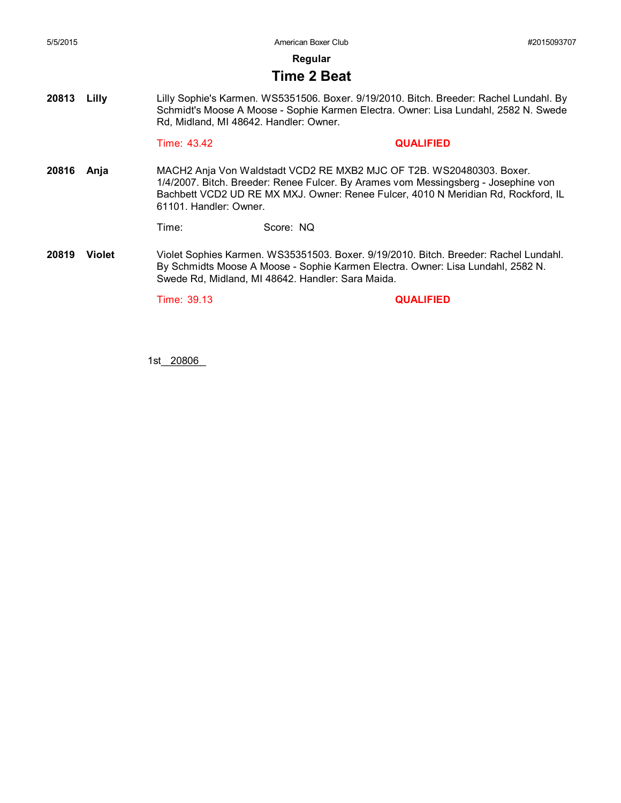**Regular**

#### **Time 2 Beat**

**20813 Lilly** Lilly Sophie's Karmen. WS5351506. Boxer. 9/19/2010. Bitch. Breeder: Rachel Lundahl. By Schmidt's Moose A Moose - Sophie Karmen Electra. Owner: Lisa Lundahl, 2582 N. Swede Rd, Midland, MI 48642. Handler: Owner.

#### Time: 43.42 **QUALIFIED**

**20816 Anja** MACH2 Anja Von Waldstadt VCD2 RE MXB2 MJC OF T2B. WS20480303. Boxer. 1/4/2007. Bitch. Breeder: Renee Fulcer. By Arames vom Messingsberg - Josephine von Bachbett VCD2 UD RE MX MXJ. Owner: Renee Fulcer, 4010 N Meridian Rd, Rockford, IL 61101. Handler: Owner.

Time: Score: NQ

**20819 Violet** Violet Sophies Karmen. WS35351503. Boxer. 9/19/2010. Bitch. Breeder: Rachel Lundahl. By Schmidts Moose A Moose - Sophie Karmen Electra. Owner: Lisa Lundahl, 2582 N. Swede Rd, Midland, MI 48642. Handler: Sara Maida.

Time: 39.13 **QUALIFIED**

1st\_\_\_\_\_\_\_\_ 20806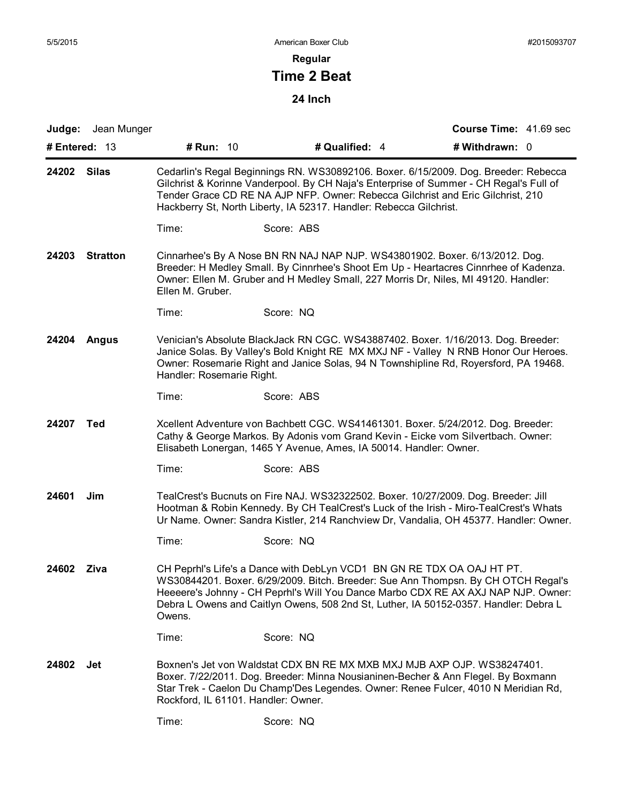### **Regular**

## **Time 2 Beat**

### **24 Inch**

| Judge:<br>Jean Munger    |                           |                                                                                                                                                                                                                                                                                                                                          | Course Time: 41.69 sec |
|--------------------------|---------------------------|------------------------------------------------------------------------------------------------------------------------------------------------------------------------------------------------------------------------------------------------------------------------------------------------------------------------------------------|------------------------|
| # Entered: $13$          | # Run: 10                 | # Qualified: 4                                                                                                                                                                                                                                                                                                                           | # Withdrawn: 0         |
| <b>Silas</b><br>24202    |                           | Cedarlin's Regal Beginnings RN. WS30892106. Boxer. 6/15/2009. Dog. Breeder: Rebecca<br>Gilchrist & Korinne Vanderpool. By CH Naja's Enterprise of Summer - CH Regal's Full of<br>Tender Grace CD RE NA AJP NFP. Owner: Rebecca Gilchrist and Eric Gilchrist, 210<br>Hackberry St, North Liberty, IA 52317. Handler: Rebecca Gilchrist.   |                        |
|                          | Time:                     | Score: ABS                                                                                                                                                                                                                                                                                                                               |                        |
| 24203<br><b>Stratton</b> | Ellen M. Gruber.          | Cinnarhee's By A Nose BN RN NAJ NAP NJP. WS43801902. Boxer. 6/13/2012. Dog.<br>Breeder: H Medley Small. By Cinnrhee's Shoot Em Up - Heartacres Cinnrhee of Kadenza.<br>Owner: Ellen M. Gruber and H Medley Small, 227 Morris Dr, Niles, MI 49120. Handler:                                                                               |                        |
|                          | Time:                     | Score: NQ                                                                                                                                                                                                                                                                                                                                |                        |
| 24204<br>Angus           | Handler: Rosemarie Right. | Venician's Absolute BlackJack RN CGC. WS43887402. Boxer. 1/16/2013. Dog. Breeder:<br>Janice Solas. By Valley's Bold Knight RE MX MXJ NF - Valley N RNB Honor Our Heroes.<br>Owner: Rosemarie Right and Janice Solas, 94 N Townshipline Rd, Royersford, PA 19468.                                                                         |                        |
|                          | Time:                     | Score: ABS                                                                                                                                                                                                                                                                                                                               |                        |
| 24207<br>Ted             |                           | Xcellent Adventure von Bachbett CGC. WS41461301. Boxer. 5/24/2012. Dog. Breeder:<br>Cathy & George Markos. By Adonis vom Grand Kevin - Eicke vom Silvertbach. Owner:<br>Elisabeth Lonergan, 1465 Y Avenue, Ames, IA 50014. Handler: Owner.                                                                                               |                        |
|                          | Time:                     | Score: ABS                                                                                                                                                                                                                                                                                                                               |                        |
| 24601<br>Jim             |                           | TealCrest's Bucnuts on Fire NAJ. WS32322502. Boxer. 10/27/2009. Dog. Breeder: Jill<br>Hootman & Robin Kennedy. By CH TealCrest's Luck of the Irish - Miro-TealCrest's Whats<br>Ur Name. Owner: Sandra Kistler, 214 Ranchview Dr, Vandalia, OH 45377. Handler: Owner.                                                                     |                        |
|                          | Time:                     | Score: NQ                                                                                                                                                                                                                                                                                                                                |                        |
| 24602<br>Ziva            | Owens.                    | CH Peprhl's Life's a Dance with DebLyn VCD1 BN GN RE TDX OA OAJ HT PT.<br>WS30844201. Boxer. 6/29/2009. Bitch. Breeder: Sue Ann Thompsn. By CH OTCH Regal's<br>Heeeere's Johnny - CH Peprhl's Will You Dance Marbo CDX RE AX AXJ NAP NJP. Owner:<br>Debra L Owens and Caitlyn Owens, 508 2nd St, Luther, IA 50152-0357. Handler: Debra L |                        |
|                          | Time:                     | Score: NQ                                                                                                                                                                                                                                                                                                                                |                        |
| 24802<br>Jet             |                           | Boxnen's Jet von Waldstat CDX BN RE MX MXB MXJ MJB AXP OJP. WS38247401.<br>Boxer. 7/22/2011. Dog. Breeder: Minna Nousianinen-Becher & Ann Flegel. By Boxmann<br>Star Trek - Caelon Du Champ'Des Legendes. Owner: Renee Fulcer, 4010 N Meridian Rd,<br>Rockford, IL 61101. Handler: Owner.                                                |                        |
|                          | Time:                     | Score: NQ                                                                                                                                                                                                                                                                                                                                |                        |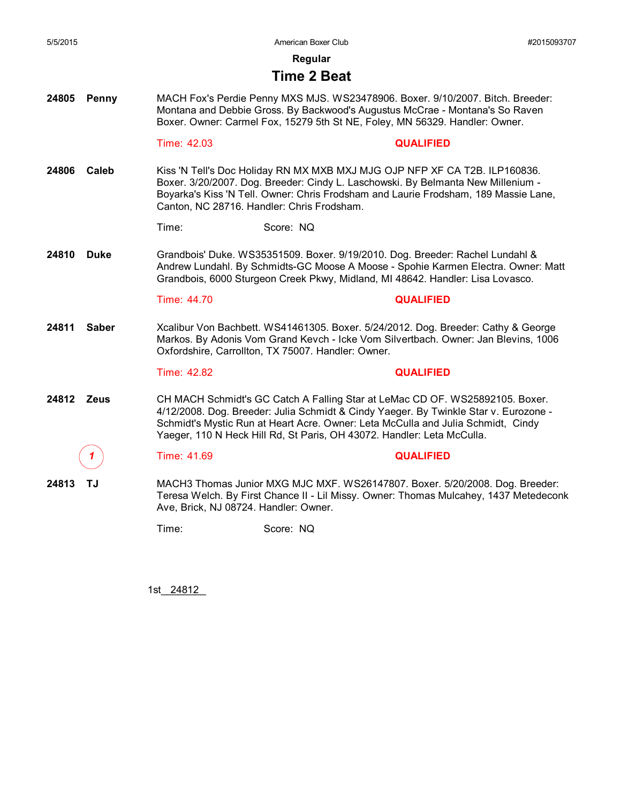**Regular**

#### **Time 2 Beat**

**24805 Penny** MACH Fox's Perdie Penny MXS MJS. WS23478906. Boxer. 9/10/2007. Bitch. Breeder: Montana and Debbie Gross. By Backwood's Augustus McCrae - Montana's So Raven Boxer. Owner: Carmel Fox, 15279 5th St NE, Foley, MN 56329. Handler: Owner.

Time: 42.03 **QUALIFIED**

**24806 Caleb** Kiss 'N Tell's Doc Holiday RN MX MXB MXJ MJG OJP NFP XF CA T2B. ILP160836. Boxer. 3/20/2007. Dog. Breeder: Cindy L. Laschowski. By Belmanta New Millenium - Boyarka's Kiss 'N Tell. Owner: Chris Frodsham and Laurie Frodsham, 189 Massie Lane, Canton, NC 28716. Handler: Chris Frodsham.

Time: Score: NQ

**24810 Duke** Grandbois' Duke. WS35351509. Boxer. 9/19/2010. Dog. Breeder: Rachel Lundahl & Andrew Lundahl. By Schmidts-GC Moose A Moose - Spohie Karmen Electra. Owner: Matt Grandbois, 6000 Sturgeon Creek Pkwy, Midland, MI 48642. Handler: Lisa Lovasco.

#### Time: 44.70 **QUALIFIED**

**24811 Saber** Xcalibur Von Bachbett. WS41461305. Boxer. 5/24/2012. Dog. Breeder: Cathy & George Markos. By Adonis Vom Grand Kevch - Icke Vom Silvertbach. Owner: Jan Blevins, 1006 Oxfordshire, Carrollton, TX 75007. Handler: Owner.

#### Time: 42.82 **QUALIFIED**

**24812 Zeus** CH MACH Schmidt's GC Catch A Falling Star at LeMac CD OF. WS25892105. Boxer. 4/12/2008. Dog. Breeder: Julia Schmidt & Cindy Yaeger. By Twinkle Star v. Eurozone - Schmidt's Mystic Run at Heart Acre. Owner: Leta McCulla and Julia Schmidt, Cindy Yaeger, 110 N Heck Hill Rd, St Paris, OH 43072. Handler: Leta McCulla.



**24813 TJ** MACH3 Thomas Junior MXG MJC MXF. WS26147807. Boxer. 5/20/2008. Dog. Breeder: Teresa Welch. By First Chance II - Lil Missy. Owner: Thomas Mulcahey, 1437 Metedeconk Ave, Brick, NJ 08724. Handler: Owner.

Time: Score: NQ

1st\_\_\_\_\_\_\_\_ 24812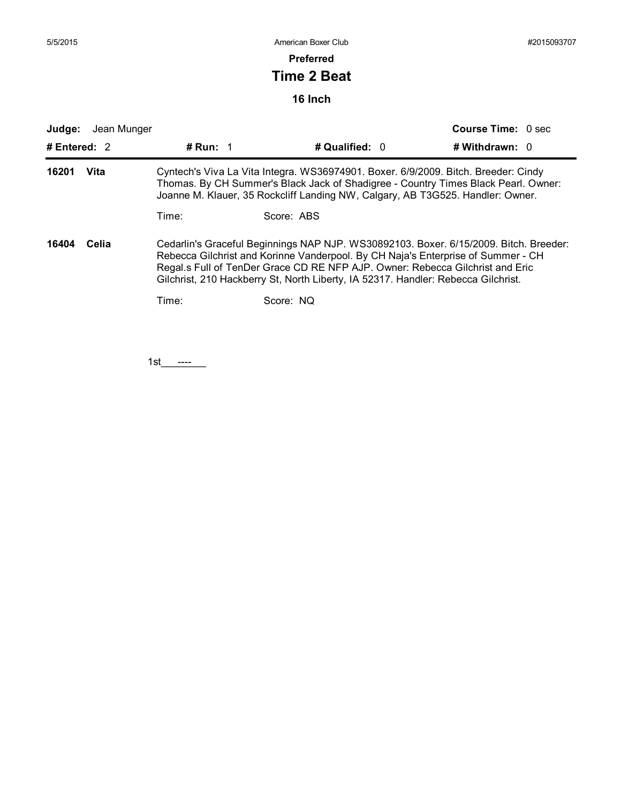**Preferred**

## **Time 2 Beat**

**16 Inch**

| Judge:         | Jean Munger |            |                                                                                                                                                                                                                                                                                                                                                 | <b>Course Time: 0 sec</b> |
|----------------|-------------|------------|-------------------------------------------------------------------------------------------------------------------------------------------------------------------------------------------------------------------------------------------------------------------------------------------------------------------------------------------------|---------------------------|
| # Entered: 2   |             | # Run: $1$ | # Qualified: 0                                                                                                                                                                                                                                                                                                                                  | # Withdrawn: $0$          |
| 16201          | Vita        |            | Cyntech's Viva La Vita Integra. WS36974901. Boxer. 6/9/2009. Bitch. Breeder: Cindy<br>Thomas. By CH Summer's Black Jack of Shadigree - Country Times Black Pearl. Owner:<br>Joanne M. Klauer, 35 Rockcliff Landing NW, Calgary, AB T3G525. Handler: Owner.                                                                                      |                           |
|                |             | Time:      | Score: ABS                                                                                                                                                                                                                                                                                                                                      |                           |
| 16404<br>Celia |             |            | Cedarlin's Graceful Beginnings NAP NJP. WS30892103. Boxer. 6/15/2009. Bitch. Breeder:<br>Rebecca Gilchrist and Korinne Vanderpool. By CH Naja's Enterprise of Summer - CH<br>Regal.s Full of TenDer Grace CD RE NFP AJP. Owner: Rebecca Gilchrist and Eric<br>Gilchrist, 210 Hackberry St, North Liberty, IA 52317. Handler: Rebecca Gilchrist. |                           |
|                |             | Time:      | Score: NQ                                                                                                                                                                                                                                                                                                                                       |                           |

1st\_\_\_\_\_\_\_\_\_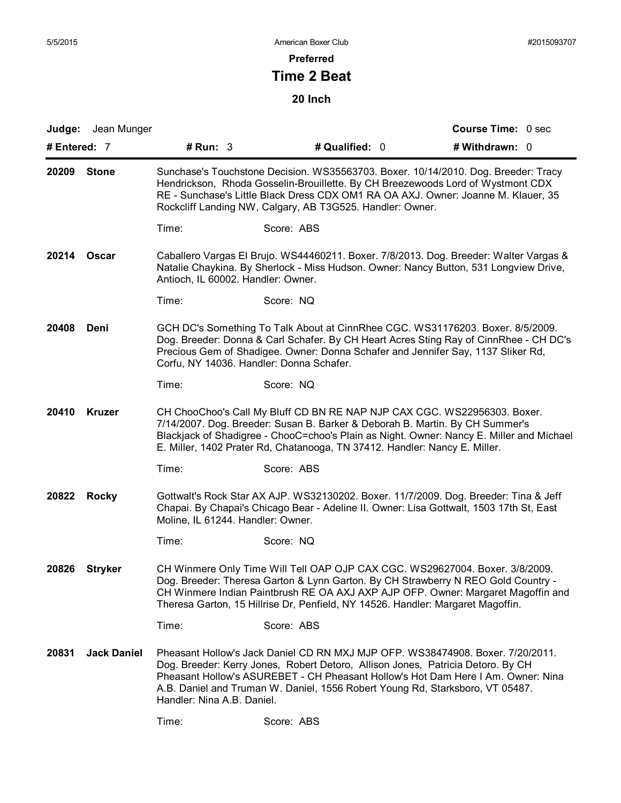**Preferred**

## **Time 2 Beat**

**20 Inch**

| # Entered: 7 | <b>Judge:</b> Jean Munger | # Run: 3                                                                        |            | # Qualified: 0 | <b>Course Time: 0 sec</b><br># Withdrawn: 0                                                                                                                                                                                                                                                                                            |
|--------------|---------------------------|---------------------------------------------------------------------------------|------------|----------------|----------------------------------------------------------------------------------------------------------------------------------------------------------------------------------------------------------------------------------------------------------------------------------------------------------------------------------------|
| 20209        | <b>Stone</b>              |                                                                                 |            |                | Sunchase's Touchstone Decision. WS35563703. Boxer. 10/14/2010. Dog. Breeder: Tracy<br>Hendrickson, Rhoda Gosselin-Brouillette. By CH Breezewoods Lord of Wystmont CDX<br>RE - Sunchase's Little Black Dress CDX OM1 RA OA AXJ. Owner: Joanne M. Klauer, 35                                                                             |
|              |                           | Rockcliff Landing NW, Calgary, AB T3G525. Handler: Owner.                       |            |                |                                                                                                                                                                                                                                                                                                                                        |
|              |                           | Time:                                                                           | Score: ABS |                |                                                                                                                                                                                                                                                                                                                                        |
| 20214        | Oscar                     | Antioch, IL 60002. Handler: Owner.                                              |            |                | Caballero Vargas El Brujo. WS44460211. Boxer. 7/8/2013. Dog. Breeder: Walter Vargas &<br>Natalie Chaykina. By Sherlock - Miss Hudson. Owner: Nancy Button, 531 Longview Drive,                                                                                                                                                         |
|              |                           | Time:                                                                           | Score: NQ  |                |                                                                                                                                                                                                                                                                                                                                        |
| 20408        | Deni                      | Corfu, NY 14036. Handler: Donna Schafer.                                        |            |                | GCH DC's Something To Talk About at CinnRhee CGC. WS31176203. Boxer. 8/5/2009.<br>Dog. Breeder: Donna & Carl Schafer. By CH Heart Acres Sting Ray of CinnRhee - CH DC's<br>Precious Gem of Shadigee. Owner: Donna Schafer and Jennifer Say, 1137 Sliker Rd,                                                                            |
|              |                           | Time:                                                                           | Score: NQ  |                |                                                                                                                                                                                                                                                                                                                                        |
| 20410        | <b>Kruzer</b>             | E. Miller, 1402 Prater Rd, Chatanooga, TN 37412. Handler: Nancy E. Miller.      |            |                | CH ChooChoo's Call My Bluff CD BN RE NAP NJP CAX CGC. WS22956303. Boxer.<br>7/14/2007. Dog. Breeder: Susan B. Barker & Deborah B. Martin. By CH Summer's<br>Blackjack of Shadigree - ChooC=choo's Plain as Night. Owner: Nancy E. Miller and Michael                                                                                   |
|              |                           | Time:                                                                           | Score: ABS |                |                                                                                                                                                                                                                                                                                                                                        |
| 20822        | <b>Rocky</b>              | Moline, IL 61244. Handler: Owner.                                               |            |                | Gottwalt's Rock Star AX AJP. WS32130202. Boxer. 11/7/2009. Dog. Breeder: Tina & Jeff<br>Chapai. By Chapai's Chicago Bear - Adeline II. Owner: Lisa Gottwalt, 1503 17th St, East                                                                                                                                                        |
|              |                           | Time:                                                                           | Score: NQ  |                |                                                                                                                                                                                                                                                                                                                                        |
| 20826        | <b>Stryker</b>            | Theresa Garton, 15 Hillrise Dr, Penfield, NY 14526. Handler: Margaret Magoffin. |            |                | CH Winmere Only Time Will Tell OAP OJP CAX CGC. WS29627004. Boxer. 3/8/2009.<br>Dog. Breeder: Theresa Garton & Lynn Garton. By CH Strawberry N REO Gold Country -<br>CH Winmere Indian Paintbrush RE OA AXJ AXP AJP OFP. Owner: Margaret Magoffin and                                                                                  |
|              |                           | Time:                                                                           | Score: ABS |                |                                                                                                                                                                                                                                                                                                                                        |
| 20831        | <b>Jack Daniel</b>        | Handler: Nina A.B. Daniel.                                                      |            |                | Pheasant Hollow's Jack Daniel CD RN MXJ MJP OFP. WS38474908. Boxer. 7/20/2011.<br>Dog. Breeder: Kerry Jones, Robert Detoro, Allison Jones, Patricia Detoro. By CH<br>Pheasant Hollow's ASUREBET - CH Pheasant Hollow's Hot Dam Here I Am. Owner: Nina<br>A.B. Daniel and Truman W. Daniel, 1556 Robert Young Rd, Starksboro, VT 05487. |
|              |                           | Time:                                                                           | Score: ABS |                |                                                                                                                                                                                                                                                                                                                                        |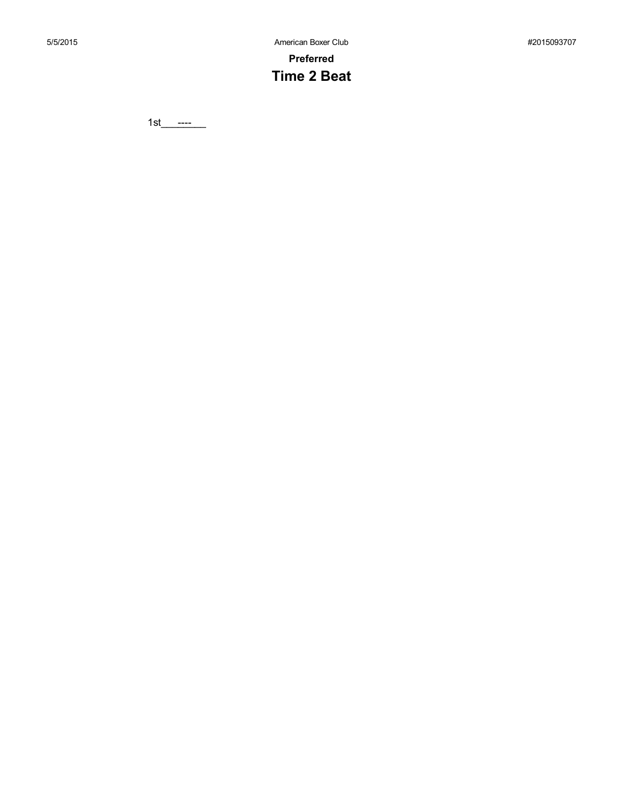$1st$  ----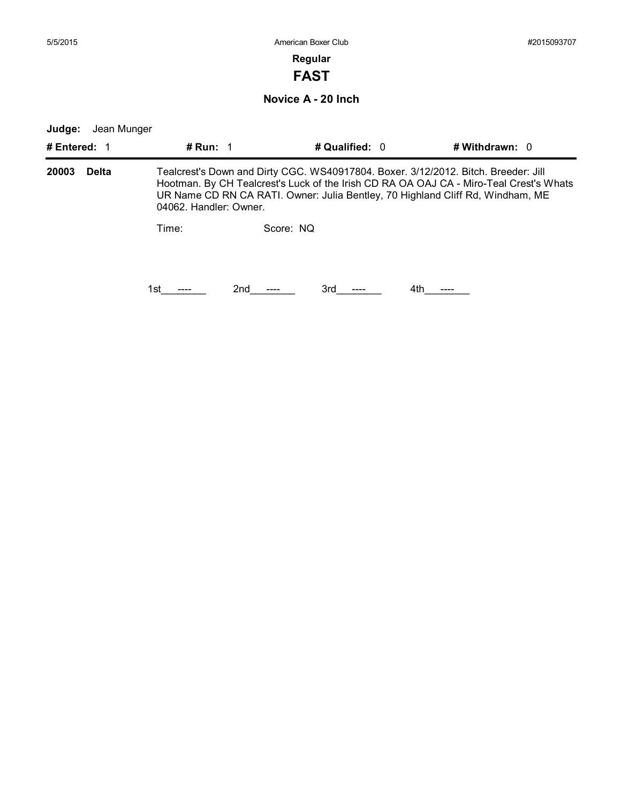**FAST**

**Novice A - 20 Inch**

| Judge:<br># Entered: 1 | Jean Munger<br># Run: $\sqrt{1}$ | # Qualified: $0$                                                                                                                                                     | # Withdrawn: $0$                                                                       |
|------------------------|----------------------------------|----------------------------------------------------------------------------------------------------------------------------------------------------------------------|----------------------------------------------------------------------------------------|
| 20003<br>Delta         | 04062. Handler: Owner.           | Tealcrest's Down and Dirty CGC. WS40917804. Boxer. 3/12/2012. Bitch. Breeder: Jill<br>UR Name CD RN CA RATI. Owner: Julia Bentley, 70 Highland Cliff Rd, Windham, ME | Hootman. By CH Tealcrest's Luck of the Irish CD RA OA OAJ CA - Miro-Teal Crest's Whats |
|                        | Time:                            | Score: NO                                                                                                                                                            |                                                                                        |
|                        | 2nd<br>1st                       | 3rd                                                                                                                                                                  | 4tr                                                                                    |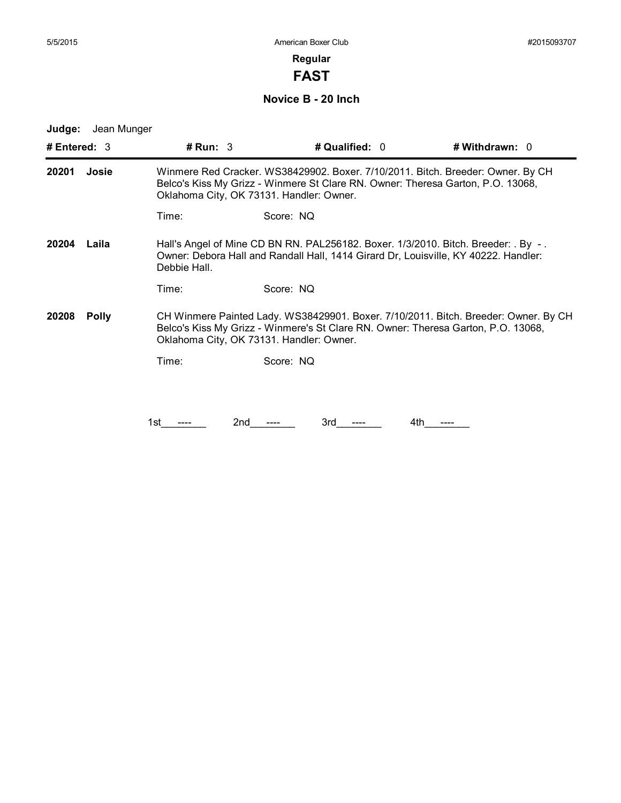## **FAST**

### **Novice B - 20 Inch**

| # Entered: 3          |       | # $Run: 3$   | # Qualified: 0                                                                                                                                                                                                       | # Withdrawn: 0 |
|-----------------------|-------|--------------|----------------------------------------------------------------------------------------------------------------------------------------------------------------------------------------------------------------------|----------------|
| 20201                 | Josie |              | Winmere Red Cracker. WS38429902. Boxer. 7/10/2011. Bitch. Breeder: Owner. By CH<br>Belco's Kiss My Grizz - Winmere St Clare RN. Owner: Theresa Garton, P.O. 13068,<br>Oklahoma City, OK 73131. Handler: Owner.       |                |
|                       |       | Time:        | Score: NQ                                                                                                                                                                                                            |                |
| 20204<br>Laila        |       | Debbie Hall. | Hall's Angel of Mine CD BN RN. PAL256182. Boxer. 1/3/2010. Bitch. Breeder: . By -.<br>Owner: Debora Hall and Randall Hall, 1414 Girard Dr, Louisville, KY 40222. Handler:                                            |                |
|                       |       | Time:        | Score: NQ                                                                                                                                                                                                            |                |
| <b>Polly</b><br>20208 |       |              | CH Winmere Painted Lady. WS38429901. Boxer. 7/10/2011. Bitch. Breeder: Owner. By CH<br>Belco's Kiss My Grizz - Winmere's St Clare RN. Owner: Theresa Garton, P.O. 13068,<br>Oklahoma City, OK 73131. Handler: Owner. |                |
|                       |       | Time:        | Score: NQ                                                                                                                                                                                                            |                |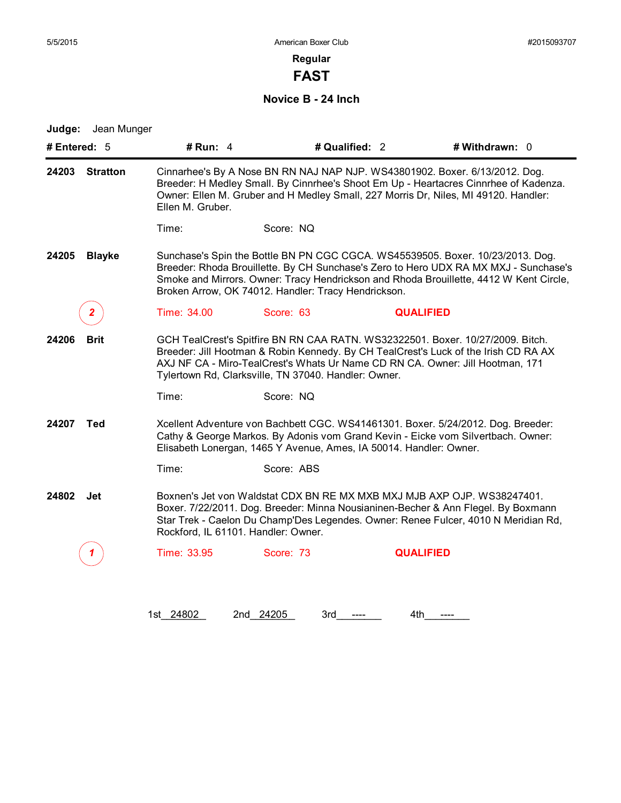**FAST**

**Novice B - 24 Inch**

| # Entered: 5             | # Run: 4         |                                                                    | # Qualified: 2   | # Withdrawn: 0                                                                                                                                                                                                                                                   |
|--------------------------|------------------|--------------------------------------------------------------------|------------------|------------------------------------------------------------------------------------------------------------------------------------------------------------------------------------------------------------------------------------------------------------------|
| 24203<br><b>Stratton</b> | Ellen M. Gruber. |                                                                    |                  | Cinnarhee's By A Nose BN RN NAJ NAP NJP. WS43801902. Boxer. 6/13/2012. Dog.<br>Breeder: H Medley Small. By Cinnrhee's Shoot Em Up - Heartacres Cinnrhee of Kadenza.<br>Owner: Ellen M. Gruber and H Medley Small, 227 Morris Dr, Niles, MI 49120. Handler:       |
|                          | Time:            | Score: NQ                                                          |                  |                                                                                                                                                                                                                                                                  |
| 24205<br><b>Blayke</b>   |                  | Broken Arrow, OK 74012. Handler: Tracy Hendrickson.                |                  | Sunchase's Spin the Bottle BN PN CGC CGCA. WS45539505. Boxer. 10/23/2013. Dog.<br>Breeder: Rhoda Brouillette. By CH Sunchase's Zero to Hero UDX RA MX MXJ - Sunchase's<br>Smoke and Mirrors. Owner: Tracy Hendrickson and Rhoda Brouillette, 4412 W Kent Circle, |
| $\overline{2}$           | Time: 34.00      | Score: 63                                                          | <b>QUALIFIED</b> |                                                                                                                                                                                                                                                                  |
| 24206<br><b>Brit</b>     |                  | Tylertown Rd, Clarksville, TN 37040. Handler: Owner.               |                  | GCH TealCrest's Spitfire BN RN CAA RATN. WS32322501. Boxer. 10/27/2009. Bitch.<br>Breeder: Jill Hootman & Robin Kennedy. By CH TealCrest's Luck of the Irish CD RA AX<br>AXJ NF CA - Miro-TealCrest's Whats Ur Name CD RN CA. Owner: Jill Hootman, 171           |
|                          | Time:            | Score: NQ                                                          |                  |                                                                                                                                                                                                                                                                  |
| 24207<br>Ted             |                  | Elisabeth Lonergan, 1465 Y Avenue, Ames, IA 50014. Handler: Owner. |                  | Xcellent Adventure von Bachbett CGC. WS41461301. Boxer. 5/24/2012. Dog. Breeder:<br>Cathy & George Markos. By Adonis vom Grand Kevin - Eicke vom Silvertbach. Owner:                                                                                             |
|                          | Time:            | Score: ABS                                                         |                  |                                                                                                                                                                                                                                                                  |
| 24802<br>Jet             |                  | Rockford, IL 61101. Handler: Owner.                                |                  | Boxnen's Jet von Waldstat CDX BN RE MX MXB MXJ MJB AXP OJP. WS38247401.<br>Boxer. 7/22/2011. Dog. Breeder: Minna Nousianinen-Becher & Ann Flegel. By Boxmann<br>Star Trek - Caelon Du Champ'Des Legendes. Owner: Renee Fulcer, 4010 N Meridian Rd,               |
| 1                        | Time: 33.95      | Score: 73                                                          | <b>QUALIFIED</b> |                                                                                                                                                                                                                                                                  |
|                          |                  |                                                                    |                  |                                                                                                                                                                                                                                                                  |
|                          | 1st 24802        | 2nd 24205<br>3rd                                                   | 4th              |                                                                                                                                                                                                                                                                  |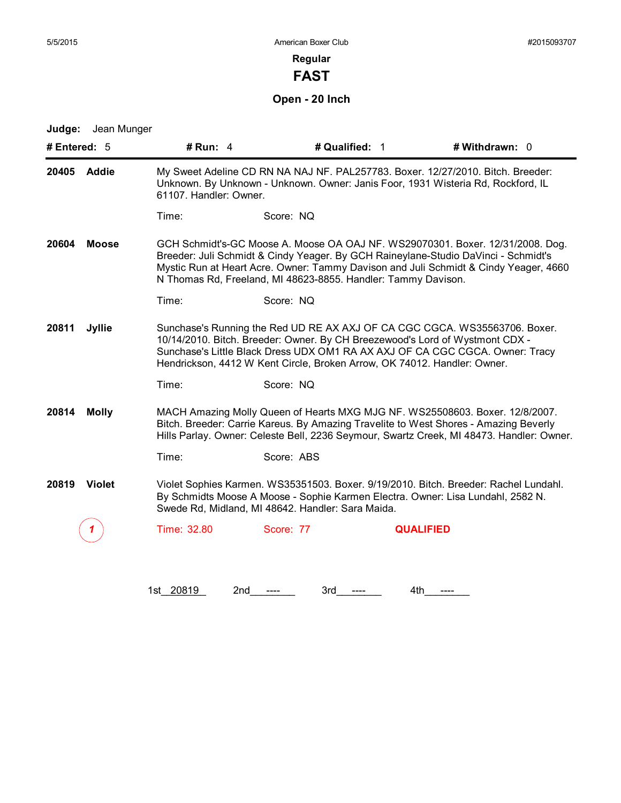**FAST**

### **Open - 20 Inch**

| # Entered: $5$         | # Run: $4$             | # Qualified: 1                                                                                                                                                                                                                                                                                                                |                  | # Withdrawn: $0$ |
|------------------------|------------------------|-------------------------------------------------------------------------------------------------------------------------------------------------------------------------------------------------------------------------------------------------------------------------------------------------------------------------------|------------------|------------------|
| 20405<br>Addie         | 61107. Handler: Owner. | My Sweet Adeline CD RN NA NAJ NF. PAL257783. Boxer. 12/27/2010. Bitch. Breeder:<br>Unknown. By Unknown - Unknown. Owner: Janis Foor, 1931 Wisteria Rd, Rockford, IL                                                                                                                                                           |                  |                  |
|                        | Time:                  | Score: NQ                                                                                                                                                                                                                                                                                                                     |                  |                  |
| 20604<br><b>Moose</b>  |                        | GCH Schmidt's-GC Moose A. Moose OA OAJ NF. WS29070301. Boxer. 12/31/2008. Dog.<br>Breeder: Juli Schmidt & Cindy Yeager. By GCH Raineylane-Studio DaVinci - Schmidt's<br>Mystic Run at Heart Acre. Owner: Tammy Davison and Juli Schmidt & Cindy Yeager, 4660<br>N Thomas Rd, Freeland, MI 48623-8855. Handler: Tammy Davison. |                  |                  |
|                        | Time:                  | Score: NQ                                                                                                                                                                                                                                                                                                                     |                  |                  |
| 20811<br><b>Jyllie</b> |                        | Sunchase's Running the Red UD RE AX AXJ OF CA CGC CGCA. WS35563706. Boxer.<br>10/14/2010. Bitch. Breeder: Owner. By CH Breezewood's Lord of Wystmont CDX -<br>Sunchase's Little Black Dress UDX OM1 RA AX AXJ OF CA CGC CGCA. Owner: Tracy<br>Hendrickson, 4412 W Kent Circle, Broken Arrow, OK 74012. Handler: Owner.        |                  |                  |
|                        | Time:                  | Score: NQ                                                                                                                                                                                                                                                                                                                     |                  |                  |
| 20814<br><b>Molly</b>  |                        | MACH Amazing Molly Queen of Hearts MXG MJG NF. WS25508603. Boxer. 12/8/2007.<br>Bitch. Breeder: Carrie Kareus. By Amazing Travelite to West Shores - Amazing Beverly<br>Hills Parlay. Owner: Celeste Bell, 2236 Seymour, Swartz Creek, MI 48473. Handler: Owner.                                                              |                  |                  |
|                        | Time:                  | Score: ABS                                                                                                                                                                                                                                                                                                                    |                  |                  |
| 20819<br><b>Violet</b> |                        | Violet Sophies Karmen. WS35351503. Boxer. 9/19/2010. Bitch. Breeder: Rachel Lundahl.<br>By Schmidts Moose A Moose - Sophie Karmen Electra. Owner: Lisa Lundahl, 2582 N.<br>Swede Rd, Midland, MI 48642. Handler: Sara Maida.                                                                                                  |                  |                  |
|                        | Time: 32.80            | Score: 77                                                                                                                                                                                                                                                                                                                     | <b>QUALIFIED</b> |                  |

1st\_20819 2nd\_\_\_\_\_\_ 3rd\_\_\_\_\_ 4th\_\_\_\_\_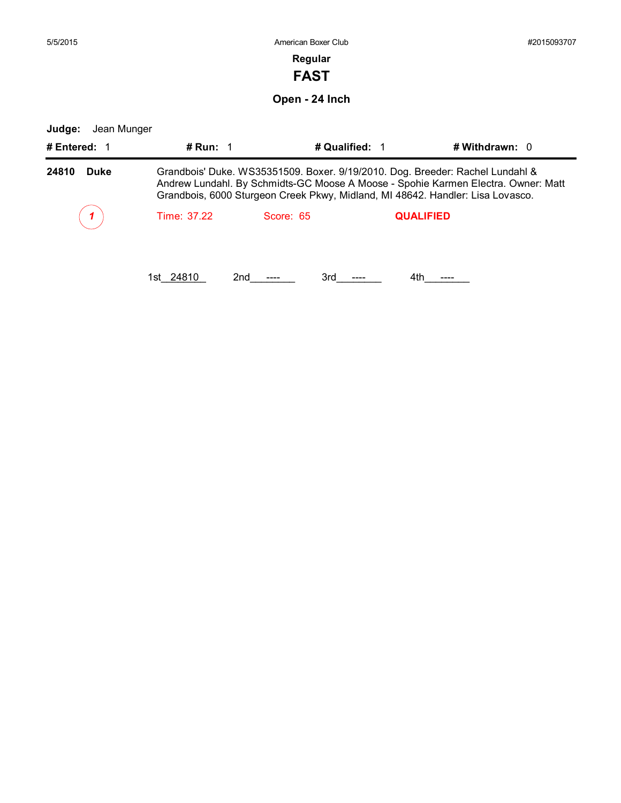| 5/5/2015              |                  | American Boxer Club |                |                                                                                                                                                                                                                                                      | #2015093707 |
|-----------------------|------------------|---------------------|----------------|------------------------------------------------------------------------------------------------------------------------------------------------------------------------------------------------------------------------------------------------------|-------------|
|                       |                  | Regular             |                |                                                                                                                                                                                                                                                      |             |
|                       |                  | <b>FAST</b>         |                |                                                                                                                                                                                                                                                      |             |
|                       |                  | Open - 24 Inch      |                |                                                                                                                                                                                                                                                      |             |
| Judge:<br>Jean Munger |                  |                     |                |                                                                                                                                                                                                                                                      |             |
| # Entered: 1          | # Run: 1         |                     | # Qualified: 1 | # Withdrawn: 0                                                                                                                                                                                                                                       |             |
| <b>Duke</b><br>24810  |                  |                     |                | Grandbois' Duke. WS35351509. Boxer. 9/19/2010. Dog. Breeder: Rachel Lundahl &<br>Andrew Lundahl. By Schmidts-GC Moose A Moose - Spohie Karmen Electra. Owner: Matt<br>Grandbois, 6000 Sturgeon Creek Pkwy, Midland, MI 48642. Handler: Lisa Lovasco. |             |
|                       | Time: 37.22      | Score: 65           |                | <b>QUALIFIED</b>                                                                                                                                                                                                                                     |             |
|                       |                  |                     |                |                                                                                                                                                                                                                                                      |             |
|                       | 1st 24810<br>2nd | 3rd                 | 4th            |                                                                                                                                                                                                                                                      |             |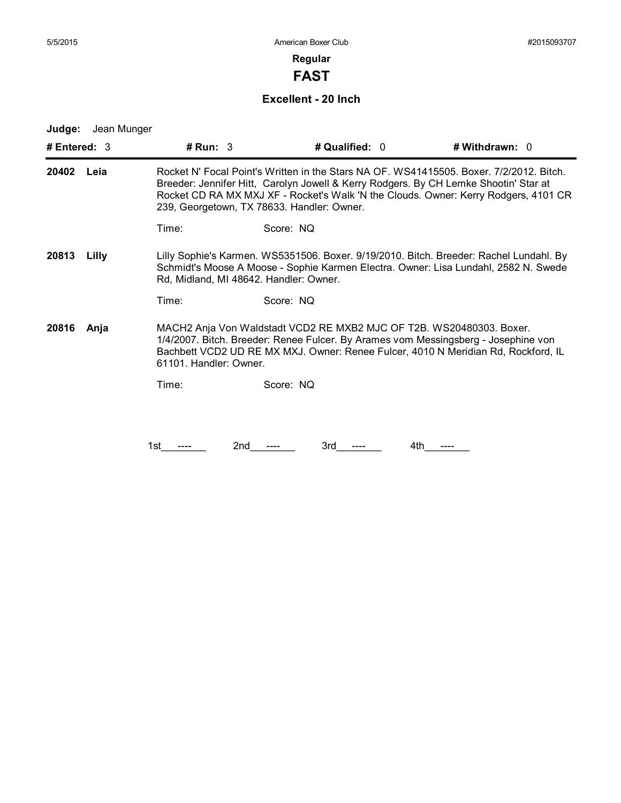**FAST**

#### **Excellent - 20 Inch**

| Judge: | Jean Munger |  |
|--------|-------------|--|
|--------|-------------|--|

| # Entered: 3   | # $Run: 3$                             | # Qualified: 0                                                                                                                                                                                                                                                                                                       | # Withdrawn: $0$ |
|----------------|----------------------------------------|----------------------------------------------------------------------------------------------------------------------------------------------------------------------------------------------------------------------------------------------------------------------------------------------------------------------|------------------|
| Leia<br>20402  |                                        | Rocket N' Focal Point's Written in the Stars NA OF. WS41415505. Boxer. 7/2/2012. Bitch.<br>Breeder: Jennifer Hitt, Carolyn Jowell & Kerry Rodgers. By CH Lemke Shootin' Star at<br>Rocket CD RA MX MXJ XF - Rocket's Walk 'N the Clouds. Owner: Kerry Rodgers, 4101 CR<br>239, Georgetown, TX 78633. Handler: Owner. |                  |
|                | Time:                                  | Score: NQ                                                                                                                                                                                                                                                                                                            |                  |
| 20813<br>Lilly | Rd, Midland, MI 48642. Handler: Owner. | Lilly Sophie's Karmen. WS5351506. Boxer. 9/19/2010. Bitch. Breeder: Rachel Lundahl. By<br>Schmidt's Moose A Moose - Sophie Karmen Electra. Owner: Lisa Lundahl, 2582 N. Swede                                                                                                                                        |                  |
|                | Time:                                  | Score: NQ                                                                                                                                                                                                                                                                                                            |                  |
| 20816<br>Anja  | 61101. Handler: Owner.                 | MACH2 Anja Von Waldstadt VCD2 RE MXB2 MJC OF T2B. WS20480303. Boxer.<br>1/4/2007. Bitch. Breeder: Renee Fulcer. By Arames vom Messingsberg - Josephine von<br>Bachbett VCD2 UD RE MX MXJ. Owner: Renee Fulcer, 4010 N Meridian Rd, Rockford, IL                                                                      |                  |
|                | Time:                                  | Score: NQ                                                                                                                                                                                                                                                                                                            |                  |
|                |                                        |                                                                                                                                                                                                                                                                                                                      |                  |
|                | 2nd<br>1st                             | 3rd                                                                                                                                                                                                                                                                                                                  |                  |
|                |                                        |                                                                                                                                                                                                                                                                                                                      |                  |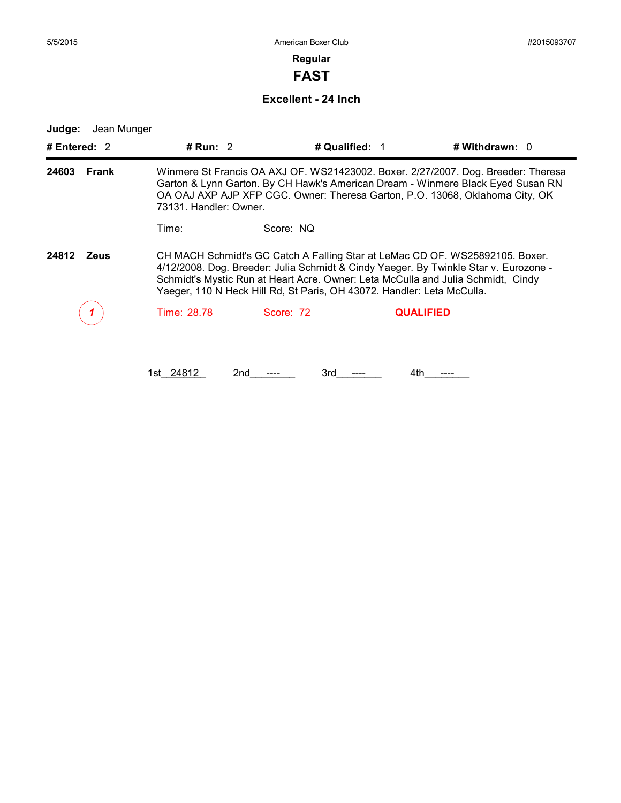**FAST**

### **Excellent - 24 Inch**

| Judge:<br># Entered: $2$ | Jean Munger | # Run: $2$                                                                                                                                                                                                                                                                     |                                                                                                                                                                                                                                                                                                                                    |  | # Qualified: 1 |                  | # Withdrawn: $0$ |  |
|--------------------------|-------------|--------------------------------------------------------------------------------------------------------------------------------------------------------------------------------------------------------------------------------------------------------------------------------|------------------------------------------------------------------------------------------------------------------------------------------------------------------------------------------------------------------------------------------------------------------------------------------------------------------------------------|--|----------------|------------------|------------------|--|
| 24603<br>Frank           |             | Winmere St Francis OA AXJ OF. WS21423002. Boxer. 2/27/2007. Dog. Breeder: Theresa<br>Garton & Lynn Garton. By CH Hawk's American Dream - Winmere Black Eyed Susan RN<br>OA OAJ AXP AJP XFP CGC. Owner: Theresa Garton, P.O. 13068, Oklahoma City, OK<br>73131. Handler: Owner. |                                                                                                                                                                                                                                                                                                                                    |  |                |                  |                  |  |
|                          |             | Time:                                                                                                                                                                                                                                                                          | Score: NQ                                                                                                                                                                                                                                                                                                                          |  |                |                  |                  |  |
| 24812<br><b>Zeus</b>     |             |                                                                                                                                                                                                                                                                                | CH MACH Schmidt's GC Catch A Falling Star at LeMac CD OF. WS25892105. Boxer.<br>4/12/2008. Dog. Breeder: Julia Schmidt & Cindy Yaeger. By Twinkle Star v. Eurozone -<br>Schmidt's Mystic Run at Heart Acre. Owner: Leta McCulla and Julia Schmidt, Cindy<br>Yaeger, 110 N Heck Hill Rd, St Paris, OH 43072. Handler: Leta McCulla. |  |                |                  |                  |  |
|                          |             | Time: 28.78                                                                                                                                                                                                                                                                    | Score: 72                                                                                                                                                                                                                                                                                                                          |  |                | <b>QUALIFIED</b> |                  |  |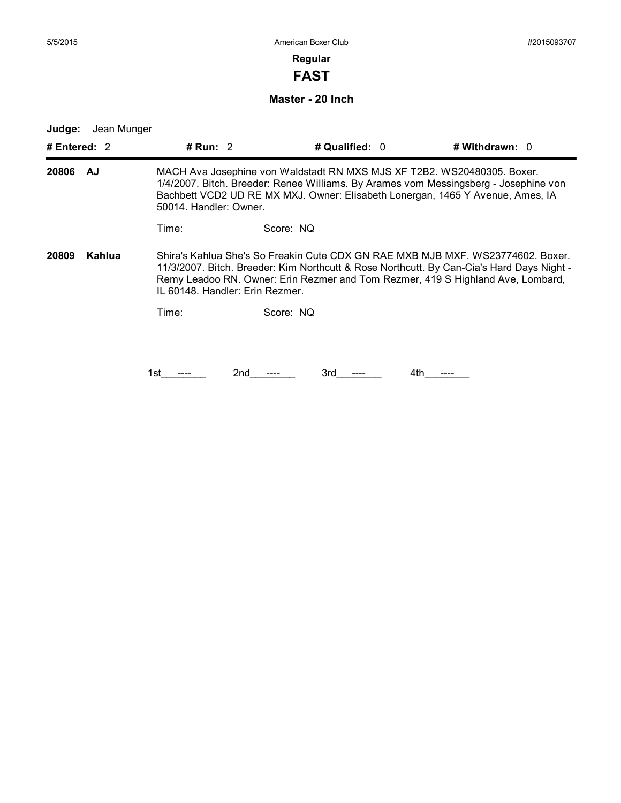**FAST**

**Master - 20 Inch**

| Judge:       | Jean Munger |                                 |           |                  |                                                                                                                                                                                                                                                                 |  |
|--------------|-------------|---------------------------------|-----------|------------------|-----------------------------------------------------------------------------------------------------------------------------------------------------------------------------------------------------------------------------------------------------------------|--|
| # Entered: 2 |             | # Run: $2$                      |           | # Qualified: $0$ | # Withdrawn: $0$                                                                                                                                                                                                                                                |  |
| 20806        | AJ.         | 50014. Handler: Owner.          |           |                  | MACH Ava Josephine von Waldstadt RN MXS MJS XF T2B2. WS20480305. Boxer.<br>1/4/2007. Bitch. Breeder: Renee Williams. By Arames vom Messingsberg - Josephine von<br>Bachbett VCD2 UD RE MX MXJ. Owner: Elisabeth Lonergan, 1465 Y Avenue, Ames, IA               |  |
|              |             | Time:                           | Score: NQ |                  |                                                                                                                                                                                                                                                                 |  |
| 20809        | Kahlua      | IL 60148. Handler: Erin Rezmer. |           |                  | Shira's Kahlua She's So Freakin Cute CDX GN RAE MXB MJB MXF. WS23774602. Boxer.<br>11/3/2007. Bitch. Breeder: Kim Northcutt & Rose Northcutt. By Can-Cia's Hard Days Night -<br>Remy Leadoo RN. Owner: Erin Rezmer and Tom Rezmer, 419 S Highland Ave, Lombard, |  |
|              |             | Time:                           | Score: NQ |                  |                                                                                                                                                                                                                                                                 |  |
|              |             |                                 |           |                  |                                                                                                                                                                                                                                                                 |  |
|              |             | 1st                             | 2nd       | 3rd              |                                                                                                                                                                                                                                                                 |  |
|              |             |                                 |           |                  |                                                                                                                                                                                                                                                                 |  |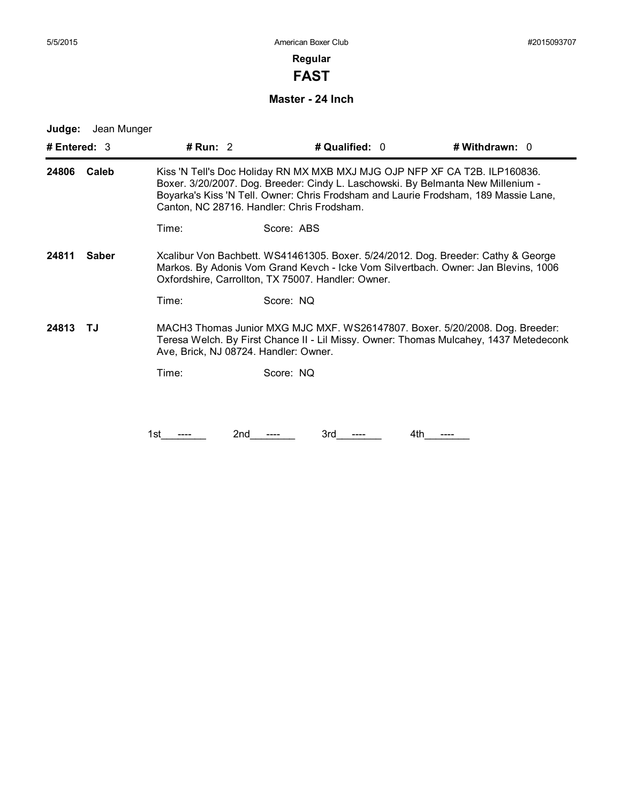**FAST**

#### **Master - 24 Inch**

| # Entered: $3$        | # Run: $2$                                                                                                                                                                                                                                                                                          | # Qualified: 0                                                                                                                                                                                                                | # Withdrawn: 0 |  |  |  |
|-----------------------|-----------------------------------------------------------------------------------------------------------------------------------------------------------------------------------------------------------------------------------------------------------------------------------------------------|-------------------------------------------------------------------------------------------------------------------------------------------------------------------------------------------------------------------------------|----------------|--|--|--|
| Caleb<br>24806        | Kiss 'N Tell's Doc Holiday RN MX MXB MXJ MJG OJP NFP XF CA T2B. ILP160836.<br>Boxer. 3/20/2007. Dog. Breeder: Cindy L. Laschowski. By Belmanta New Millenium -<br>Boyarka's Kiss 'N Tell. Owner: Chris Frodsham and Laurie Frodsham, 189 Massie Lane,<br>Canton, NC 28716. Handler: Chris Frodsham. |                                                                                                                                                                                                                               |                |  |  |  |
|                       | Time:                                                                                                                                                                                                                                                                                               | Score: ABS                                                                                                                                                                                                                    |                |  |  |  |
| 24811<br><b>Saber</b> |                                                                                                                                                                                                                                                                                                     | Xcalibur Von Bachbett. WS41461305. Boxer. 5/24/2012. Dog. Breeder: Cathy & George<br>Markos. By Adonis Vom Grand Kevch - Icke Vom Silvertbach. Owner: Jan Blevins, 1006<br>Oxfordshire, Carrollton, TX 75007. Handler: Owner. |                |  |  |  |
|                       | Time:                                                                                                                                                                                                                                                                                               | Score: NQ                                                                                                                                                                                                                     |                |  |  |  |
| 24813<br>ТJ           | Ave, Brick, NJ 08724. Handler: Owner.                                                                                                                                                                                                                                                               | MACH3 Thomas Junior MXG MJC MXF. WS26147807. Boxer. 5/20/2008. Dog. Breeder:<br>Teresa Welch. By First Chance II - Lil Missy. Owner: Thomas Mulcahey, 1437 Metedeconk                                                         |                |  |  |  |
|                       | Time:                                                                                                                                                                                                                                                                                               | Score: NQ                                                                                                                                                                                                                     |                |  |  |  |
|                       |                                                                                                                                                                                                                                                                                                     |                                                                                                                                                                                                                               |                |  |  |  |
|                       | 1st<br>2nd                                                                                                                                                                                                                                                                                          | 3rd                                                                                                                                                                                                                           | 4tr            |  |  |  |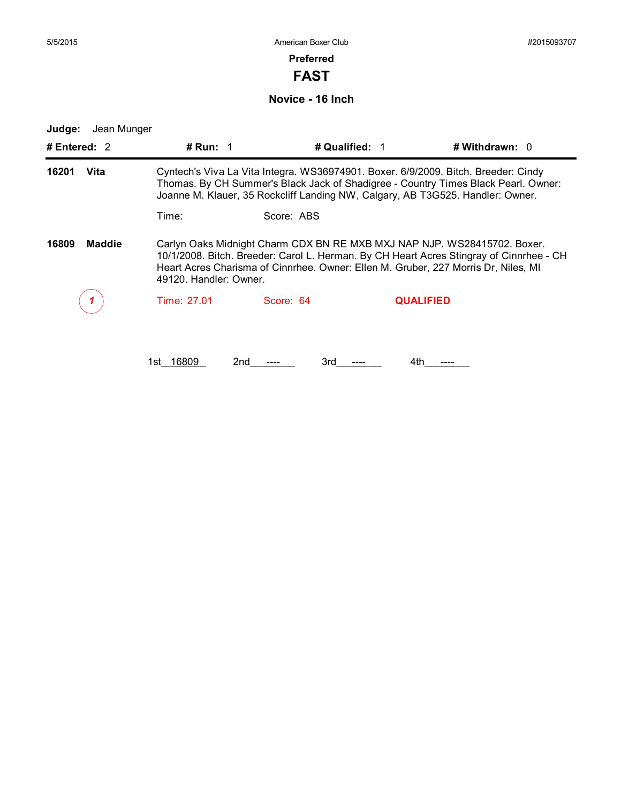**FAST**

**Novice - 16 Inch**

| # Entered: $2$  | # Run: $1$  | # Qualified: $1$                                                                                                                                                                                                                                                                    | # Withdrawn: $0$ |  |  |  |  |
|-----------------|-------------|-------------------------------------------------------------------------------------------------------------------------------------------------------------------------------------------------------------------------------------------------------------------------------------|------------------|--|--|--|--|
| Vita<br>16201   |             | Cyntech's Viva La Vita Integra. WS36974901. Boxer. 6/9/2009. Bitch. Breeder: Cindy<br>Thomas. By CH Summer's Black Jack of Shadigree - Country Times Black Pearl. Owner:<br>Joanne M. Klauer, 35 Rockcliff Landing NW, Calgary, AB T3G525. Handler: Owner.                          |                  |  |  |  |  |
|                 | Time:       | Score: ABS                                                                                                                                                                                                                                                                          |                  |  |  |  |  |
| 16809<br>Maddie |             | Carlyn Oaks Midnight Charm CDX BN RE MXB MXJ NAP NJP. WS28415702. Boxer.<br>10/1/2008. Bitch. Breeder: Carol L. Herman. By CH Heart Acres Stingray of Cinnrhee - CH<br>Heart Acres Charisma of Cinnrhee. Owner: Ellen M. Gruber, 227 Morris Dr, Niles, MI<br>49120. Handler: Owner. |                  |  |  |  |  |
|                 | Time: 27.01 | Score: 64                                                                                                                                                                                                                                                                           | <b>QUALIFIED</b> |  |  |  |  |

1st\_16809 2nd\_\_\_\_\_\_ 3rd\_\_\_\_\_\_ 4th\_\_\_\_\_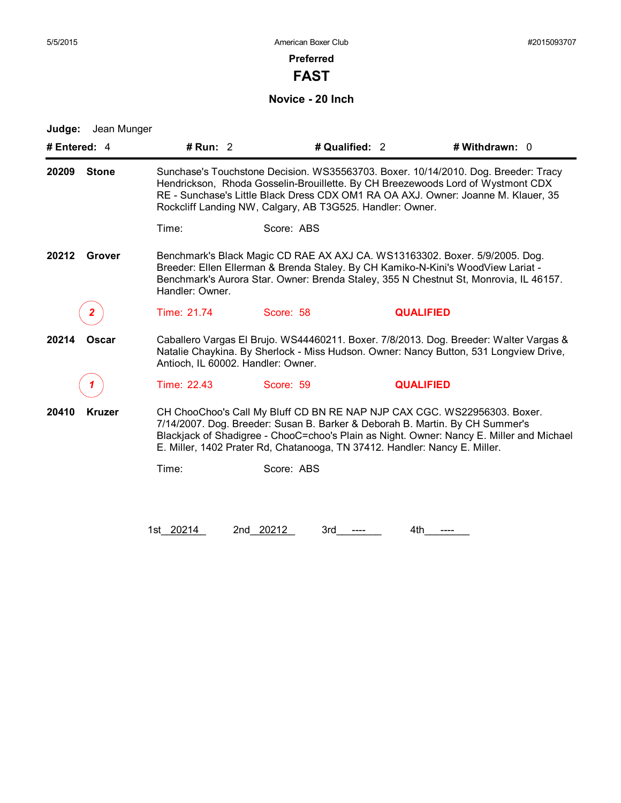**FAST**

**Novice - 20 Inch**

| # Entered: $4$         | # Run: 2                                                                                                                                                                                                                                                                                                                | # Qualified: 2                                                                                                                                             |                  | # Withdrawn: 0                                                                                                                                                                 |  |  |
|------------------------|-------------------------------------------------------------------------------------------------------------------------------------------------------------------------------------------------------------------------------------------------------------------------------------------------------------------------|------------------------------------------------------------------------------------------------------------------------------------------------------------|------------------|--------------------------------------------------------------------------------------------------------------------------------------------------------------------------------|--|--|
| 20209<br><b>Stone</b>  | Sunchase's Touchstone Decision. WS35563703. Boxer. 10/14/2010. Dog. Breeder: Tracy<br>Hendrickson, Rhoda Gosselin-Brouillette. By CH Breezewoods Lord of Wystmont CDX<br>RE - Sunchase's Little Black Dress CDX OM1 RA OA AXJ. Owner: Joanne M. Klauer, 35<br>Rockcliff Landing NW, Calgary, AB T3G525. Handler: Owner. |                                                                                                                                                            |                  |                                                                                                                                                                                |  |  |
|                        | Time:                                                                                                                                                                                                                                                                                                                   | Score: ABS                                                                                                                                                 |                  |                                                                                                                                                                                |  |  |
| 20212<br>Grover        | Handler: Owner.                                                                                                                                                                                                                                                                                                         | Breeder: Ellen Ellerman & Brenda Staley. By CH Kamiko-N-Kini's WoodView Lariat -                                                                           |                  | Benchmark's Black Magic CD RAE AX AXJ CA. WS13163302. Boxer. 5/9/2005. Dog.<br>Benchmark's Aurora Star. Owner: Brenda Staley, 355 N Chestnut St, Monrovia, IL 46157.           |  |  |
| 2                      | Time: 21.74                                                                                                                                                                                                                                                                                                             | Score: 58                                                                                                                                                  | <b>QUALIFIED</b> |                                                                                                                                                                                |  |  |
| 20214<br>Oscar         | Antioch, IL 60002. Handler: Owner.                                                                                                                                                                                                                                                                                      |                                                                                                                                                            |                  | Caballero Vargas El Brujo. WS44460211. Boxer. 7/8/2013. Dog. Breeder: Walter Vargas &<br>Natalie Chaykina. By Sherlock - Miss Hudson. Owner: Nancy Button, 531 Longview Drive, |  |  |
|                        | Time: 22.43                                                                                                                                                                                                                                                                                                             | Score: 59                                                                                                                                                  | <b>QUALIFIED</b> |                                                                                                                                                                                |  |  |
| 20410<br><b>Kruzer</b> |                                                                                                                                                                                                                                                                                                                         | 7/14/2007. Dog. Breeder: Susan B. Barker & Deborah B. Martin. By CH Summer's<br>E. Miller, 1402 Prater Rd, Chatanooga, TN 37412. Handler: Nancy E. Miller. |                  | CH ChooChoo's Call My Bluff CD BN RE NAP NJP CAX CGC. WS22956303. Boxer.<br>Blackjack of Shadigree - ChooC=choo's Plain as Night. Owner: Nancy E. Miller and Michael           |  |  |
|                        |                                                                                                                                                                                                                                                                                                                         |                                                                                                                                                            |                  |                                                                                                                                                                                |  |  |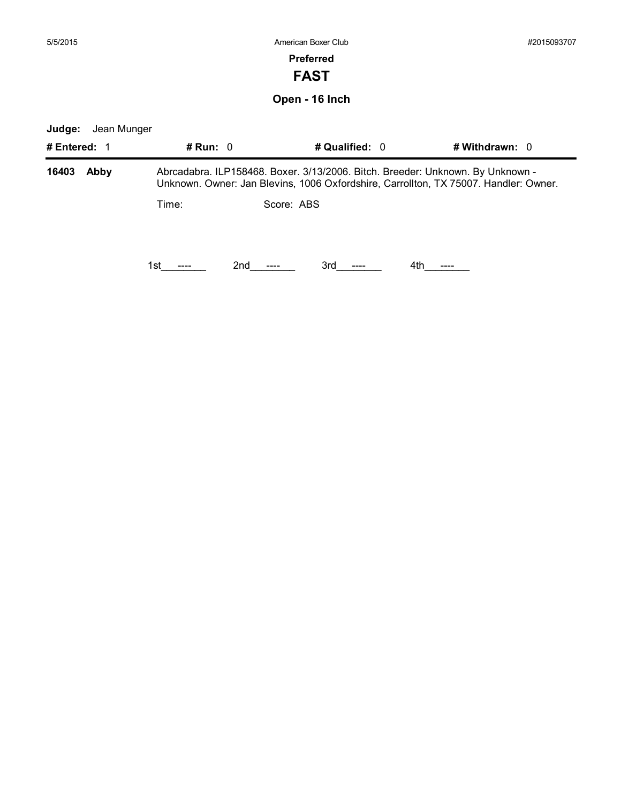## **FAST**

## **Open - 16 Inch**

| # Entered: 1  | # $Run: 0$ |            | # Qualified: 0 | # Withdrawn: $0$                                                                                                                                                       |
|---------------|------------|------------|----------------|------------------------------------------------------------------------------------------------------------------------------------------------------------------------|
| 16403<br>Abby |            |            |                | Abrcadabra. ILP158468. Boxer. 3/13/2006. Bitch. Breeder: Unknown. By Unknown -<br>Unknown. Owner: Jan Blevins, 1006 Oxfordshire, Carrollton, TX 75007. Handler: Owner. |
|               | Time:      | Score: ABS |                |                                                                                                                                                                        |
|               | 1st -      | 2nd        | 3rd            | 4th.                                                                                                                                                                   |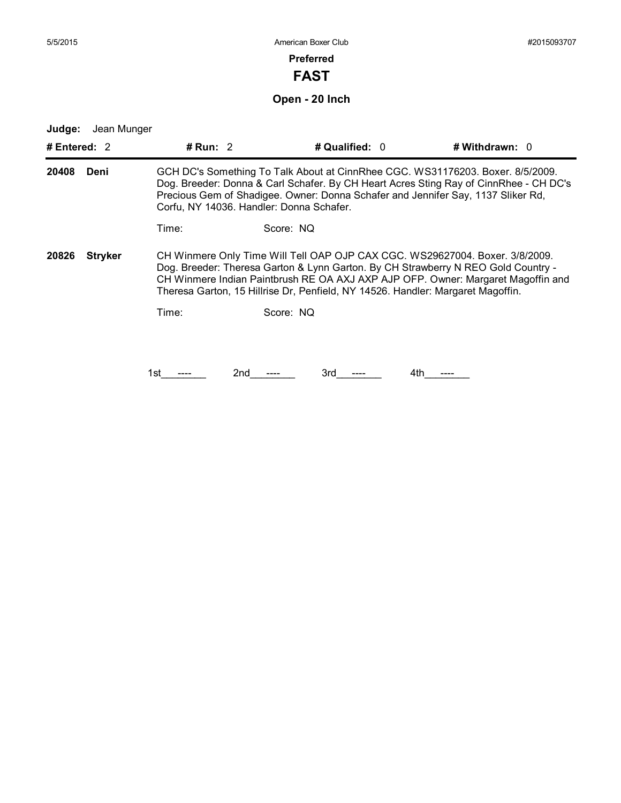### **FAST**

**Open - 20 Inch**

| Judge:         | Jean Munger    |                                                                                                                                                                                                                                                                                                         |                                                                                                                                                                                                                                                      |                                                                                  |  |  |  |
|----------------|----------------|---------------------------------------------------------------------------------------------------------------------------------------------------------------------------------------------------------------------------------------------------------------------------------------------------------|------------------------------------------------------------------------------------------------------------------------------------------------------------------------------------------------------------------------------------------------------|----------------------------------------------------------------------------------|--|--|--|
| # Entered: $2$ |                | # Run: $2$                                                                                                                                                                                                                                                                                              | # Qualified: 0                                                                                                                                                                                                                                       | # Withdrawn: $0$                                                                 |  |  |  |
| 20408          | Deni           | GCH DC's Something To Talk About at CinnRhee CGC. WS31176203. Boxer. 8/5/2009.<br>Dog. Breeder: Donna & Carl Schafer. By CH Heart Acres Sting Ray of CinnRhee - CH DC's<br>Precious Gem of Shadigee. Owner: Donna Schafer and Jennifer Say, 1137 Sliker Rd,<br>Corfu, NY 14036. Handler: Donna Schafer. |                                                                                                                                                                                                                                                      |                                                                                  |  |  |  |
|                |                | Time:                                                                                                                                                                                                                                                                                                   | Score: NQ                                                                                                                                                                                                                                            |                                                                                  |  |  |  |
| 20826          | <b>Stryker</b> |                                                                                                                                                                                                                                                                                                         | CH Winmere Only Time Will Tell OAP OJP CAX CGC. WS29627004. Boxer. 3/8/2009.<br>Dog. Breeder: Theresa Garton & Lynn Garton. By CH Strawberry N REO Gold Country -<br>Theresa Garton, 15 Hillrise Dr, Penfield, NY 14526. Handler: Margaret Magoffin. | CH Winmere Indian Paintbrush RE OA AXJ AXP AJP OFP. Owner: Margaret Magoffin and |  |  |  |
|                |                | Time:                                                                                                                                                                                                                                                                                                   | Score: NQ                                                                                                                                                                                                                                            |                                                                                  |  |  |  |
|                |                |                                                                                                                                                                                                                                                                                                         |                                                                                                                                                                                                                                                      |                                                                                  |  |  |  |
|                |                |                                                                                                                                                                                                                                                                                                         |                                                                                                                                                                                                                                                      |                                                                                  |  |  |  |
|                |                | 2nd<br>1st                                                                                                                                                                                                                                                                                              | 3rd                                                                                                                                                                                                                                                  |                                                                                  |  |  |  |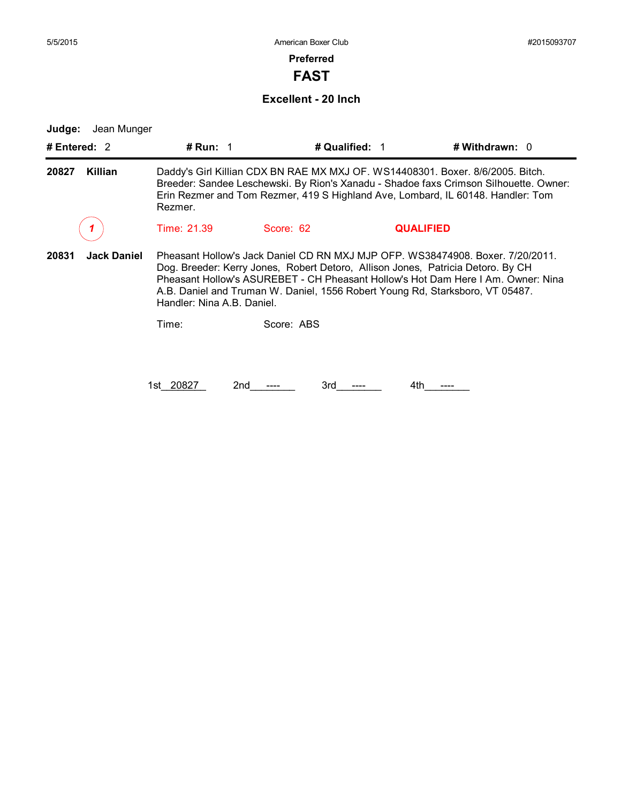**FAST**

**Excellent - 20 Inch**

| Judge:         | Jean Munger        |                                                                                                                                                                                                                                                                                                                                                                      |            |                  |                                                                                                                                                                                                                                                            |  |
|----------------|--------------------|----------------------------------------------------------------------------------------------------------------------------------------------------------------------------------------------------------------------------------------------------------------------------------------------------------------------------------------------------------------------|------------|------------------|------------------------------------------------------------------------------------------------------------------------------------------------------------------------------------------------------------------------------------------------------------|--|
| # Entered: $2$ |                    | # Run: $1$                                                                                                                                                                                                                                                                                                                                                           |            | # Qualified: 1   | # Withdrawn: $0$                                                                                                                                                                                                                                           |  |
| 20827          | Killian            | Rezmer.                                                                                                                                                                                                                                                                                                                                                              |            |                  | Daddy's Girl Killian CDX BN RAE MX MXJ OF. WS14408301. Boxer. 8/6/2005. Bitch.<br>Breeder: Sandee Leschewski. By Rion's Xanadu - Shadoe faxs Crimson Silhouette. Owner:<br>Erin Rezmer and Tom Rezmer, 419 S Highland Ave, Lombard, IL 60148. Handler: Tom |  |
|                |                    | Time: 21.39                                                                                                                                                                                                                                                                                                                                                          | Score: 62  | <b>QUALIFIED</b> |                                                                                                                                                                                                                                                            |  |
| 20831          | <b>Jack Daniel</b> | Pheasant Hollow's Jack Daniel CD RN MXJ MJP OFP. WS38474908. Boxer. 7/20/2011.<br>Dog. Breeder: Kerry Jones, Robert Detoro, Allison Jones, Patricia Detoro. By CH<br>Pheasant Hollow's ASUREBET - CH Pheasant Hollow's Hot Dam Here I Am. Owner: Nina<br>A.B. Daniel and Truman W. Daniel, 1556 Robert Young Rd, Starksboro, VT 05487.<br>Handler: Nina A.B. Daniel. |            |                  |                                                                                                                                                                                                                                                            |  |
|                |                    | Time:                                                                                                                                                                                                                                                                                                                                                                | Score: ABS |                  |                                                                                                                                                                                                                                                            |  |
|                |                    | 1st 20827                                                                                                                                                                                                                                                                                                                                                            | 2nd<br>3rd | 4tr              |                                                                                                                                                                                                                                                            |  |